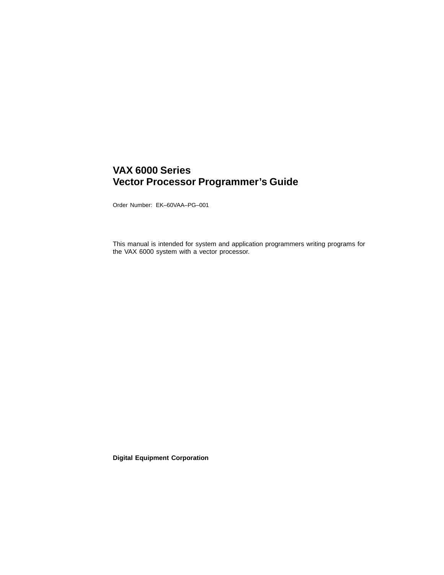## **VAX 6000 Series Vector Processor Programmer's Guide**

Order Number: EK–60VAA–PG–001

This manual is intended for system and application programmers writing programs for the VAX 6000 system with a vector processor.

**Digital Equipment Corporation**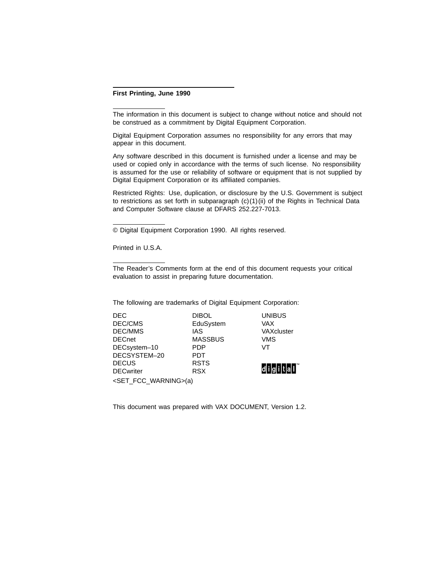#### **First Printing, June 1990**

The information in this document is subject to change without notice and should not be construed as a commitment by Digital Equipment Corporation.

Digital Equipment Corporation assumes no responsibility for any errors that may appear in this document.

Any software described in this document is furnished under a license and may be used or copied only in accordance with the terms of such license. No responsibility is assumed for the use or reliability of software or equipment that is not supplied by Digital Equipment Corporation or its affiliated companies.

Restricted Rights: Use, duplication, or disclosure by the U.S. Government is subject to restrictions as set forth in subparagraph  $(c)(1)(ii)$  of the Rights in Technical Data and Computer Software clause at DFARS 252.227-7013.

© Digital Equipment Corporation 1990. All rights reserved.

Printed in U.S.A.

The Reader's Comments form at the end of this document requests your critical evaluation to assist in preparing future documentation.

The following are trademarks of Digital Equipment Corporation:

| <b>DEC</b>                             | <b>DIBOL</b>   | <b>UNIBUS</b> |  |  |
|----------------------------------------|----------------|---------------|--|--|
| DEC/CMS                                | EduSystem      | <b>VAX</b>    |  |  |
| DEC/MMS                                | <b>IAS</b>     | VAXcluster    |  |  |
| <b>DECnet</b>                          | <b>MASSBUS</b> | <b>VMS</b>    |  |  |
| DECsystem-10                           | <b>PDP</b>     | VT            |  |  |
| DECSYSTEM-20                           | <b>PDT</b>     |               |  |  |
| <b>DECUS</b>                           | <b>RSTS</b>    |               |  |  |
| <b>DECwriter</b>                       | <b>RSX</b>     | digitall      |  |  |
| <set_fcc_warning>(a)</set_fcc_warning> |                |               |  |  |

This document was prepared with VAX DOCUMENT, Version 1.2.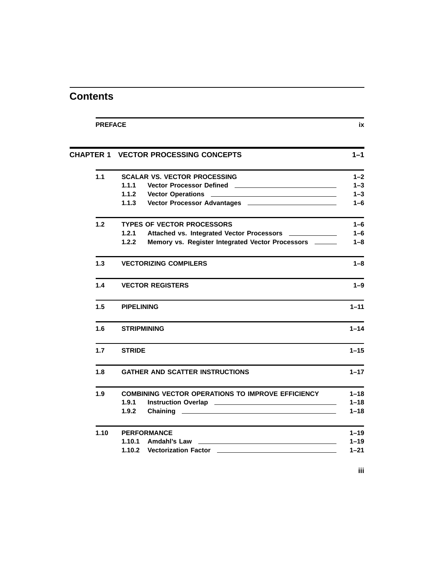|      | <b>CHAPTER 1 VECTOR PROCESSING CONCEPTS</b>                           | $1 - 1$  |
|------|-----------------------------------------------------------------------|----------|
| 1.1  | <b>SCALAR VS. VECTOR PROCESSING</b>                                   | $1 - 2$  |
|      | 1.1.1                                                                 | $1 - 3$  |
|      | 1.1.2                                                                 | $1 - 3$  |
|      | 1.1.3                                                                 | $1 - 6$  |
| 1.2  | <b>TYPES OF VECTOR PROCESSORS</b>                                     | $1 - 6$  |
|      | 1.2.1<br>Attached vs. Integrated Vector Processors <b>Exercise 20</b> | $1 - 6$  |
|      | 1.2.2<br>Memory vs. Register Integrated Vector Processors ______      | $1 - 8$  |
| 1.3  | <b>VECTORIZING COMPILERS</b>                                          | $1 - 8$  |
| 1.4  | <b>VECTOR REGISTERS</b>                                               | $1 - 9$  |
| 1.5  | <b>PIPELINING</b>                                                     | $1 - 11$ |
| 1.6  | <b>STRIPMINING</b>                                                    | $1 - 14$ |
| 1.7  | <b>STRIDE</b>                                                         | $1 - 15$ |
| 1.8  | <b>GATHER AND SCATTER INSTRUCTIONS</b>                                | $1 - 17$ |
| 1.9  | <b>COMBINING VECTOR OPERATIONS TO IMPROVE EFFICIENCY</b>              | $1 - 18$ |
|      | 1.9.1                                                                 | $1 - 18$ |
|      | 1.9.2<br>Chaining<br><u> 1980 - Andrea Andrew Maria (h. 1980).</u>    | $1 - 18$ |
| 1.10 | <b>PERFORMANCE</b>                                                    | $1 - 19$ |
|      | 1.10.1<br>Amdahl's Law                                                | $1 - 19$ |
|      |                                                                       | $1 - 21$ |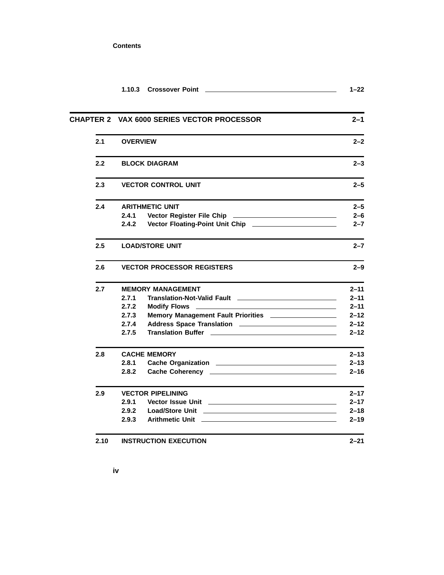|      | <b>Crossover Point</b><br>1.10.3                                                                                                                                                                                                              | $1 - 22$ |
|------|-----------------------------------------------------------------------------------------------------------------------------------------------------------------------------------------------------------------------------------------------|----------|
|      | <b>CHAPTER 2 VAX 6000 SERIES VECTOR PROCESSOR</b>                                                                                                                                                                                             | $2 - 1$  |
| 2.1  | <b>OVERVIEW</b>                                                                                                                                                                                                                               | $2 - 2$  |
| 2.2  | <b>BLOCK DIAGRAM</b>                                                                                                                                                                                                                          | $2 - 3$  |
| 2.3  | <b>VECTOR CONTROL UNIT</b>                                                                                                                                                                                                                    | $2 - 5$  |
| 2.4  | <b>ARITHMETIC UNIT</b>                                                                                                                                                                                                                        | $2 - 5$  |
|      | 2.4.1                                                                                                                                                                                                                                         | $2 - 6$  |
|      | 2.4.2                                                                                                                                                                                                                                         | $2 - 7$  |
| 2.5  | <b>LOAD/STORE UNIT</b>                                                                                                                                                                                                                        | $2 - 7$  |
| 2.6  | <b>VECTOR PROCESSOR REGISTERS</b>                                                                                                                                                                                                             | $2 - 9$  |
| 2.7  | <b>MEMORY MANAGEMENT</b>                                                                                                                                                                                                                      | $2 - 11$ |
|      | 2.7.1                                                                                                                                                                                                                                         | $2 - 11$ |
|      | 2.7.2<br><b>Modify Flows</b>                                                                                                                                                                                                                  | $2 - 11$ |
|      | Memory Management Fault Priorities __________________<br>2.7.3                                                                                                                                                                                | $2 - 12$ |
|      | 2.7.4                                                                                                                                                                                                                                         | $2 - 12$ |
|      | 2.7.5<br><b>Translation Buffer All According to the Contract Oriental According to the Contract Oriental According to the Contract Oriental According to the Contract Oriental According to the Contract Oriental According to the Contra</b> | $2 - 12$ |
| 2.8  | <b>CACHE MEMORY</b>                                                                                                                                                                                                                           | $2 - 13$ |
|      | 2.8.1                                                                                                                                                                                                                                         | $2 - 13$ |
|      | 2.8.2                                                                                                                                                                                                                                         | $2 - 16$ |
| 2.9  | <b>VECTOR PIPELINING</b>                                                                                                                                                                                                                      | $2 - 17$ |
|      | 2.9.1<br>Vector Issue Unit Learner and Contract and Contract of Texas and Contract and Contract of Texas and Contract o                                                                                                                       | $2 - 17$ |
|      | 2.9.2                                                                                                                                                                                                                                         | $2 - 18$ |
|      | 2.9.3                                                                                                                                                                                                                                         | $2 - 19$ |
| 2.10 | <b>INSTRUCTION EXECUTION</b>                                                                                                                                                                                                                  | $2 - 21$ |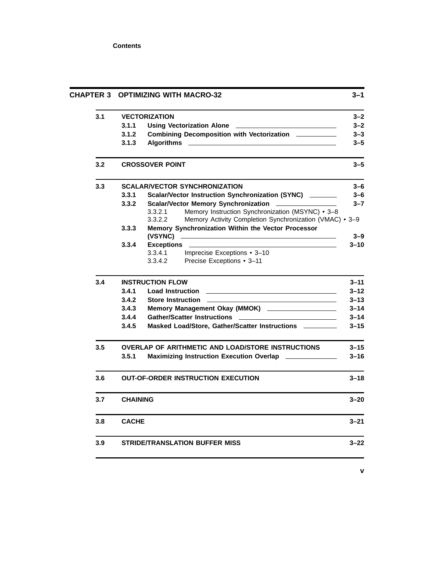|     | CHAPTER 3 OPTIMIZING WITH MACRO-32 |                                                                                                                                                                                                                                      | 3–1      |
|-----|------------------------------------|--------------------------------------------------------------------------------------------------------------------------------------------------------------------------------------------------------------------------------------|----------|
| 3.1 |                                    | <b>VECTORIZATION</b>                                                                                                                                                                                                                 | $3 - 2$  |
|     | 3.1.1                              | <b>Using Vectorization Alone</b>                                                                                                                                                                                                     | $3 - 2$  |
|     | 3.1.2                              | Combining Decomposition with Vectorization _______                                                                                                                                                                                   | $3 - 3$  |
|     | 3.1.3                              | <b>Algorithms</b>                                                                                                                                                                                                                    | $3 - 5$  |
| 3.2 |                                    | <b>CROSSOVER POINT</b>                                                                                                                                                                                                               | $3 - 5$  |
| 3.3 |                                    | <b>SCALAR/VECTOR SYNCHRONIZATION</b>                                                                                                                                                                                                 | $3 - 6$  |
|     | 3.3.1                              | Scalar/Vector Instruction Synchronization (SYNC) _______                                                                                                                                                                             | $3 - 6$  |
|     | 3.3.2                              | <b>Scalar/Vector Memory Synchronization</b>                                                                                                                                                                                          | $3 - 7$  |
|     |                                    | 3.3.2.1<br>Memory Instruction Synchronization (MSYNC) • 3-8                                                                                                                                                                          |          |
|     |                                    | Memory Activity Completion Synchronization (VMAC) • 3-9<br>3.3.2.2                                                                                                                                                                   |          |
|     | 3.3.3                              | Memory Synchronization Within the Vector Processor                                                                                                                                                                                   |          |
|     |                                    | (VSYNC)                                                                                                                                                                                                                              | $3 - 9$  |
|     | 3.3.4                              | <b>Exceptions</b>                                                                                                                                                                                                                    | $3 - 10$ |
|     |                                    | 3.3.4.1<br>Imprecise Exceptions • 3-10                                                                                                                                                                                               |          |
|     |                                    | 3.3.4.2<br>Precise Exceptions • 3-11                                                                                                                                                                                                 |          |
| 3.4 |                                    | <b>INSTRUCTION FLOW</b>                                                                                                                                                                                                              | $3 - 11$ |
|     | 3.4.1                              | <b>Load Instruction</b>                                                                                                                                                                                                              | $3 - 12$ |
|     | 3.4.2                              | Store Instruction <u>example and the state of the state of the state of the state of the state of the state of the state of the state of the state of the state of the state of the state of the state of the state of the state</u> | $3 - 13$ |
|     | 3.4.3                              |                                                                                                                                                                                                                                      | $3 - 14$ |
|     | 3.4.4                              |                                                                                                                                                                                                                                      | $3 - 14$ |
|     | 3.4.5                              | Masked Load/Store, Gather/Scatter Instructions _________                                                                                                                                                                             | $3 - 15$ |
| 3.5 |                                    | <b>OVERLAP OF ARITHMETIC AND LOAD/STORE INSTRUCTIONS</b>                                                                                                                                                                             | $3 - 15$ |
|     | 3.5.1                              | Maximizing Instruction Execution Overlap _____________                                                                                                                                                                               | $3 - 16$ |
| 3.6 |                                    | <b>OUT-OF-ORDER INSTRUCTION EXECUTION</b>                                                                                                                                                                                            | $3 - 18$ |
| 3.7 | <b>CHAINING</b>                    |                                                                                                                                                                                                                                      | $3 - 20$ |
| 3.8 | <b>CACHE</b>                       |                                                                                                                                                                                                                                      | $3 - 21$ |
| 3.9 |                                    | <b>STRIDE/TRANSLATION BUFFER MISS</b>                                                                                                                                                                                                | $3 - 22$ |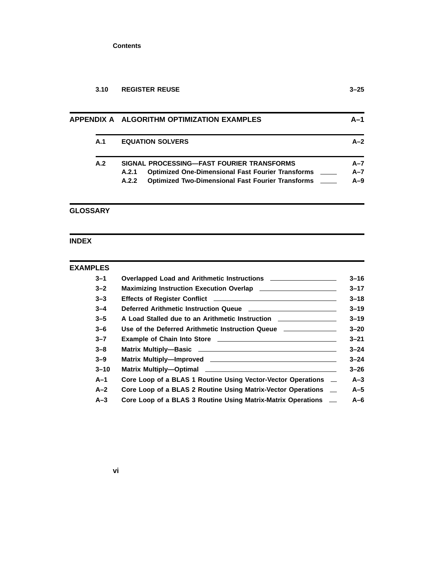| 3.10 | <b>REGISTER REUSE</b> | $3 - 25$ |
|------|-----------------------|----------|
|      |                       |          |

|     | APPENDIX A ALGORITHM OPTIMIZATION EXAMPLES                        |         |
|-----|-------------------------------------------------------------------|---------|
| A.1 | <b>EQUATION SOLVERS</b>                                           | $A-2$   |
| A.2 | SIGNAL PROCESSING—FAST FOURIER TRANSFORMS                         | $A - 7$ |
|     | <b>Optimized One-Dimensional Fast Fourier Transforms</b><br>A.2.1 | $A - 7$ |
|     | <b>Optimized Two-Dimensional Fast Fourier Transforms</b><br>A.2.2 | $A-9$   |
|     |                                                                   |         |

# **GLOSSARY**

## **INDEX**

| <b>EXAMPLES</b> |                                                                    |
|-----------------|--------------------------------------------------------------------|
| $3 - 1$         |                                                                    |
| $3 - 2$         | Maximizing Instruction Execution Overlap _________________________ |
| $3 - 3$         |                                                                    |
| $3 - 4$         |                                                                    |
| $3 - 5$         | A Load Stalled due to an Arithmetic Instruction ________________   |
| $3 - 6$         | Use of the Deferred Arithmetic Instruction Queue _____________     |
| $3 - 7$         |                                                                    |
| $3 - 8$         |                                                                    |
| $3 - 9$         |                                                                    |
| $3 - 10$        |                                                                    |
| $A-1$           | Core Loop of a BLAS 1 Routine Using Vector-Vector Operations –     |
| $A-2$           | Core Loop of a BLAS 2 Routine Using Matrix-Vector Operations _     |
| $A-3$           | Core Loop of a BLAS 3 Routine Using Matrix-Matrix Operations _     |
|                 |                                                                    |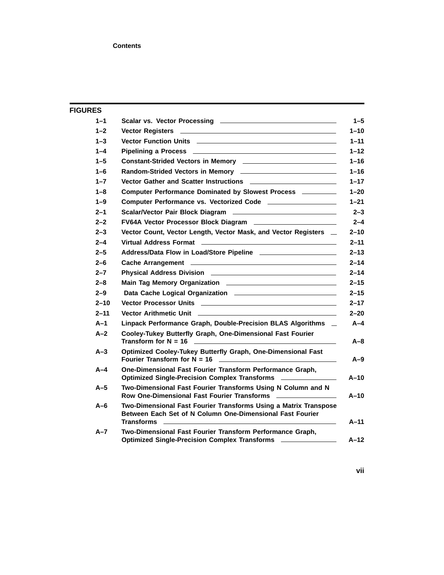| $1 - 1$                                                                                                                                              |  |
|------------------------------------------------------------------------------------------------------------------------------------------------------|--|
|                                                                                                                                                      |  |
| $1 - 2$                                                                                                                                              |  |
| Vector Function Units <b>Constitution</b><br>$1 - 3$                                                                                                 |  |
| $1 - 4$                                                                                                                                              |  |
| $1 - 5$<br>Constant-Strided Vectors in Memory ____________________________                                                                           |  |
| $1 - 6$<br>Random-Strided Vectors in Memory _____________________________                                                                            |  |
| $1 - 7$                                                                                                                                              |  |
| Computer Performance Dominated by Slowest Process ________<br>$1 - 8$                                                                                |  |
| $1 - 9$<br>Computer Performance vs. Vectorized Code ___________________                                                                              |  |
| $2 - 1$                                                                                                                                              |  |
| $2 - 2$<br>FV64A Vector Processor Block Diagram ________________________                                                                             |  |
| $2 - 3$<br>Vector Count, Vector Length, Vector Mask, and Vector Registers _                                                                          |  |
| $2 - 4$                                                                                                                                              |  |
| $2 - 5$                                                                                                                                              |  |
| $2 - 6$                                                                                                                                              |  |
| $2 - 7$                                                                                                                                              |  |
| $2 - 8$                                                                                                                                              |  |
| $2 - 9$                                                                                                                                              |  |
| $2 - 10$                                                                                                                                             |  |
| $2 - 11$                                                                                                                                             |  |
| $A-1$<br>Linpack Performance Graph, Double-Precision BLAS Algorithms _                                                                               |  |
| Cooley-Tukey Butterfly Graph, One-Dimensional Fast Fourier<br>$A-2$                                                                                  |  |
| Optimized Cooley-Tukey Butterfly Graph, One-Dimensional Fast<br>$A-3$                                                                                |  |
| One-Dimensional Fast Fourier Transform Performance Graph,<br>$A-4$<br>Optimized Single-Precision Complex Transforms _______________                  |  |
| Two-Dimensional Fast Fourier Transforms Using N Column and N<br>$A-5$<br>Row One-Dimensional Fast Fourier Transforms                                 |  |
| Two-Dimensional Fast Fourier Transforms Using a Matrix Transpose<br>$A-6$<br>Between Each Set of N Column One-Dimensional Fast Fourier<br>Transforms |  |
| Two-Dimensional Fast Fourier Transform Performance Graph,<br>$A - 7$<br>Optimized Single-Precision Complex Transforms _______________                |  |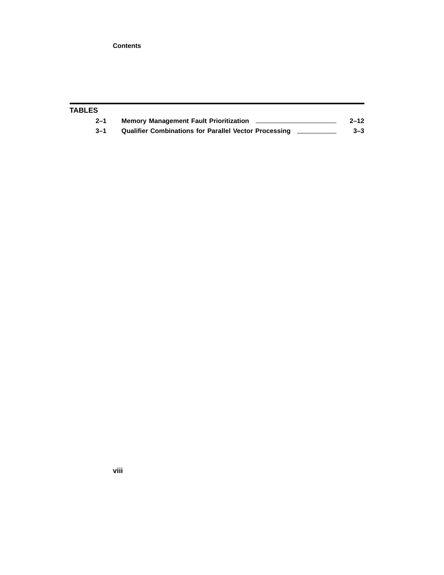| TABLES  |                                                              |          |
|---------|--------------------------------------------------------------|----------|
| $2 - 1$ | <b>Memory Management Fault Prioritization</b>                | $2 - 12$ |
| $3 - 1$ | <b>Qualifier Combinations for Parallel Vector Processing</b> | $3 - 3$  |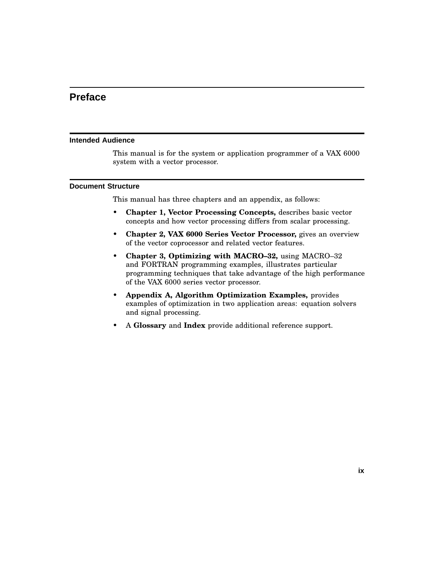## **Preface**

#### **Intended Audience**

This manual is for the system or application programmer of a VAX 6000 system with a vector processor.

#### **Document Structure**

This manual has three chapters and an appendix, as follows:

- **Chapter 1, Vector Processing Concepts,** describes basic vector concepts and how vector processing differs from scalar processing.
- **Chapter 2, VAX 6000 Series Vector Processor,** gives an overview of the vector coprocessor and related vector features.
- **Chapter 3, Optimizing with MACRO–32,** using MACRO–32 and FORTRAN programming examples, illustrates particular programming techniques that take advantage of the high performance of the VAX 6000 series vector processor.
- **Appendix A, Algorithm Optimization Examples,** provides examples of optimization in two application areas: equation solvers and signal processing.
- A **Glossary** and **Index** provide additional reference support.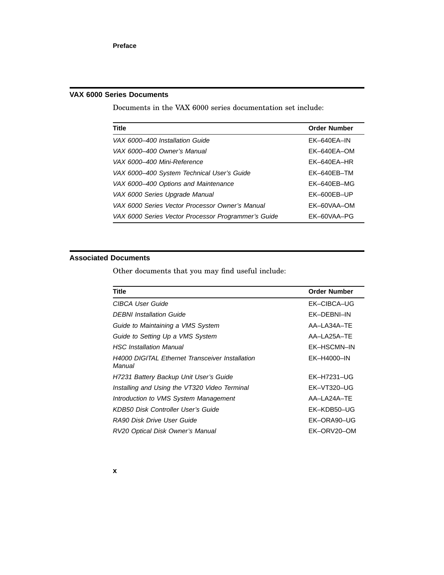### **VAX 6000 Series Documents**

Documents in the VAX 6000 series documentation set include:

| <b>Title</b>                                        | <b>Order Number</b> |
|-----------------------------------------------------|---------------------|
| VAX 6000-400 Installation Guide                     | $EK-640EA-IN$       |
| VAX 6000-400 Owner's Manual                         | EK-640EA-OM         |
| VAX 6000–400 Mini-Reference                         | $FK-640FA-HR$       |
| VAX 6000-400 System Technical User's Guide          | FK-640FB-TM         |
| VAX 6000-400 Options and Maintenance                | FK-640FB-MG         |
| VAX 6000 Series Upgrade Manual                      | EK-600EB-UP         |
| VAX 6000 Series Vector Processor Owner's Manual     | FK-60VAA-OM         |
| VAX 6000 Series Vector Processor Programmer's Guide | EK-60VAA-PG         |

### **Associated Documents**

Other documents that you may find useful include:

| <b>Order Number</b>      |
|--------------------------|
| EK-CIBCA-UG              |
| EK-DEBNI-IN              |
| AA-LA34A-TE              |
| AA-LA <sub>25</sub> A-TE |
| EK-HSCMN-IN              |
| EK-H4000-IN              |
| EK-H7231-UG              |
| EK-VT320-UG              |
| AA-LA24A-TE              |
| EK-KDB50-UG              |
| EK-ORA90-UG              |
| EK-ORV20-OM              |
|                          |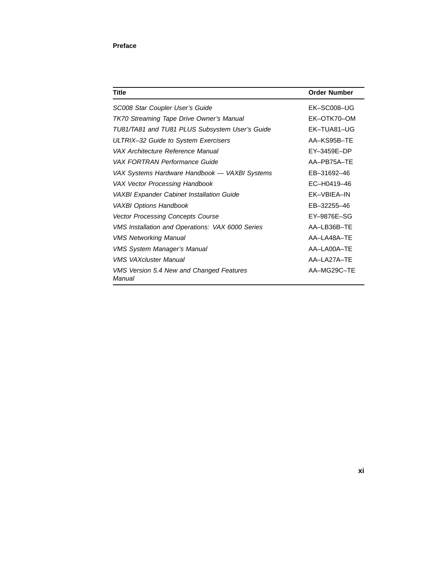### **Preface**

| Title                                                   | <b>Order Number</b> |
|---------------------------------------------------------|---------------------|
| SC008 Star Coupler User's Guide                         | EK-SC008-UG         |
| TK70 Streaming Tape Drive Owner's Manual                | EK-OTK70-OM         |
| TU81/TA81 and TU81 PLUS Subsystem User's Guide          | FK-TUA81-UG         |
| ULTRIX-32 Guide to System Exercisers                    | AA-KS95B-TE         |
| VAX Architecture Reference Manual                       | EY-3459E-DP         |
| VAX FORTRAN Performance Guide                           | AA-PB75A-TE         |
| VAX Systems Hardware Handbook — VAXBI Systems           | EB-31692-46         |
| VAX Vector Processing Handbook                          | EC-H0419-46         |
| VAXBI Expander Cabinet Installation Guide               | EK-VBIEA-IN         |
| <b>VAXBI Options Handbook</b>                           | EB-32255-46         |
| <b>Vector Processing Concepts Course</b>                | EY-9876E-SG         |
| <b>VMS Installation and Operations: VAX 6000 Series</b> | AA-LB36B-TE         |
| <b>VMS Networking Manual</b>                            | AA-LA48A-TE         |
| <b>VMS System Manager's Manual</b>                      | AA-LA00A-TE         |
| <b>VMS VAXcluster Manual</b>                            | AA-LA27A-TE         |
| VMS Version 5.4 New and Changed Features<br>Manual      | AA-MG29C-TE         |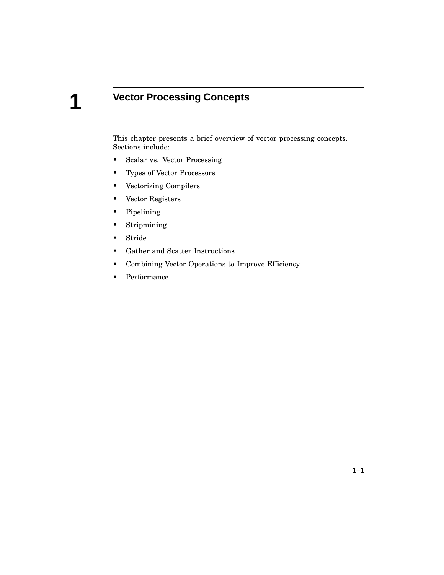# **Vector Processing Concepts**

This chapter presents a brief overview of vector processing concepts. Sections include:

- Scalar vs. Vector Processing
- Types of Vector Processors
- Vectorizing Compilers
- Vector Registers
- Pipelining
- Stripmining
- Stride

**1**

- Gather and Scatter Instructions
- Combining Vector Operations to Improve Efficiency
- Performance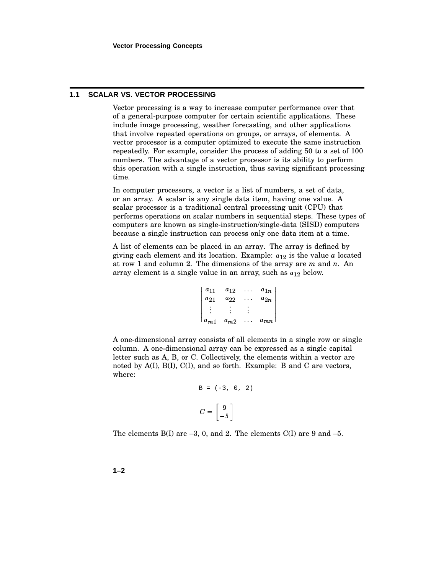#### **1.1 SCALAR VS. VECTOR PROCESSING**

Vector processing is a way to increase computer performance over that of a general-purpose computer for certain scientific applications. These include image processing, weather forecasting, and other applications that involve repeated operations on groups, or arrays, of elements. A vector processor is a computer optimized to execute the same instruction repeatedly. For example, consider the process of adding 50 to a set of 100 numbers. The advantage of a vector processor is its ability to perform this operation with a single instruction, thus saving significant processing time.

In computer processors, a vector is a list of numbers, a set of data, or an array. A scalar is any single data item, having one value. A scalar processor is a traditional central processing unit (CPU) that performs operations on scalar numbers in sequential steps. These types of computers are known as single-instruction/single-data (SISD) computers because a single instruction can process only one data item at a time.

A list of elements can be placed in an array. The array is defined by giving each element and its location. Example:  $a_{12}$  is the value  $a$  located at row 1 and column 2. The dimensions of the array are *m* and *n*. An array element is a single value in an array, such as  $a_{12}$  below.

| $ a_{11} $    | $a_{12}$ $a_{1n}$                  |                   |          |
|---------------|------------------------------------|-------------------|----------|
| $a_{21}$      | $a_{22}$                           | <b>Contractor</b> | $a_{2n}$ |
| $\frac{1}{2}$ |                                    |                   |          |
|               | $a_{m1}$ $a_{m2}$ $\dots$ $a_{mn}$ |                   |          |

A one-dimensional array consists of all elements in a single row or single column. A one-dimensional array can be expressed as a single capital letter such as A, B, or C. Collectively, the elements within a vector are noted by  $A(I)$ ,  $B(I)$ ,  $C(I)$ , and so forth. Example: B and C are vectors, where:

$$
B = (-3, 0, 2)
$$

$$
C = \begin{bmatrix} 9 \\ -5 \end{bmatrix}
$$

The elements  $B(I)$  are  $-3$ , 0, and 2. The elements  $C(I)$  are 9 and  $-5$ .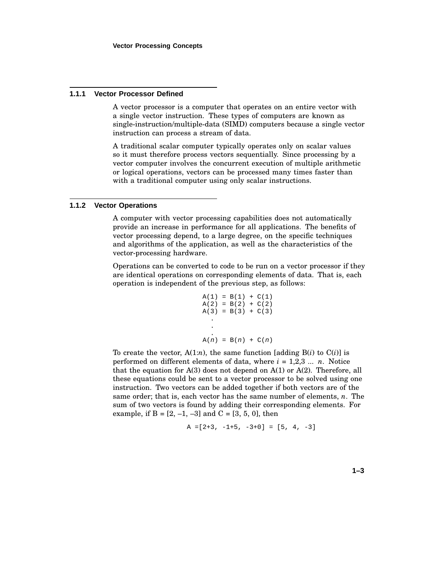#### **1.1.1 Vector Processor Defined**

A vector processor is a computer that operates on an entire vector with a single vector instruction. These types of computers are known as single-instruction/multiple-data (SIMD) computers because a single vector instruction can process a stream of data.

A traditional scalar computer typically operates only on scalar values so it must therefore process vectors sequentially. Since processing by a vector computer involves the concurrent execution of multiple arithmetic or logical operations, vectors can be processed many times faster than with a traditional computer using only scalar instructions.

#### **1.1.2 Vector Operations**

A computer with vector processing capabilities does not automatically provide an increase in performance for all applications. The benefits of vector processing depend, to a large degree, on the specific techniques and algorithms of the application, as well as the characteristics of the vector-processing hardware.

Operations can be converted to code to be run on a vector processor if they are identical operations on corresponding elements of data. That is, each operation is independent of the previous step, as follows:

$$
A(1) = B(1) + C(1)
$$
  
\n
$$
A(2) = B(2) + C(2)
$$
  
\n
$$
A(3) = B(3) + C(3)
$$
  
\n
$$
\vdots
$$
  
\n
$$
A(n) = B(n) + C(n)
$$

To create the vector,  $A(1:n)$ , the same function [adding  $B(i)$  to  $C(i)$ ] is performed on different elements of data, where *i* = 1,2,3 ... *n*. Notice that the equation for A(3) does not depend on A(1) or A(2). Therefore, all these equations could be sent to a vector processor to be solved using one instruction. Two vectors can be added together if both vectors are of the same order; that is, each vector has the same number of elements, *n*. The sum of two vectors is found by adding their corresponding elements. For example, if  $B = [2, -1, -3]$  and  $C = [3, 5, 0]$ , then

$$
A = [2+3, -1+5, -3+0] = [5, 4, -3]
$$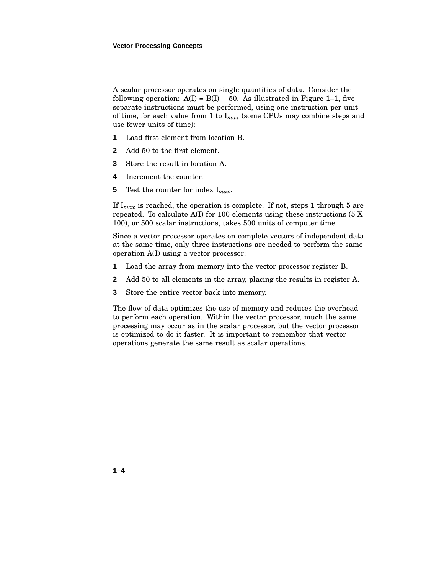A scalar processor operates on single quantities of data. Consider the following operation:  $A(I) = B(I) + 50$ . As illustrated in Figure 1–1, five separate instructions must be performed, using one instruction per unit of time, for each value from 1 to I*max* (some CPUs may combine steps and use fewer units of time):

- **1** Load first element from location B.
- **2** Add 50 to the first element.
- **3** Store the result in location A.
- **4** Increment the counter.
- **5** Test the counter for index I*max*.

If  $I_{max}$  is reached, the operation is complete. If not, steps 1 through 5 are repeated. To calculate A(I) for 100 elements using these instructions (5 X 100), or 500 scalar instructions, takes 500 units of computer time.

Since a vector processor operates on complete vectors of independent data at the same time, only three instructions are needed to perform the same operation A(I) using a vector processor:

- **1** Load the array from memory into the vector processor register B.
- **2** Add 50 to all elements in the array, placing the results in register A.
- **3** Store the entire vector back into memory.

The flow of data optimizes the use of memory and reduces the overhead to perform each operation. Within the vector processor, much the same processing may occur as in the scalar processor, but the vector processor is optimized to do it faster. It is important to remember that vector operations generate the same result as scalar operations.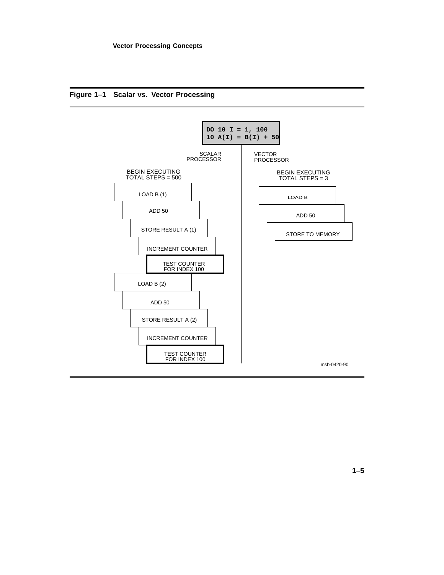

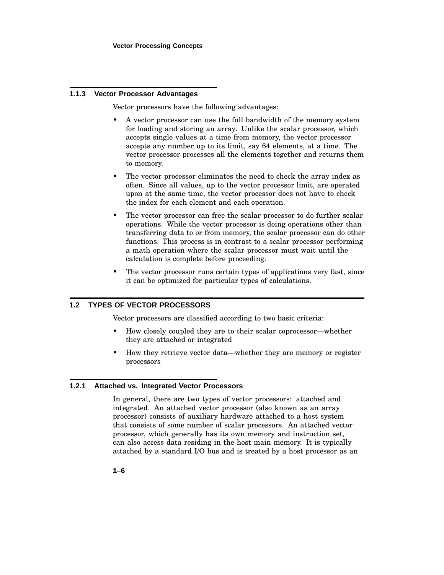#### **1.1.3 Vector Processor Advantages**

Vector processors have the following advantages:

- A vector processor can use the full bandwidth of the memory system for loading and storing an array. Unlike the scalar processor, which accepts single values at a time from memory, the vector processor accepts any number up to its limit, say 64 elements, at a time. The vector processor processes all the elements together and returns them to memory.
- The vector processor eliminates the need to check the array index as often. Since all values, up to the vector processor limit, are operated upon at the same time, the vector processor does not have to check the index for each element and each operation.
- The vector processor can free the scalar processor to do further scalar operations. While the vector processor is doing operations other than transferring data to or from memory, the scalar processor can do other functions. This process is in contrast to a scalar processor performing a math operation where the scalar processor must wait until the calculation is complete before proceeding.
- The vector processor runs certain types of applications very fast, since it can be optimized for particular types of calculations.

#### **1.2 TYPES OF VECTOR PROCESSORS**

Vector processors are classified according to two basic criteria:

- How closely coupled they are to their scalar coprocessor—whether they are attached or integrated
- How they retrieve vector data—whether they are memory or register processors

#### **1.2.1 Attached vs. Integrated Vector Processors**

In general, there are two types of vector processors: attached and integrated. An attached vector processor (also known as an array processor) consists of auxiliary hardware attached to a host system that consists of some number of scalar processors. An attached vector processor, which generally has its own memory and instruction set, can also access data residing in the host main memory. It is typically attached by a standard I/O bus and is treated by a host processor as an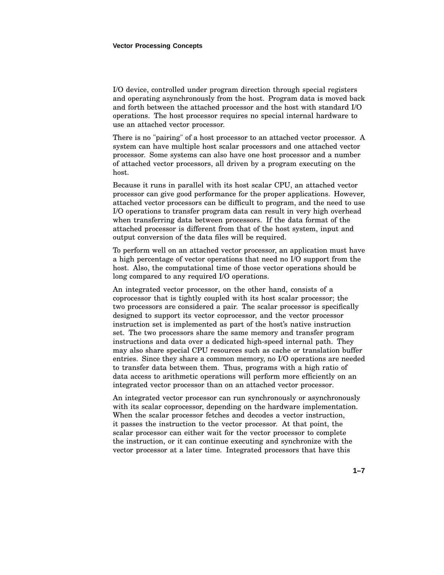I/O device, controlled under program direction through special registers and operating asynchronously from the host. Program data is moved back and forth between the attached processor and the host with standard I/O operations. The host processor requires no special internal hardware to use an attached vector processor.

There is no "pairing" of a host processor to an attached vector processor. A system can have multiple host scalar processors and one attached vector processor. Some systems can also have one host processor and a number of attached vector processors, all driven by a program executing on the host.

Because it runs in parallel with its host scalar CPU, an attached vector processor can give good performance for the proper applications. However, attached vector processors can be difficult to program, and the need to use I/O operations to transfer program data can result in very high overhead when transferring data between processors. If the data format of the attached processor is different from that of the host system, input and output conversion of the data files will be required.

To perform well on an attached vector processor, an application must have a high percentage of vector operations that need no I/O support from the host. Also, the computational time of those vector operations should be long compared to any required I/O operations.

An integrated vector processor, on the other hand, consists of a coprocessor that is tightly coupled with its host scalar processor; the two processors are considered a pair. The scalar processor is specifically designed to support its vector coprocessor, and the vector processor instruction set is implemented as part of the host's native instruction set. The two processors share the same memory and transfer program instructions and data over a dedicated high-speed internal path. They may also share special CPU resources such as cache or translation buffer entries. Since they share a common memory, no I/O operations are needed to transfer data between them. Thus, programs with a high ratio of data access to arithmetic operations will perform more efficiently on an integrated vector processor than on an attached vector processor.

An integrated vector processor can run synchronously or asynchronously with its scalar coprocessor, depending on the hardware implementation. When the scalar processor fetches and decodes a vector instruction, it passes the instruction to the vector processor. At that point, the scalar processor can either wait for the vector processor to complete the instruction, or it can continue executing and synchronize with the vector processor at a later time. Integrated processors that have this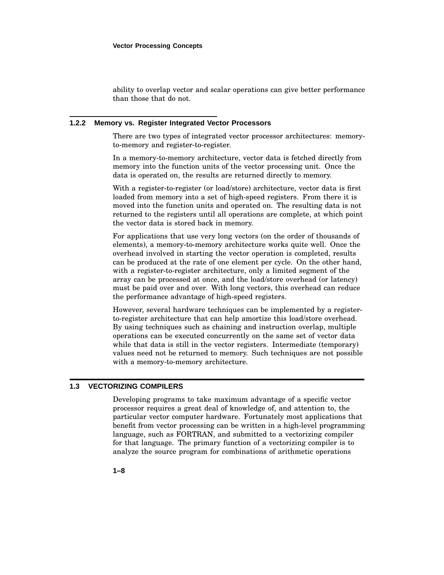ability to overlap vector and scalar operations can give better performance than those that do not.

#### **1.2.2 Memory vs. Register Integrated Vector Processors**

There are two types of integrated vector processor architectures: memoryto-memory and register-to-register.

In a memory-to-memory architecture, vector data is fetched directly from memory into the function units of the vector processing unit. Once the data is operated on, the results are returned directly to memory.

With a register-to-register (or load/store) architecture, vector data is first loaded from memory into a set of high-speed registers. From there it is moved into the function units and operated on. The resulting data is not returned to the registers until all operations are complete, at which point the vector data is stored back in memory.

For applications that use very long vectors (on the order of thousands of elements), a memory-to-memory architecture works quite well. Once the overhead involved in starting the vector operation is completed, results can be produced at the rate of one element per cycle. On the other hand, with a register-to-register architecture, only a limited segment of the array can be processed at once, and the load/store overhead (or latency) must be paid over and over. With long vectors, this overhead can reduce the performance advantage of high-speed registers.

However, several hardware techniques can be implemented by a registerto-register architecture that can help amortize this load/store overhead. By using techniques such as chaining and instruction overlap, multiple operations can be executed concurrently on the same set of vector data while that data is still in the vector registers. Intermediate (temporary) values need not be returned to memory. Such techniques are not possible with a memory-to-memory architecture.

#### **1.3 VECTORIZING COMPILERS**

Developing programs to take maximum advantage of a specific vector processor requires a great deal of knowledge of, and attention to, the particular vector computer hardware. Fortunately most applications that benefit from vector processing can be written in a high-level programming language, such as FORTRAN, and submitted to a vectorizing compiler for that language. The primary function of a vectorizing compiler is to analyze the source program for combinations of arithmetic operations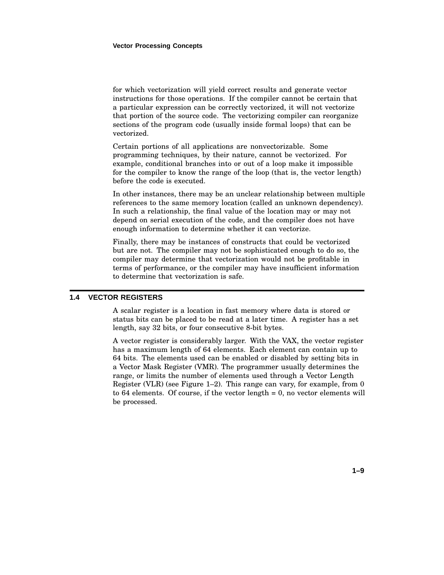for which vectorization will yield correct results and generate vector instructions for those operations. If the compiler cannot be certain that a particular expression can be correctly vectorized, it will not vectorize that portion of the source code. The vectorizing compiler can reorganize sections of the program code (usually inside formal loops) that can be vectorized.

Certain portions of all applications are nonvectorizable. Some programming techniques, by their nature, cannot be vectorized. For example, conditional branches into or out of a loop make it impossible for the compiler to know the range of the loop (that is, the vector length) before the code is executed.

In other instances, there may be an unclear relationship between multiple references to the same memory location (called an unknown dependency). In such a relationship, the final value of the location may or may not depend on serial execution of the code, and the compiler does not have enough information to determine whether it can vectorize.

Finally, there may be instances of constructs that could be vectorized but are not. The compiler may not be sophisticated enough to do so, the compiler may determine that vectorization would not be profitable in terms of performance, or the compiler may have insufficient information to determine that vectorization is safe.

#### **1.4 VECTOR REGISTERS**

A scalar register is a location in fast memory where data is stored or status bits can be placed to be read at a later time. A register has a set length, say 32 bits, or four consecutive 8-bit bytes.

A vector register is considerably larger. With the VAX, the vector register has a maximum length of 64 elements. Each element can contain up to 64 bits. The elements used can be enabled or disabled by setting bits in a Vector Mask Register (VMR). The programmer usually determines the range, or limits the number of elements used through a Vector Length Register (VLR) (see Figure 1–2). This range can vary, for example, from 0 to 64 elements. Of course, if the vector length = 0, no vector elements will be processed.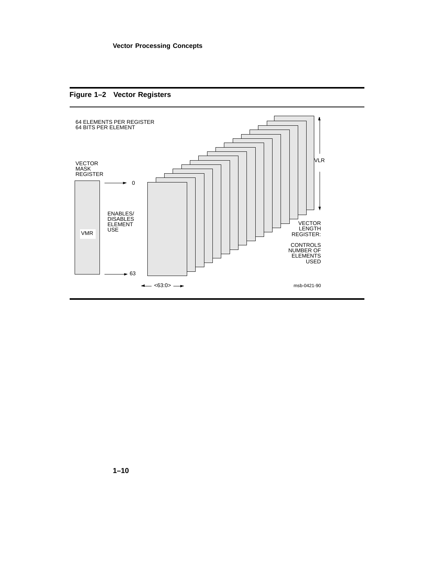



**1–10**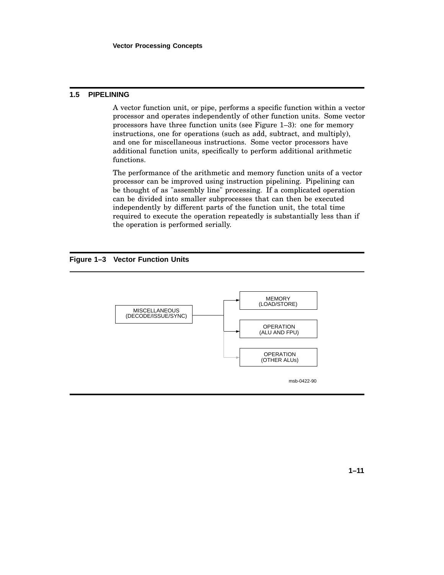#### **1.5 PIPELINING**

A vector function unit, or pipe, performs a specific function within a vector processor and operates independently of other function units. Some vector processors have three function units (see Figure 1–3): one for memory instructions, one for operations (such as add, subtract, and multiply), and one for miscellaneous instructions. Some vector processors have additional function units, specifically to perform additional arithmetic functions.

The performance of the arithmetic and memory function units of a vector processor can be improved using instruction pipelining. Pipelining can be thought of as "assembly line" processing. If a complicated operation can be divided into smaller subprocesses that can then be executed independently by different parts of the function unit, the total time required to execute the operation repeatedly is substantially less than if the operation is performed serially.

**Figure 1–3 Vector Function Units**

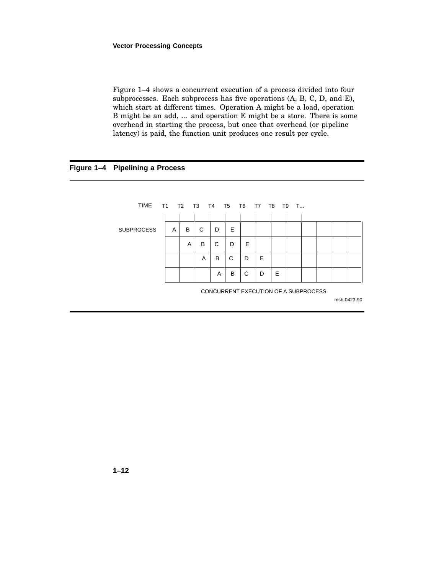#### **Vector Processing Concepts**

Figure 1–4 shows a concurrent execution of a process divided into four subprocesses. Each subprocess has five operations (A, B, C, D, and E), which start at different times. Operation A might be a load, operation B might be an add, ... and operation E might be a store. There is some overhead in starting the process, but once that overhead (or pipeline latency) is paid, the function unit produces one result per cycle.

### **Figure 1–4 Pipelining a Process**

| TIME              |   |   |   |   |   |   | T1 T2 T3 T4 T5 T6 T7 T8              | T9 | - T |  |             |  |
|-------------------|---|---|---|---|---|---|--------------------------------------|----|-----|--|-------------|--|
|                   |   |   |   |   |   |   |                                      |    |     |  |             |  |
| <b>SUBPROCESS</b> | A | B | C | D | Е |   |                                      |    |     |  |             |  |
|                   |   | A | B | C | D | E |                                      |    |     |  |             |  |
|                   |   |   | A | B | C | D | E                                    |    |     |  |             |  |
|                   |   |   |   | A | B | C | D                                    | Е  |     |  |             |  |
|                   |   |   |   |   |   |   | CONCURRENT EXECUTION OF A SUBPROCESS |    |     |  | msb-0423-90 |  |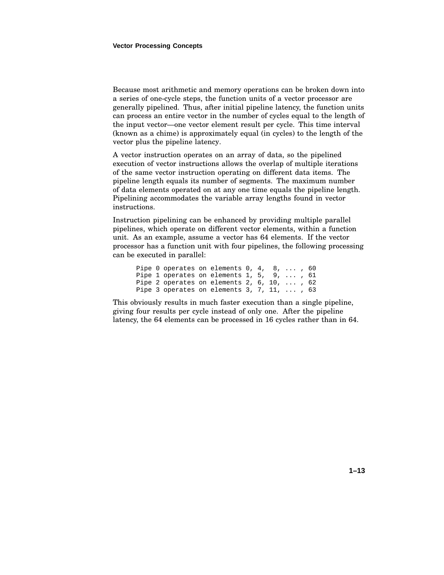Because most arithmetic and memory operations can be broken down into a series of one-cycle steps, the function units of a vector processor are generally pipelined. Thus, after initial pipeline latency, the function units can process an entire vector in the number of cycles equal to the length of the input vector—one vector element result per cycle. This time interval (known as a chime) is approximately equal (in cycles) to the length of the vector plus the pipeline latency.

A vector instruction operates on an array of data, so the pipelined execution of vector instructions allows the overlap of multiple iterations of the same vector instruction operating on different data items. The pipeline length equals its number of segments. The maximum number of data elements operated on at any one time equals the pipeline length. Pipelining accommodates the variable array lengths found in vector instructions.

Instruction pipelining can be enhanced by providing multiple parallel pipelines, which operate on different vector elements, within a function unit. As an example, assume a vector has 64 elements. If the vector processor has a function unit with four pipelines, the following processing can be executed in parallel:

Pipe 0 operates on elements 0, 4, 8, ..., 60 Pipe 1 operates on elements 1, 5, 9, ... , 61 Pipe 2 operates on elements 2, 6, 10, ... , 62 Pipe 3 operates on elements 3, 7, 11, ... , 63

This obviously results in much faster execution than a single pipeline, giving four results per cycle instead of only one. After the pipeline latency, the 64 elements can be processed in 16 cycles rather than in 64.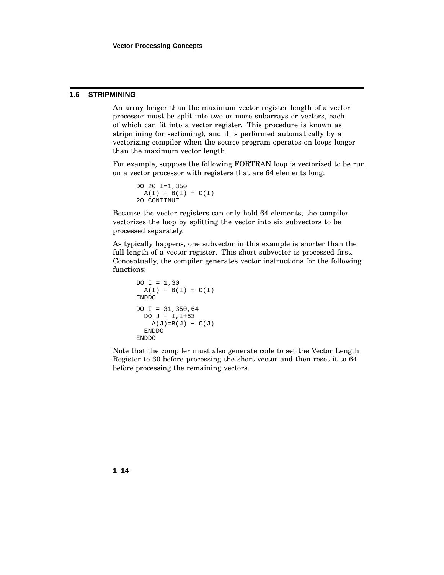#### **1.6 STRIPMINING**

An array longer than the maximum vector register length of a vector processor must be split into two or more subarrays or vectors, each of which can fit into a vector register. This procedure is known as stripmining (or sectioning), and it is performed automatically by a vectorizing compiler when the source program operates on loops longer than the maximum vector length.

For example, suppose the following FORTRAN loop is vectorized to be run on a vector processor with registers that are 64 elements long:

```
DO 20 I=1,350
 A(I) = B(I) + C(I)20 CONTINUE
```
Because the vector registers can only hold 64 elements, the compiler vectorizes the loop by splitting the vector into six subvectors to be processed separately.

As typically happens, one subvector in this example is shorter than the full length of a vector register. This short subvector is processed first. Conceptually, the compiler generates vector instructions for the following functions:

```
DO I = 1,30A(I) = B(I) + C(I)ENDDO
DO I = 31, 350, 64DO J = I, I+63A(J)=B(J) + C(J)ENDDO
ENDDO
```
Note that the compiler must also generate code to set the Vector Length Register to 30 before processing the short vector and then reset it to 64 before processing the remaining vectors.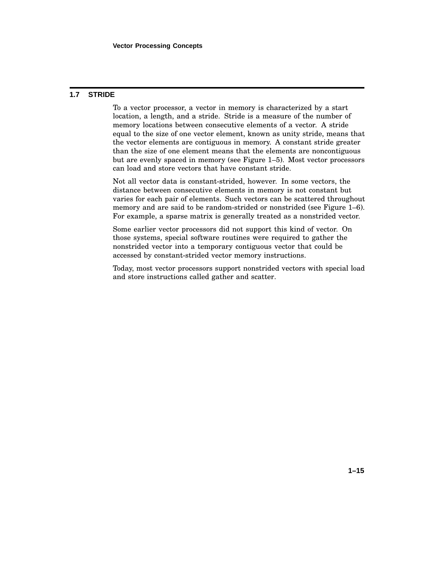#### **1.7 STRIDE**

To a vector processor, a vector in memory is characterized by a start location, a length, and a stride. Stride is a measure of the number of memory locations between consecutive elements of a vector. A stride equal to the size of one vector element, known as unity stride, means that the vector elements are contiguous in memory. A constant stride greater than the size of one element means that the elements are noncontiguous but are evenly spaced in memory (see Figure 1–5). Most vector processors can load and store vectors that have constant stride.

Not all vector data is constant-strided, however. In some vectors, the distance between consecutive elements in memory is not constant but varies for each pair of elements. Such vectors can be scattered throughout memory and are said to be random-strided or nonstrided (see Figure 1–6). For example, a sparse matrix is generally treated as a nonstrided vector.

Some earlier vector processors did not support this kind of vector. On those systems, special software routines were required to gather the nonstrided vector into a temporary contiguous vector that could be accessed by constant-strided vector memory instructions.

Today, most vector processors support nonstrided vectors with special load and store instructions called gather and scatter.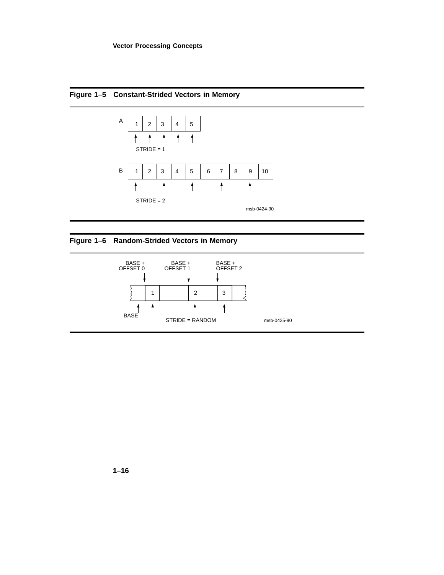



## **Figure 1–6 Random-Strided Vectors in Memory**

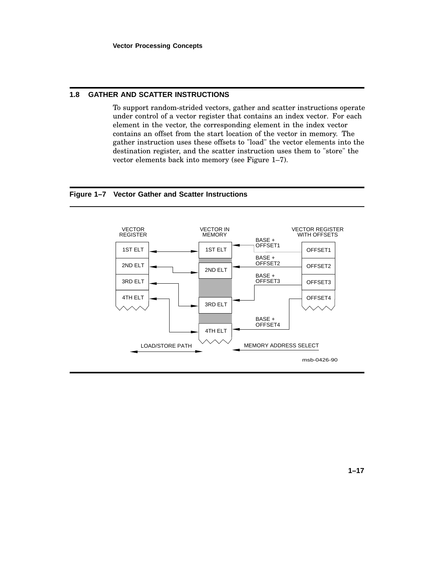#### **1.8 GATHER AND SCATTER INSTRUCTIONS**

To support random-strided vectors, gather and scatter instructions operate under control of a vector register that contains an index vector. For each element in the vector, the corresponding element in the index vector contains an offset from the start location of the vector in memory. The gather instruction uses these offsets to "load" the vector elements into the destination register, and the scatter instruction uses them to "store" the vector elements back into memory (see Figure 1–7).

#### **Figure 1–7 Vector Gather and Scatter Instructions**

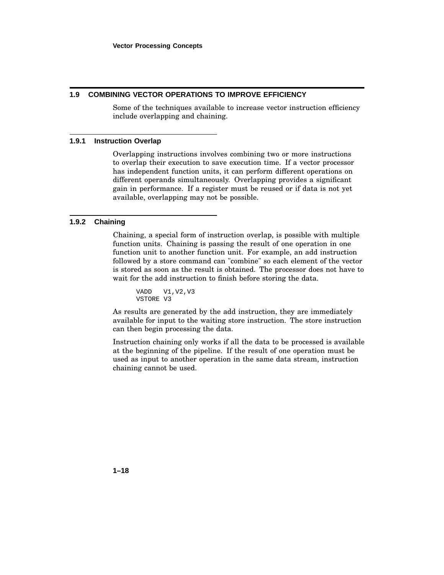#### **1.9 COMBINING VECTOR OPERATIONS TO IMPROVE EFFICIENCY**

Some of the techniques available to increase vector instruction efficiency include overlapping and chaining.

#### **1.9.1 Instruction Overlap**

Overlapping instructions involves combining two or more instructions to overlap their execution to save execution time. If a vector processor has independent function units, it can perform different operations on different operands simultaneously. Overlapping provides a significant gain in performance. If a register must be reused or if data is not yet available, overlapping may not be possible.

#### **1.9.2 Chaining**

Chaining, a special form of instruction overlap, is possible with multiple function units. Chaining is passing the result of one operation in one function unit to another function unit. For example, an add instruction followed by a store command can "combine" so each element of the vector is stored as soon as the result is obtained. The processor does not have to wait for the add instruction to finish before storing the data.

```
VADD V1,V2,V3
VSTORE V3
```
As results are generated by the add instruction, they are immediately available for input to the waiting store instruction. The store instruction can then begin processing the data.

Instruction chaining only works if all the data to be processed is available at the beginning of the pipeline. If the result of one operation must be used as input to another operation in the same data stream, instruction chaining cannot be used.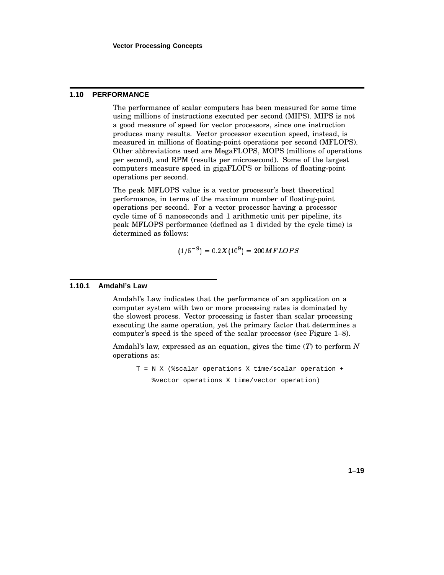#### **1.10 PERFORMANCE**

The performance of scalar computers has been measured for some time using millions of instructions executed per second (MIPS). MIPS is not a good measure of speed for vector processors, since one instruction produces many results. Vector processor execution speed, instead, is measured in millions of floating-point operations per second (MFLOPS). Other abbreviations used are MegaFLOPS, MOPS (millions of operations per second), and RPM (results per microsecond). Some of the largest computers measure speed in gigaFLOPS or billions of floating-point operations per second.

The peak MFLOPS value is a vector processor's best theoretical performance, in terms of the maximum number of floating-point operations per second. For a vector processor having a processor cycle time of 5 nanoseconds and 1 arithmetic unit per pipeline, its peak MFLOPS performance (defined as 1 divided by the cycle time) is determined as follows:  $\frac{1}{2}$ 

$$
(1/5^{-9}) = 0.2X(10^9) = 200M FLOPS
$$

#### **1.10.1 Amdahl's Law**

Amdahl's Law indicates that the performance of an application on a computer system with two or more processing rates is dominated by the slowest process. Vector processing is faster than scalar processing executing the same operation, yet the primary factor that determines a computer's speed is the speed of the scalar processor (see Figure 1–8).

Amdahl's law, expressed as an equation, gives the time (*T*) to perform *N* operations as:

T = N X (%scalar operations X time/scalar operation + %vector operations X time/vector operation)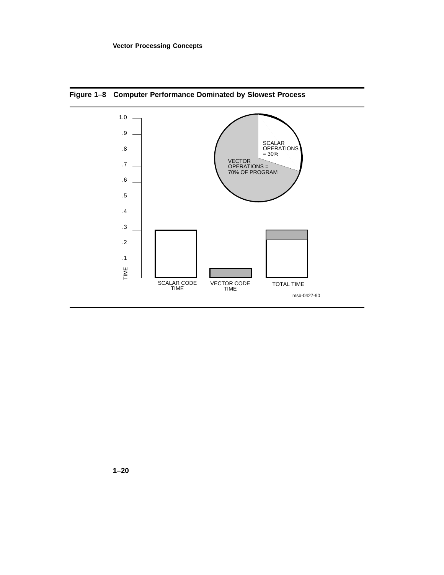

**Figure 1–8 Computer Performance Dominated by Slowest Process**

**1–20**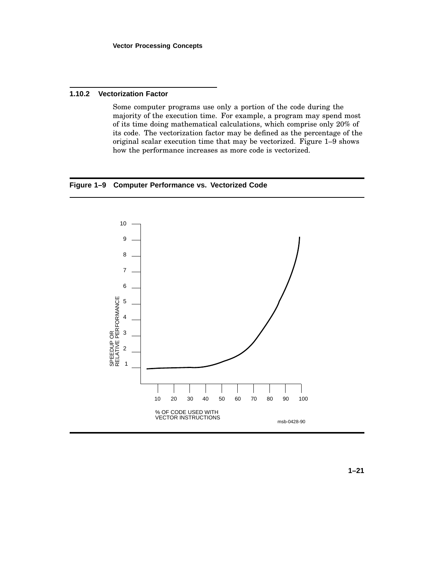#### **1.10.2 Vectorization Factor**

Some computer programs use only a portion of the code during the majority of the execution time. For example, a program may spend most of its time doing mathematical calculations, which comprise only 20% of its code. The vectorization factor may be defined as the percentage of the original scalar execution time that may be vectorized. Figure 1–9 shows how the performance increases as more code is vectorized.

#### **Figure 1–9 Computer Performance vs. Vectorized Code**

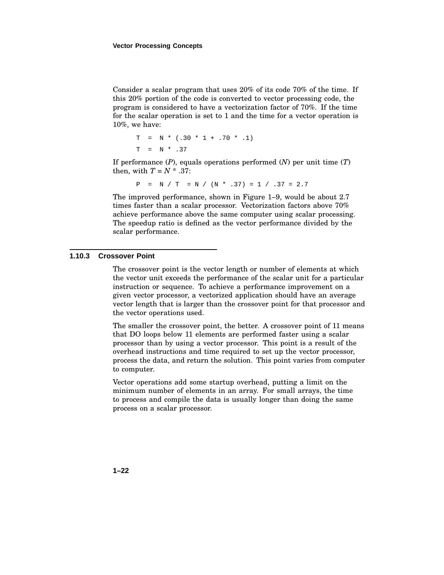Consider a scalar program that uses 20% of its code 70% of the time. If this 20% portion of the code is converted to vector processing code, the program is considered to have a vectorization factor of 70%. If the time for the scalar operation is set to 1 and the time for a vector operation is 10%, we have:

$$
T = N * (.30 * 1 + .70 * .1)
$$
  
 $T = N * .37$ 

If performance (*P*), equals operations performed (*N*) per unit time (*T*) then, with  $T = N^*$ .37:

$$
P = N / T = N / (N * .37) = 1 / .37 = 2.7
$$

The improved performance, shown in Figure 1–9, would be about 2.7 times faster than a scalar processor. Vectorization factors above 70% achieve performance above the same computer using scalar processing. The speedup ratio is defined as the vector performance divided by the scalar performance.

#### **1.10.3 Crossover Point**

The crossover point is the vector length or number of elements at which the vector unit exceeds the performance of the scalar unit for a particular instruction or sequence. To achieve a performance improvement on a given vector processor, a vectorized application should have an average vector length that is larger than the crossover point for that processor and the vector operations used.

The smaller the crossover point, the better. A crossover point of 11 means that DO loops below 11 elements are performed faster using a scalar processor than by using a vector processor. This point is a result of the overhead instructions and time required to set up the vector processor, process the data, and return the solution. This point varies from computer to computer.

Vector operations add some startup overhead, putting a limit on the minimum number of elements in an array. For small arrays, the time to process and compile the data is usually longer than doing the same process on a scalar processor.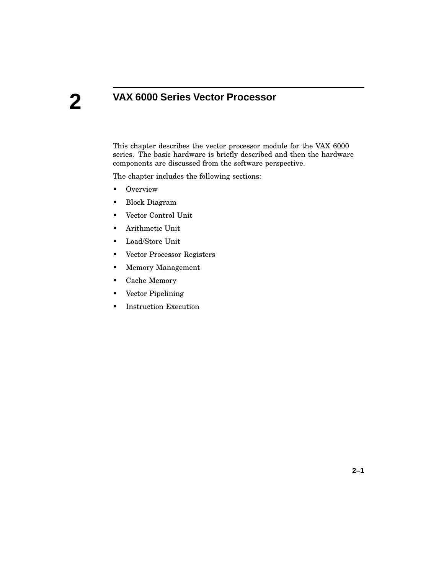# **VAX 6000 Series Vector Processor**

This chapter describes the vector processor module for the VAX 6000 series. The basic hardware is briefly described and then the hardware components are discussed from the software perspective.

The chapter includes the following sections:

- Overview
- Block Diagram
- Vector Control Unit
- Arithmetic Unit
- Load/Store Unit
- Vector Processor Registers
- Memory Management
- Cache Memory
- Vector Pipelining
- Instruction Execution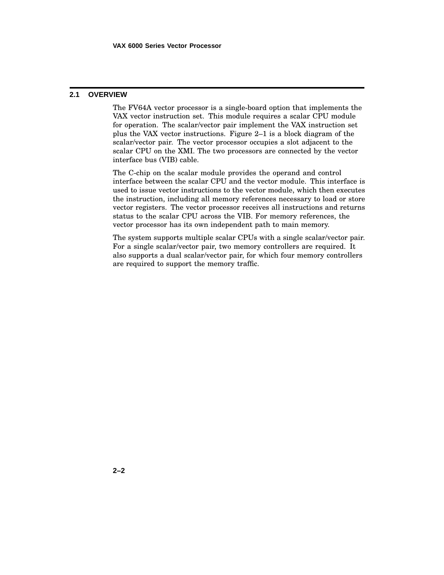#### **2.1 OVERVIEW**

The FV64A vector processor is a single-board option that implements the VAX vector instruction set. This module requires a scalar CPU module for operation. The scalar/vector pair implement the VAX instruction set plus the VAX vector instructions. Figure 2–1 is a block diagram of the scalar/vector pair. The vector processor occupies a slot adjacent to the scalar CPU on the XMI. The two processors are connected by the vector interface bus (VIB) cable.

The C-chip on the scalar module provides the operand and control interface between the scalar CPU and the vector module. This interface is used to issue vector instructions to the vector module, which then executes the instruction, including all memory references necessary to load or store vector registers. The vector processor receives all instructions and returns status to the scalar CPU across the VIB. For memory references, the vector processor has its own independent path to main memory.

The system supports multiple scalar CPUs with a single scalar/vector pair. For a single scalar/vector pair, two memory controllers are required. It also supports a dual scalar/vector pair, for which four memory controllers are required to support the memory traffic.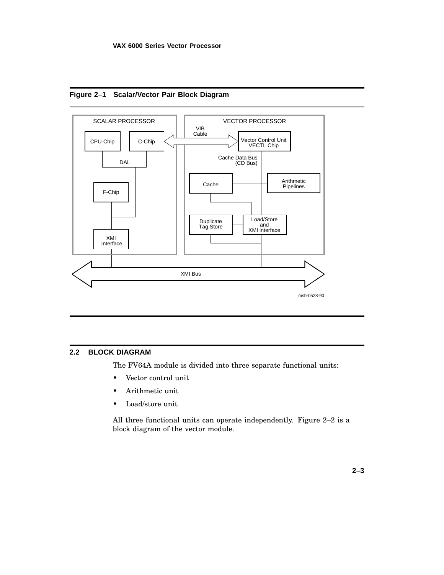



### **2.2 BLOCK DIAGRAM**

The FV64A module is divided into three separate functional units:

- Vector control unit
- Arithmetic unit
- Load/store unit

All three functional units can operate independently. Figure 2–2 is a block diagram of the vector module.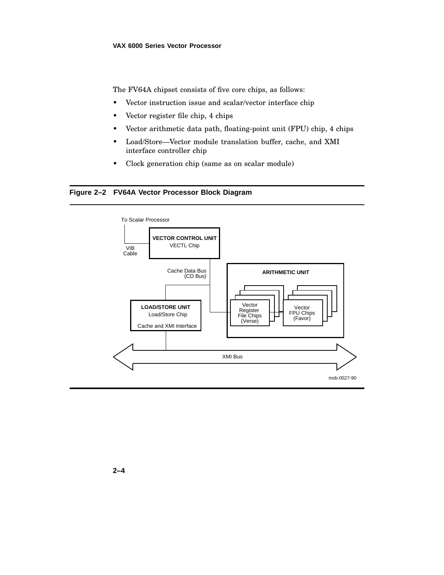The FV64A chipset consists of five core chips, as follows:

- Vector instruction issue and scalar/vector interface chip
- Vector register file chip, 4 chips
- Vector arithmetic data path, floating-point unit (FPU) chip, 4 chips
- Load/Store—Vector module translation buffer, cache, and XMI interface controller chip
- Clock generation chip (same as on scalar module)

# **Figure 2–2 FV64A Vector Processor Block Diagram**

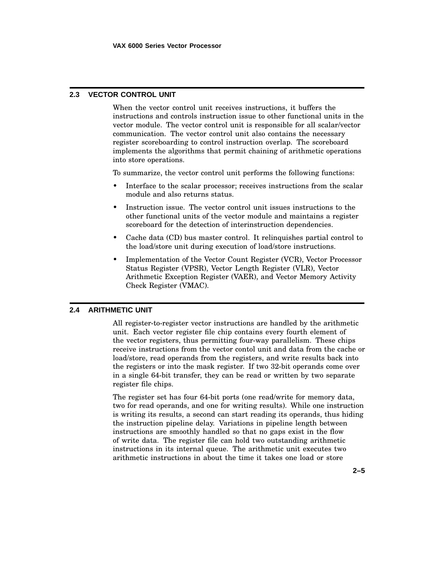# **2.3 VECTOR CONTROL UNIT**

When the vector control unit receives instructions, it buffers the instructions and controls instruction issue to other functional units in the vector module. The vector control unit is responsible for all scalar/vector communication. The vector control unit also contains the necessary register scoreboarding to control instruction overlap. The scoreboard implements the algorithms that permit chaining of arithmetic operations into store operations.

To summarize, the vector control unit performs the following functions:

- Interface to the scalar processor; receives instructions from the scalar module and also returns status.
- Instruction issue. The vector control unit issues instructions to the other functional units of the vector module and maintains a register scoreboard for the detection of interinstruction dependencies.
- Cache data (CD) bus master control. It relinquishes partial control to the load/store unit during execution of load/store instructions.
- Implementation of the Vector Count Register (VCR), Vector Processor Status Register (VPSR), Vector Length Register (VLR), Vector Arithmetic Exception Register (VAER), and Vector Memory Activity Check Register (VMAC).

# **2.4 ARITHMETIC UNIT**

All register-to-register vector instructions are handled by the arithmetic unit. Each vector register file chip contains every fourth element of the vector registers, thus permitting four-way parallelism. These chips receive instructions from the vector contol unit and data from the cache or load/store, read operands from the registers, and write results back into the registers or into the mask register. If two 32-bit operands come over in a single 64-bit transfer, they can be read or written by two separate register file chips.

The register set has four 64-bit ports (one read/write for memory data, two for read operands, and one for writing results). While one instruction is writing its results, a second can start reading its operands, thus hiding the instruction pipeline delay. Variations in pipeline length between instructions are smoothly handled so that no gaps exist in the flow of write data. The register file can hold two outstanding arithmetic instructions in its internal queue. The arithmetic unit executes two arithmetic instructions in about the time it takes one load or store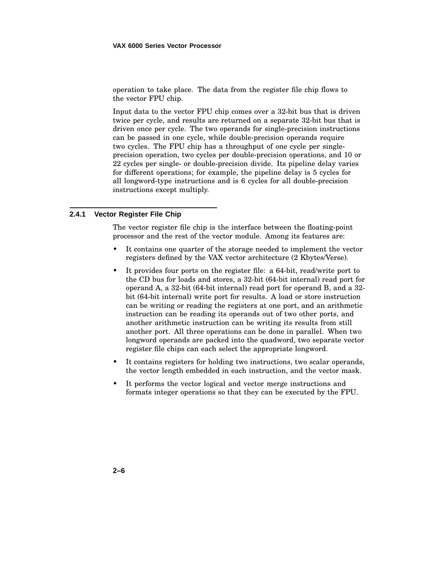operation to take place. The data from the register file chip flows to the vector FPU chip.

Input data to the vector FPU chip comes over a 32-bit bus that is driven twice per cycle, and results are returned on a separate 32-bit bus that is driven once per cycle. The two operands for single-precision instructions can be passed in one cycle, while double-precision operands require two cycles. The FPU chip has a throughput of one cycle per singleprecision operation, two cycles per double-precision operations, and 10 or 22 cycles per single- or double-precision divide. Its pipeline delay varies for different operations; for example, the pipeline delay is 5 cycles for all longword-type instructions and is 6 cycles for all double-precision instructions except multiply.

# **2.4.1 Vector Register File Chip**

The vector register file chip is the interface between the floating-point processor and the rest of the vector module. Among its features are:

- It contains one quarter of the storage needed to implement the vector registers defined by the VAX vector architecture (2 Kbytes/Verse).
- It provides four ports on the register file: a 64-bit, read/write port to the CD bus for loads and stores, a 32-bit (64-bit internal) read port for operand A, a 32-bit (64-bit internal) read port for operand B, and a 32 bit (64-bit internal) write port for results. A load or store instruction can be writing or reading the registers at one port, and an arithmetic instruction can be reading its operands out of two other ports, and another arithmetic instruction can be writing its results from still another port. All three operations can be done in parallel. When two longword operands are packed into the quadword, two separate vector register file chips can each select the appropriate longword.
- It contains registers for holding two instructions, two scalar operands, the vector length embedded in each instruction, and the vector mask.
- It performs the vector logical and vector merge instructions and formats integer operations so that they can be executed by the FPU.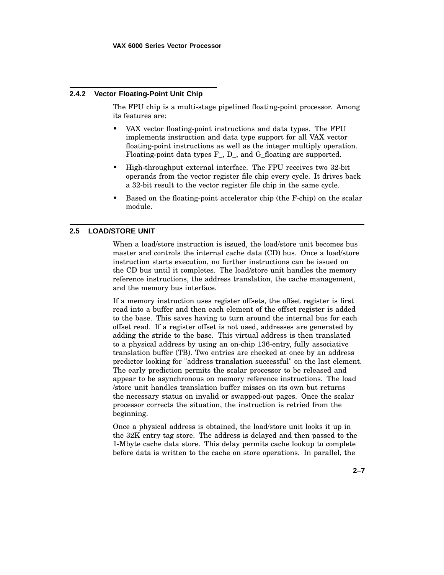### **2.4.2 Vector Floating-Point Unit Chip**

The FPU chip is a multi-stage pipelined floating-point processor. Among its features are:

- VAX vector floating-point instructions and data types. The FPU implements instruction and data type support for all VAX vector floating-point instructions as well as the integer multiply operation. Floating-point data types F\_, D\_, and G\_floating are supported.
- High-throughput external interface. The FPU receives two 32-bit operands from the vector register file chip every cycle. It drives back a 32-bit result to the vector register file chip in the same cycle.
- Based on the floating-point accelerator chip (the F-chip) on the scalar module.

# **2.5 LOAD/STORE UNIT**

When a load/store instruction is issued, the load/store unit becomes bus master and controls the internal cache data (CD) bus. Once a load/store instruction starts execution, no further instructions can be issued on the CD bus until it completes. The load/store unit handles the memory reference instructions, the address translation, the cache management, and the memory bus interface.

If a memory instruction uses register offsets, the offset register is first read into a buffer and then each element of the offset register is added to the base. This saves having to turn around the internal bus for each offset read. If a register offset is not used, addresses are generated by adding the stride to the base. This virtual address is then translated to a physical address by using an on-chip 136-entry, fully associative translation buffer (TB). Two entries are checked at once by an address predictor looking for "address translation successful" on the last element. The early prediction permits the scalar processor to be released and appear to be asynchronous on memory reference instructions. The load /store unit handles translation buffer misses on its own but returns the necessary status on invalid or swapped-out pages. Once the scalar processor corrects the situation, the instruction is retried from the beginning.

Once a physical address is obtained, the load/store unit looks it up in the 32K entry tag store. The address is delayed and then passed to the 1-Mbyte cache data store. This delay permits cache lookup to complete before data is written to the cache on store operations. In parallel, the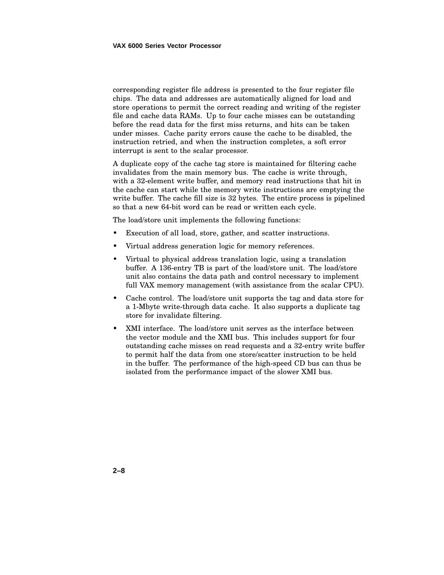corresponding register file address is presented to the four register file chips. The data and addresses are automatically aligned for load and store operations to permit the correct reading and writing of the register file and cache data RAMs. Up to four cache misses can be outstanding before the read data for the first miss returns, and hits can be taken under misses. Cache parity errors cause the cache to be disabled, the instruction retried, and when the instruction completes, a soft error interrupt is sent to the scalar processor.

A duplicate copy of the cache tag store is maintained for filtering cache invalidates from the main memory bus. The cache is write through, with a 32-element write buffer, and memory read instructions that hit in the cache can start while the memory write instructions are emptying the write buffer. The cache fill size is 32 bytes. The entire process is pipelined so that a new 64-bit word can be read or written each cycle.

The load/store unit implements the following functions:

- Execution of all load, store, gather, and scatter instructions.
- Virtual address generation logic for memory references.
- Virtual to physical address translation logic, using a translation buffer. A 136-entry TB is part of the load/store unit. The load/store unit also contains the data path and control necessary to implement full VAX memory management (with assistance from the scalar CPU).
- Cache control. The load/store unit supports the tag and data store for a 1-Mbyte write-through data cache. It also supports a duplicate tag store for invalidate filtering.
- XMI interface. The load/store unit serves as the interface between the vector module and the XMI bus. This includes support for four outstanding cache misses on read requests and a 32-entry write buffer to permit half the data from one store/scatter instruction to be held in the buffer. The performance of the high-speed CD bus can thus be isolated from the performance impact of the slower XMI bus.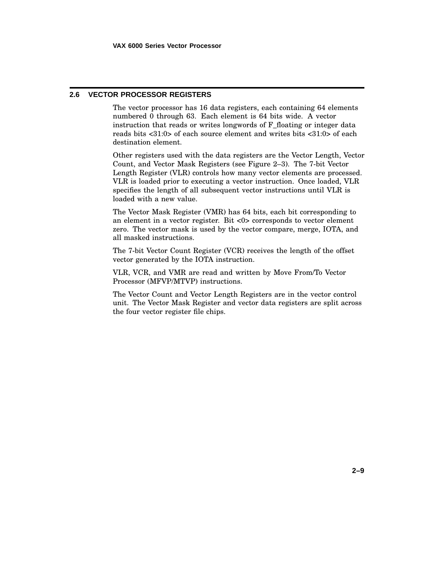# **2.6 VECTOR PROCESSOR REGISTERS**

The vector processor has 16 data registers, each containing 64 elements numbered 0 through 63. Each element is 64 bits wide. A vector instruction that reads or writes longwords of F\_floating or integer data reads bits <31:0> of each source element and writes bits <31:0> of each destination element.

Other registers used with the data registers are the Vector Length, Vector Count, and Vector Mask Registers (see Figure 2–3). The 7-bit Vector Length Register (VLR) controls how many vector elements are processed. VLR is loaded prior to executing a vector instruction. Once loaded, VLR specifies the length of all subsequent vector instructions until VLR is loaded with a new value.

The Vector Mask Register (VMR) has 64 bits, each bit corresponding to an element in a vector register. Bit <0> corresponds to vector element zero. The vector mask is used by the vector compare, merge, IOTA, and all masked instructions.

The 7-bit Vector Count Register (VCR) receives the length of the offset vector generated by the IOTA instruction.

VLR, VCR, and VMR are read and written by Move From/To Vector Processor (MFVP/MTVP) instructions.

The Vector Count and Vector Length Registers are in the vector control unit. The Vector Mask Register and vector data registers are split across the four vector register file chips.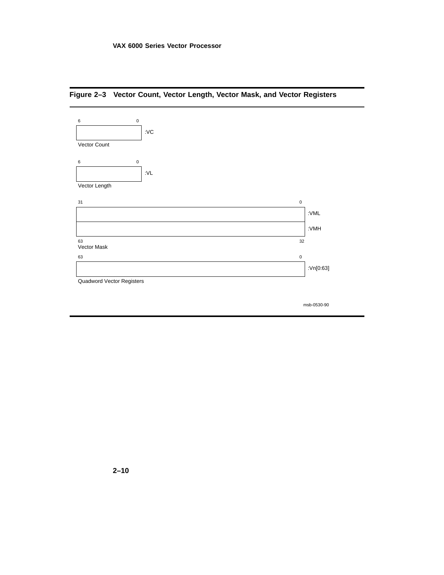

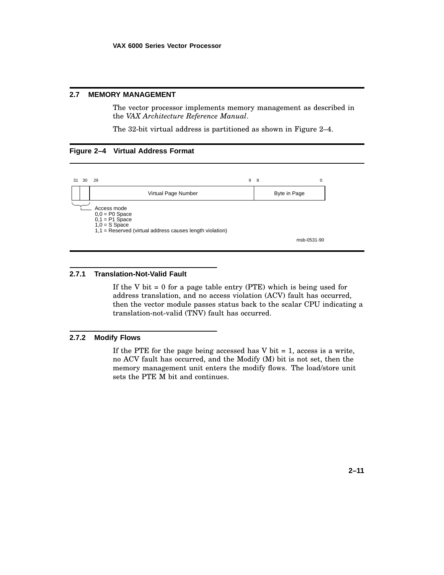# **2.7 MEMORY MANAGEMENT**

The vector processor implements memory management as described in the *VAX Architecture Reference Manual*.

The 32-bit virtual address is partitioned as shown in Figure 2–4.

# **Figure 2–4 Virtual Address Format**



### **2.7.1 Translation-Not-Valid Fault**

If the V bit  $= 0$  for a page table entry (PTE) which is being used for address translation, and no access violation (ACV) fault has occurred, then the vector module passes status back to the scalar CPU indicating a translation-not-valid (TNV) fault has occurred.

# **2.7.2 Modify Flows**

If the PTE for the page being accessed has  $V$  bit = 1, access is a write, no ACV fault has occurred, and the Modify (M) bit is not set, then the memory management unit enters the modify flows. The load/store unit sets the PTE M bit and continues.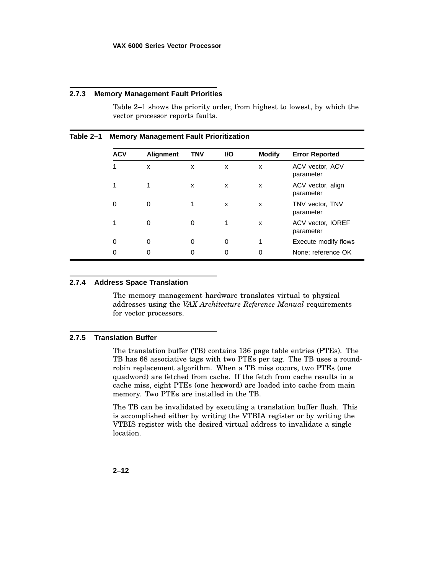### **2.7.3 Memory Management Fault Priorities**

Table 2–1 shows the priority order, from highest to lowest, by which the vector processor reports faults.

| <b>ACV</b> | <b>Alignment</b> | <b>TNV</b> | <b>VO</b> | <b>Modify</b> | <b>Error Reported</b>          |
|------------|------------------|------------|-----------|---------------|--------------------------------|
| 1          | X                | x          | x         | X             | ACV vector, ACV<br>parameter   |
| 1          | 1                | x          | x         | x             | ACV vector, align<br>parameter |
| 0          | 0                | 1          | x         | x             | TNV vector, TNV<br>parameter   |
| 1          | 0                | 0          | 1         | X             | ACV vector, IOREF<br>parameter |
| 0          | 0                | 0          | 0         |               | Execute modify flows           |
| 0          | 0                | 0          | 0         | 0             | None; reference OK             |

# **Table 2–1 Memory Management Fault Prioritization**

### **2.7.4 Address Space Translation**

The memory management hardware translates virtual to physical addresses using the *VAX Architecture Reference Manual* requirements for vector processors.

# **2.7.5 Translation Buffer**

The translation buffer (TB) contains 136 page table entries (PTEs). The TB has 68 associative tags with two PTEs per tag. The TB uses a roundrobin replacement algorithm. When a TB miss occurs, two PTEs (one quadword) are fetched from cache. If the fetch from cache results in a cache miss, eight PTEs (one hexword) are loaded into cache from main memory. Two PTEs are installed in the TB.

The TB can be invalidated by executing a translation buffer flush. This is accomplished either by writing the VTBIA register or by writing the VTBIS register with the desired virtual address to invalidate a single location.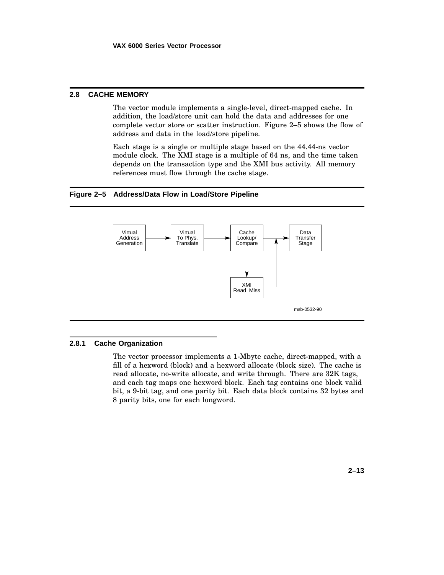# **2.8 CACHE MEMORY**

The vector module implements a single-level, direct-mapped cache. In addition, the load/store unit can hold the data and addresses for one complete vector store or scatter instruction. Figure 2–5 shows the flow of address and data in the load/store pipeline.

Each stage is a single or multiple stage based on the 44.44-ns vector module clock. The XMI stage is a multiple of 64 ns, and the time taken depends on the transaction type and the XMI bus activity. All memory references must flow through the cache stage.

### **Figure 2–5 Address/Data Flow in Load/Store Pipeline**



# **2.8.1 Cache Organization**

The vector processor implements a 1-Mbyte cache, direct-mapped, with a fill of a hexword (block) and a hexword allocate (block size). The cache is read allocate, no-write allocate, and write through. There are 32K tags, and each tag maps one hexword block. Each tag contains one block valid bit, a 9-bit tag, and one parity bit. Each data block contains 32 bytes and 8 parity bits, one for each longword.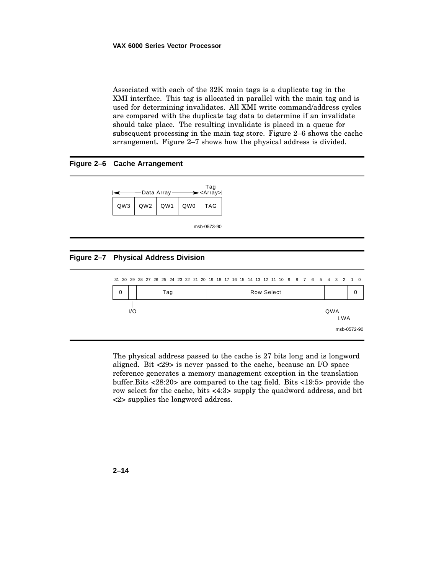Associated with each of the 32K main tags is a duplicate tag in the XMI interface. This tag is allocated in parallel with the main tag and is used for determining invalidates. All XMI write command/address cycles are compared with the duplicate tag data to determine if an invalidate should take place. The resulting invalidate is placed in a queue for subsequent processing in the main tag store. Figure 2–6 shows the cache arrangement. Figure 2–7 shows how the physical address is divided.

### **Figure 2–6 Cache Arrangement**



msb-0573-90

## **Figure 2–7 Physical Address Division**



The physical address passed to the cache is 27 bits long and is longword aligned. Bit <29> is never passed to the cache, because an I/O space reference generates a memory management exception in the translation buffer.Bits <28:20> are compared to the tag field. Bits <19:5> provide the row select for the cache, bits <4:3> supply the quadword address, and bit <2> supplies the longword address.

**2–14**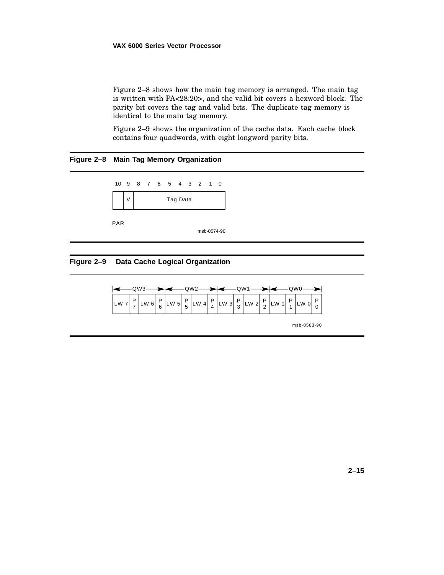### **VAX 6000 Series Vector Processor**

Figure 2–8 shows how the main tag memory is arranged. The main tag is written with PA<28:20>, and the valid bit covers a hexword block. The parity bit covers the tag and valid bits. The duplicate tag memory is identical to the main tag memory.

Figure 2–9 shows the organization of the cache data. Each cache block contains four quadwords, with eight longword parity bits.

# **Figure 2–8 Main Tag Memory Organization**



# **Figure 2–9 Data Cache Logical Organization**



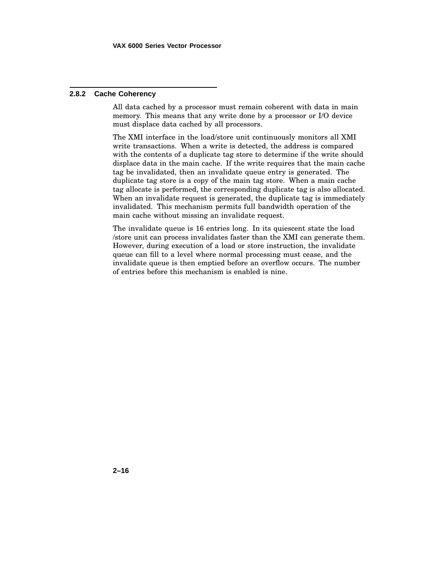# **2.8.2 Cache Coherency**

All data cached by a processor must remain coherent with data in main memory. This means that any write done by a processor or I/O device must displace data cached by all processors.

The XMI interface in the load/store unit continuously monitors all XMI write transactions. When a write is detected, the address is compared with the contents of a duplicate tag store to determine if the write should displace data in the main cache. If the write requires that the main cache tag be invalidated, then an invalidate queue entry is generated. The duplicate tag store is a copy of the main tag store. When a main cache tag allocate is performed, the corresponding duplicate tag is also allocated. When an invalidate request is generated, the duplicate tag is immediately invalidated. This mechanism permits full bandwidth operation of the main cache without missing an invalidate request.

The invalidate queue is 16 entries long. In its quiescent state the load /store unit can process invalidates faster than the XMI can generate them. However, during execution of a load or store instruction, the invalidate queue can fill to a level where normal processing must cease, and the invalidate queue is then emptied before an overflow occurs. The number of entries before this mechanism is enabled is nine.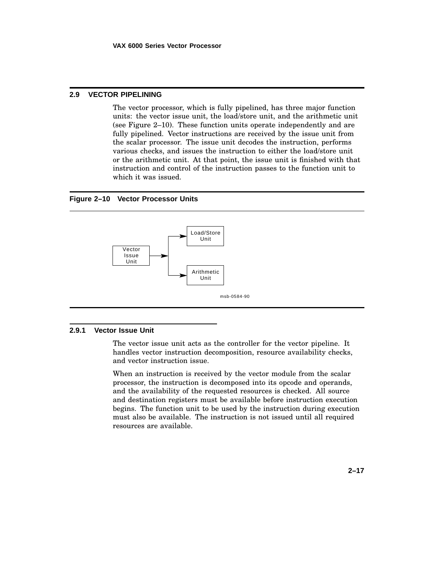# **2.9 VECTOR PIPELINING**

The vector processor, which is fully pipelined, has three major function units: the vector issue unit, the load/store unit, and the arithmetic unit (see Figure 2–10). These function units operate independently and are fully pipelined. Vector instructions are received by the issue unit from the scalar processor. The issue unit decodes the instruction, performs various checks, and issues the instruction to either the load/store unit or the arithmetic unit. At that point, the issue unit is finished with that instruction and control of the instruction passes to the function unit to which it was issued.

# **Figure 2–10 Vector Processor Units**



### **2.9.1 Vector Issue Unit**

The vector issue unit acts as the controller for the vector pipeline. It handles vector instruction decomposition, resource availability checks, and vector instruction issue.

When an instruction is received by the vector module from the scalar processor, the instruction is decomposed into its opcode and operands, and the availability of the requested resources is checked. All source and destination registers must be available before instruction execution begins. The function unit to be used by the instruction during execution must also be available. The instruction is not issued until all required resources are available.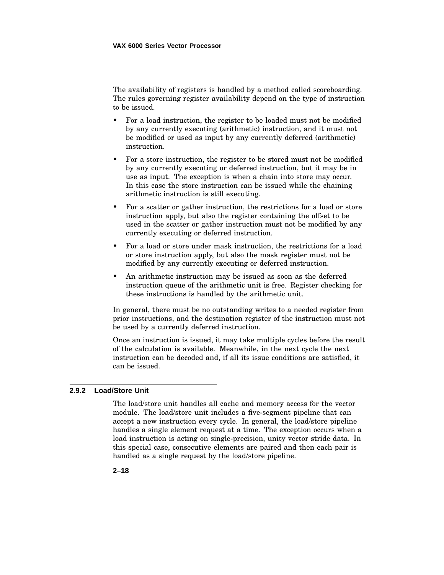The availability of registers is handled by a method called scoreboarding. The rules governing register availability depend on the type of instruction to be issued.

- For a load instruction, the register to be loaded must not be modified by any currently executing (arithmetic) instruction, and it must not be modified or used as input by any currently deferred (arithmetic) instruction.
- For a store instruction, the register to be stored must not be modified by any currently executing or deferred instruction, but it may be in use as input. The exception is when a chain into store may occur. In this case the store instruction can be issued while the chaining arithmetic instruction is still executing.
- For a scatter or gather instruction, the restrictions for a load or store instruction apply, but also the register containing the offset to be used in the scatter or gather instruction must not be modified by any currently executing or deferred instruction.
- For a load or store under mask instruction, the restrictions for a load or store instruction apply, but also the mask register must not be modified by any currently executing or deferred instruction.
- An arithmetic instruction may be issued as soon as the deferred instruction queue of the arithmetic unit is free. Register checking for these instructions is handled by the arithmetic unit.

In general, there must be no outstanding writes to a needed register from prior instructions, and the destination register of the instruction must not be used by a currently deferred instruction.

Once an instruction is issued, it may take multiple cycles before the result of the calculation is available. Meanwhile, in the next cycle the next instruction can be decoded and, if all its issue conditions are satisfied, it can be issued.

## **2.9.2 Load/Store Unit**

The load/store unit handles all cache and memory access for the vector module. The load/store unit includes a five-segment pipeline that can accept a new instruction every cycle. In general, the load/store pipeline handles a single element request at a time. The exception occurs when a load instruction is acting on single-precision, unity vector stride data. In this special case, consecutive elements are paired and then each pair is handled as a single request by the load/store pipeline.

**2–18**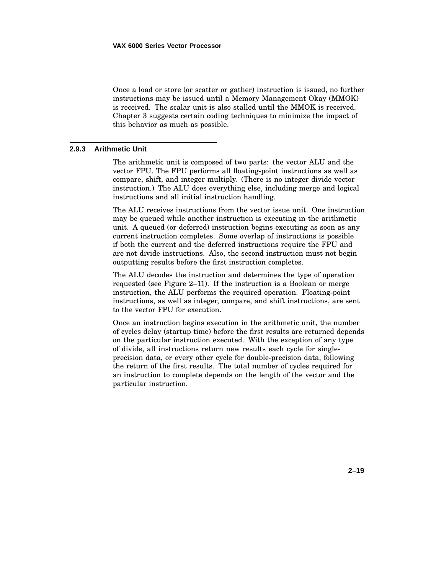Once a load or store (or scatter or gather) instruction is issued, no further instructions may be issued until a Memory Management Okay (MMOK) is received. The scalar unit is also stalled until the MMOK is received. Chapter 3 suggests certain coding techniques to minimize the impact of this behavior as much as possible.

## **2.9.3 Arithmetic Unit**

The arithmetic unit is composed of two parts: the vector ALU and the vector FPU. The FPU performs all floating-point instructions as well as compare, shift, and integer multiply. (There is no integer divide vector instruction.) The ALU does everything else, including merge and logical instructions and all initial instruction handling.

The ALU receives instructions from the vector issue unit. One instruction may be queued while another instruction is executing in the arithmetic unit. A queued (or deferred) instruction begins executing as soon as any current instruction completes. Some overlap of instructions is possible if both the current and the deferred instructions require the FPU and are not divide instructions. Also, the second instruction must not begin outputting results before the first instruction completes.

The ALU decodes the instruction and determines the type of operation requested (see Figure 2–11). If the instruction is a Boolean or merge instruction, the ALU performs the required operation. Floating-point instructions, as well as integer, compare, and shift instructions, are sent to the vector FPU for execution.

Once an instruction begins execution in the arithmetic unit, the number of cycles delay (startup time) before the first results are returned depends on the particular instruction executed. With the exception of any type of divide, all instructions return new results each cycle for singleprecision data, or every other cycle for double-precision data, following the return of the first results. The total number of cycles required for an instruction to complete depends on the length of the vector and the particular instruction.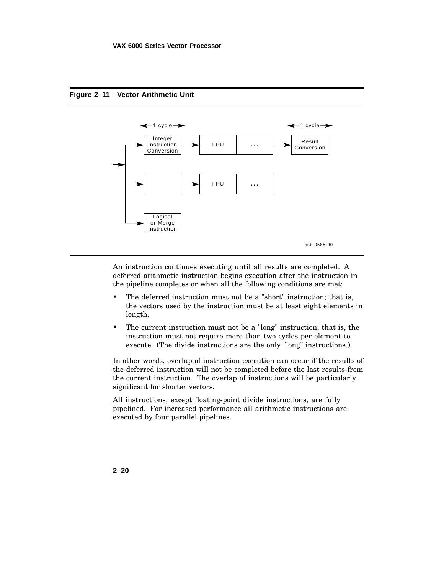

# **Figure 2–11 Vector Arithmetic Unit**

An instruction continues executing until all results are completed. A deferred arithmetic instruction begins execution after the instruction in the pipeline completes or when all the following conditions are met:

- The deferred instruction must not be a "short" instruction; that is, the vectors used by the instruction must be at least eight elements in length.
- The current instruction must not be a "long" instruction; that is, the instruction must not require more than two cycles per element to execute. (The divide instructions are the only "long" instructions.)

In other words, overlap of instruction execution can occur if the results of the deferred instruction will not be completed before the last results from the current instruction. The overlap of instructions will be particularly significant for shorter vectors.

All instructions, except floating-point divide instructions, are fully pipelined. For increased performance all arithmetic instructions are executed by four parallel pipelines.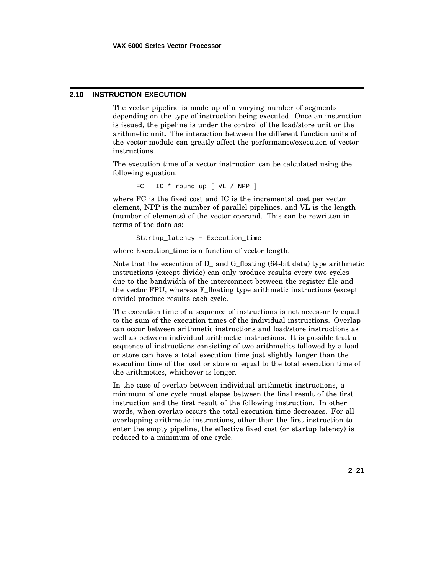# **2.10 INSTRUCTION EXECUTION**

The vector pipeline is made up of a varying number of segments depending on the type of instruction being executed. Once an instruction is issued, the pipeline is under the control of the load/store unit or the arithmetic unit. The interaction between the different function units of the vector module can greatly affect the performance/execution of vector instructions.

The execution time of a vector instruction can be calculated using the following equation:

FC + IC \* round\_up [ VL / NPP ]

where FC is the fixed cost and IC is the incremental cost per vector element, NPP is the number of parallel pipelines, and VL is the length (number of elements) of the vector operand. This can be rewritten in terms of the data as:

Startup\_latency + Execution\_time

where Execution time is a function of vector length.

Note that the execution of D\_ and G\_floating (64-bit data) type arithmetic instructions (except divide) can only produce results every two cycles due to the bandwidth of the interconnect between the register file and the vector FPU, whereas F\_floating type arithmetic instructions (except divide) produce results each cycle.

The execution time of a sequence of instructions is not necessarily equal to the sum of the execution times of the individual instructions. Overlap can occur between arithmetic instructions and load/store instructions as well as between individual arithmetic instructions. It is possible that a sequence of instructions consisting of two arithmetics followed by a load or store can have a total execution time just slightly longer than the execution time of the load or store or equal to the total execution time of the arithmetics, whichever is longer.

In the case of overlap between individual arithmetic instructions, a minimum of one cycle must elapse between the final result of the first instruction and the first result of the following instruction. In other words, when overlap occurs the total execution time decreases. For all overlapping arithmetic instructions, other than the first instruction to enter the empty pipeline, the effective fixed cost (or startup latency) is reduced to a minimum of one cycle.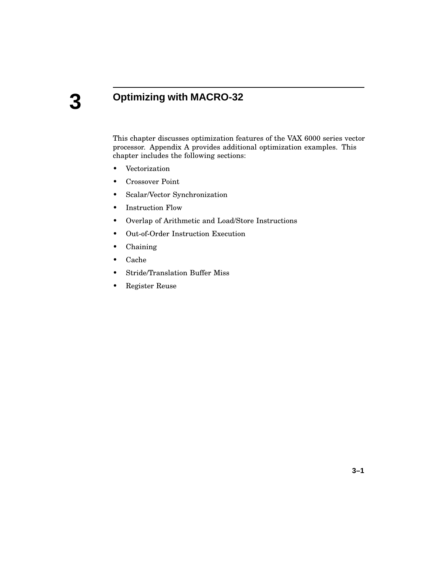# **3**

# **Optimizing with MACRO-32**

This chapter discusses optimization features of the VAX 6000 series vector processor. Appendix A provides additional optimization examples. This chapter includes the following sections:

- Vectorization
- Crossover Point
- Scalar/Vector Synchronization
- Instruction Flow
- Overlap of Arithmetic and Load/Store Instructions
- Out-of-Order Instruction Execution
- Chaining
- Cache
- Stride/Translation Buffer Miss
- Register Reuse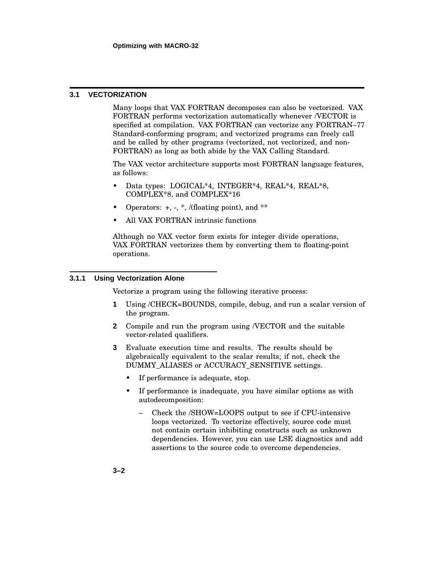# **3.1 VECTORIZATION**

Many loops that VAX FORTRAN decomposes can also be vectorized. VAX FORTRAN performs vectorization automatically whenever /VECTOR is specified at compilation. VAX FORTRAN can vectorize any FORTRAN–77 Standard-conforming program; and vectorized programs can freely call and be called by other programs (vectorized, not vectorized, and non-FORTRAN) as long as both abide by the VAX Calling Standard.

The VAX vector architecture supports most FORTRAN language features, as follows:

- Data types: LOGICAL\*4, INTEGER\*4, REAL\*4, REAL\*8, COMPLEX\*8, and COMPLEX\*16
- Operators:  $+, \cdot, *,$  /(floating point), and  $**$
- All VAX FORTRAN intrinsic functions

Although no VAX vector form exists for integer divide operations, VAX FORTRAN vectorizes them by converting them to floating-point operations.

# **3.1.1 Using Vectorization Alone**

Vectorize a program using the following iterative process:

- **1** Using /CHECK=BOUNDS, compile, debug, and run a scalar version of the program.
- **2** Compile and run the program using /VECTOR and the suitable vector-related qualifiers.
- **3** Evaluate execution time and results. The results should be algebraically equivalent to the scalar results; if not, check the DUMMY\_ALIASES or ACCURACY\_SENSITIVE settings.
	- If performance is adequate, stop.
	- If performance is inadequate, you have similar options as with autodecomposition:
		- Check the /SHOW=LOOPS output to see if CPU-intensive loops vectorized. To vectorize effectively, source code must not contain certain inhibiting constructs such as unknown dependencies. However, you can use LSE diagnostics and add assertions to the source code to overcome dependencies.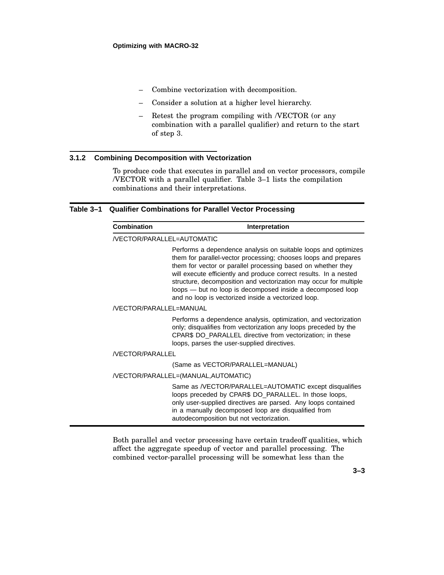- Combine vectorization with decomposition.
- Consider a solution at a higher level hierarchy.
- Retest the program compiling with /VECTOR (or any combination with a parallel qualifier) and return to the start of step 3.

# **3.1.2 Combining Decomposition with Vectorization**

To produce code that executes in parallel and on vector processors, compile /VECTOR with a parallel qualifier. Table 3–1 lists the compilation combinations and their interpretations.

### **Table 3–1 Qualifier Combinations for Parallel Vector Processing**

| Combination                | Interpretation                                                                                                                                                                                                                                                                                                                                                                                                                                                   |  |  |
|----------------------------|------------------------------------------------------------------------------------------------------------------------------------------------------------------------------------------------------------------------------------------------------------------------------------------------------------------------------------------------------------------------------------------------------------------------------------------------------------------|--|--|
| /VECTOR/PARALLEL=AUTOMATIC |                                                                                                                                                                                                                                                                                                                                                                                                                                                                  |  |  |
|                            | Performs a dependence analysis on suitable loops and optimizes<br>them for parallel-vector processing; chooses loops and prepares<br>them for vector or parallel processing based on whether they<br>will execute efficiently and produce correct results. In a nested<br>structure, decomposition and vectorization may occur for multiple<br>loops — but no loop is decomposed inside a decomposed loop<br>and no loop is vectorized inside a vectorized loop. |  |  |
| /VECTOR/PARALLEL=MANUAL    |                                                                                                                                                                                                                                                                                                                                                                                                                                                                  |  |  |
|                            | Performs a dependence analysis, optimization, and vectorization<br>only; disqualifies from vectorization any loops preceded by the<br>CPAR\$ DO_PARALLEL directive from vectorization; in these<br>loops, parses the user-supplied directives.                                                                                                                                                                                                                   |  |  |
| <b>/VECTOR/PARALLEL</b>    |                                                                                                                                                                                                                                                                                                                                                                                                                                                                  |  |  |
|                            | (Same as VECTOR/PARALLEL=MANUAL)                                                                                                                                                                                                                                                                                                                                                                                                                                 |  |  |
|                            | /VECTOR/PARALLEL=(MANUAL, AUTOMATIC)                                                                                                                                                                                                                                                                                                                                                                                                                             |  |  |
|                            | Same as /VECTOR/PARALLEL=AUTOMATIC except disqualifies<br>loops preceded by CPAR\$ DO_PARALLEL. In those loops,<br>only user-supplied directives are parsed. Any loops contained<br>in a manually decomposed loop are disqualified from<br>autodecomposition but not vectorization.                                                                                                                                                                              |  |  |

Both parallel and vector processing have certain tradeoff qualities, which affect the aggregate speedup of vector and parallel processing. The combined vector-parallel processing will be somewhat less than the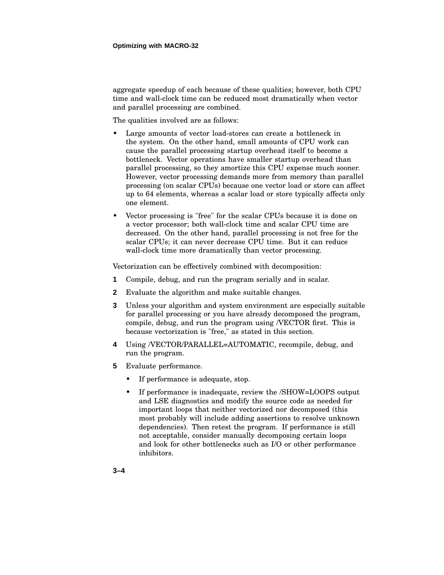aggregate speedup of each because of these qualities; however, both CPU time and wall-clock time can be reduced most dramatically when vector and parallel processing are combined.

The qualities involved are as follows:

- Large amounts of vector load-stores can create a bottleneck in the system. On the other hand, small amounts of CPU work can cause the parallel processing startup overhead itself to become a bottleneck. Vector operations have smaller startup overhead than parallel processing, so they amortize this CPU expense much sooner. However, vector processing demands more from memory than parallel processing (on scalar CPUs) because one vector load or store can affect up to 64 elements, whereas a scalar load or store typically affects only one element.
- Vector processing is "free" for the scalar CPUs because it is done on a vector processor; both wall-clock time and scalar CPU time are decreased. On the other hand, parallel processing is not free for the scalar CPUs; it can never decrease CPU time. But it can reduce wall-clock time more dramatically than vector processing.

Vectorization can be effectively combined with decomposition:

- **1** Compile, debug, and run the program serially and in scalar.
- **2** Evaluate the algorithm and make suitable changes.
- **3** Unless your algorithm and system environment are especially suitable for parallel processing or you have already decomposed the program, compile, debug, and run the program using /VECTOR first. This is because vectorization is "free," as stated in this section.
- **4** Using /VECTOR/PARALLEL=AUTOMATIC, recompile, debug, and run the program.
- **5** Evaluate performance.
	- If performance is adequate, stop.
	- If performance is inadequate, review the /SHOW=LOOPS output and LSE diagnostics and modify the source code as needed for important loops that neither vectorized nor decomposed (this most probably will include adding assertions to resolve unknown dependencies). Then retest the program. If performance is still not acceptable, consider manually decomposing certain loops and look for other bottlenecks such as I/O or other performance inhibitors.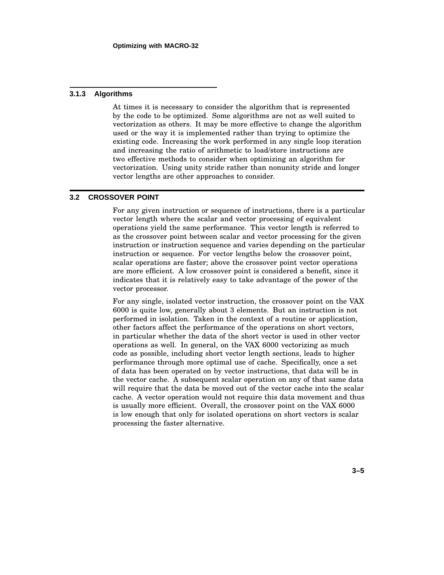### **3.1.3 Algorithms**

At times it is necessary to consider the algorithm that is represented by the code to be optimized. Some algorithms are not as well suited to vectorization as others. It may be more effective to change the algorithm used or the way it is implemented rather than trying to optimize the existing code. Increasing the work performed in any single loop iteration and increasing the ratio of arithmetic to load/store instructions are two effective methods to consider when optimizing an algorithm for vectorization. Using unity stride rather than nonunity stride and longer vector lengths are other approaches to consider.

## **3.2 CROSSOVER POINT**

For any given instruction or sequence of instructions, there is a particular vector length where the scalar and vector processing of equivalent operations yield the same performance. This vector length is referred to as the crossover point between scalar and vector processing for the given instruction or instruction sequence and varies depending on the particular instruction or sequence. For vector lengths below the crossover point, scalar operations are faster; above the crossover point vector operations are more efficient. A low crossover point is considered a benefit, since it indicates that it is relatively easy to take advantage of the power of the vector processor.

For any single, isolated vector instruction, the crossover point on the VAX 6000 is quite low, generally about 3 elements. But an instruction is not performed in isolation. Taken in the context of a routine or application, other factors affect the performance of the operations on short vectors, in particular whether the data of the short vector is used in other vector operations as well. In general, on the VAX 6000 vectorizing as much code as possible, including short vector length sections, leads to higher performance through more optimal use of cache. Specifically, once a set of data has been operated on by vector instructions, that data will be in the vector cache. A subsequent scalar operation on any of that same data will require that the data be moved out of the vector cache into the scalar cache. A vector operation would not require this data movement and thus is usually more efficient. Overall, the crossover point on the VAX 6000 is low enough that only for isolated operations on short vectors is scalar processing the faster alternative.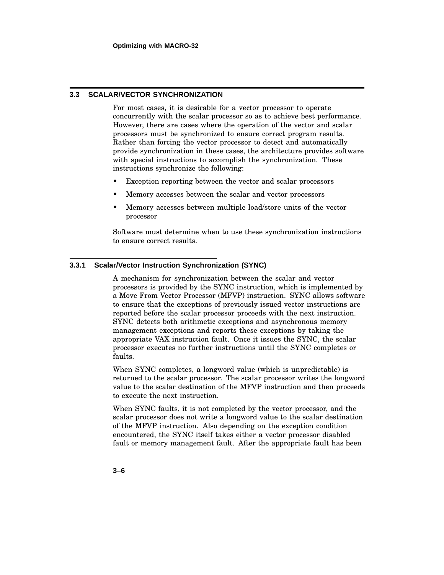# **3.3 SCALAR/VECTOR SYNCHRONIZATION**

For most cases, it is desirable for a vector processor to operate concurrently with the scalar processor so as to achieve best performance. However, there are cases where the operation of the vector and scalar processors must be synchronized to ensure correct program results. Rather than forcing the vector processor to detect and automatically provide synchronization in these cases, the architecture provides software with special instructions to accomplish the synchronization. These instructions synchronize the following:

- Exception reporting between the vector and scalar processors
- Memory accesses between the scalar and vector processors
- Memory accesses between multiple load/store units of the vector processor

Software must determine when to use these synchronization instructions to ensure correct results.

# **3.3.1 Scalar/Vector Instruction Synchronization (SYNC)**

A mechanism for synchronization between the scalar and vector processors is provided by the SYNC instruction, which is implemented by a Move From Vector Processor (MFVP) instruction. SYNC allows software to ensure that the exceptions of previously issued vector instructions are reported before the scalar processor proceeds with the next instruction. SYNC detects both arithmetic exceptions and asynchronous memory management exceptions and reports these exceptions by taking the appropriate VAX instruction fault. Once it issues the SYNC, the scalar processor executes no further instructions until the SYNC completes or faults.

When SYNC completes, a longword value (which is unpredictable) is returned to the scalar processor. The scalar processor writes the longword value to the scalar destination of the MFVP instruction and then proceeds to execute the next instruction.

When SYNC faults, it is not completed by the vector processor, and the scalar processor does not write a longword value to the scalar destination of the MFVP instruction. Also depending on the exception condition encountered, the SYNC itself takes either a vector processor disabled fault or memory management fault. After the appropriate fault has been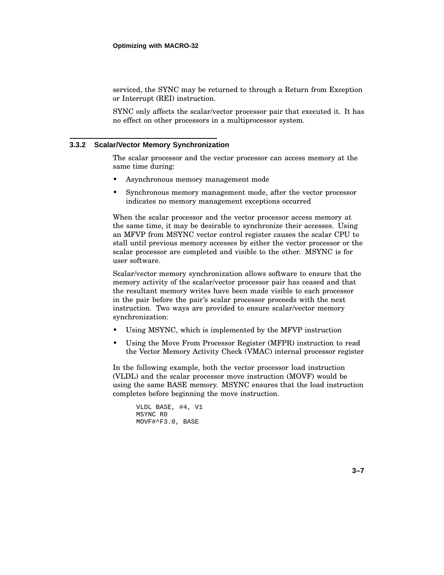serviced, the SYNC may be returned to through a Return from Exception or Interrupt (REI) instruction.

SYNC only affects the scalar/vector processor pair that executed it. It has no effect on other processors in a multiprocessor system.

### **3.3.2 Scalar/Vector Memory Synchronization**

The scalar processor and the vector processor can access memory at the same time during:

- Asynchronous memory management mode
- Synchronous memory management mode, after the vector processor indicates no memory management exceptions occurred

When the scalar processor and the vector processor access memory at the same time, it may be desirable to synchronize their accesses. Using an MFVP from MSYNC vector control register causes the scalar CPU to stall until previous memory accesses by either the vector processor or the scalar processor are completed and visible to the other. MSYNC is for user software.

Scalar/vector memory synchronization allows software to ensure that the memory activity of the scalar/vector processor pair has ceased and that the resultant memory writes have been made visible to each processor in the pair before the pair's scalar processor proceeds with the next instruction. Two ways are provided to ensure scalar/vector memory synchronization:

- Using MSYNC, which is implemented by the MFVP instruction
- Using the Move From Processor Register (MFPR) instruction to read the Vector Memory Activity Check (VMAC) internal processor register

In the following example, both the vector processor load instruction (VLDL) and the scalar processor move instruction (MOVF) would be using the same BASE memory. MSYNC ensures that the load instruction completes before beginning the move instruction.

```
VLDL BASE, #4, V1
MSYNC R0
MOVF#^F3.0, BASE
```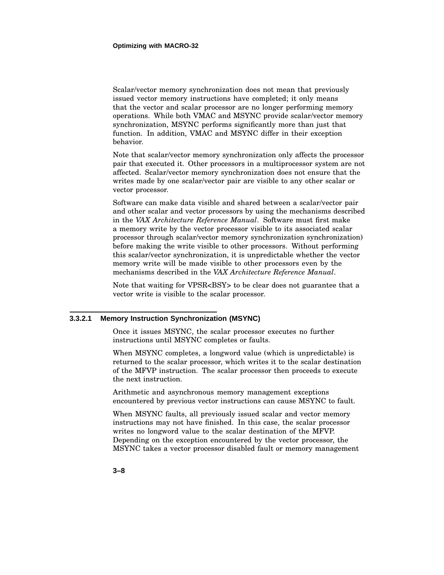Scalar/vector memory synchronization does not mean that previously issued vector memory instructions have completed; it only means that the vector and scalar processor are no longer performing memory operations. While both VMAC and MSYNC provide scalar/vector memory synchronization, MSYNC performs significantly more than just that function. In addition, VMAC and MSYNC differ in their exception behavior.

Note that scalar/vector memory synchronization only affects the processor pair that executed it. Other processors in a multiprocessor system are not affected. Scalar/vector memory synchronization does not ensure that the writes made by one scalar/vector pair are visible to any other scalar or vector processor.

Software can make data visible and shared between a scalar/vector pair and other scalar and vector processors by using the mechanisms described in the *VAX Architecture Reference Manual*. Software must first make a memory write by the vector processor visible to its associated scalar processor through scalar/vector memory synchronization synchronization) before making the write visible to other processors. Without performing this scalar/vector synchronization, it is unpredictable whether the vector memory write will be made visible to other processors even by the mechanisms described in the *VAX Architecture Reference Manual*.

Note that waiting for VPSR<BSY> to be clear does not guarantee that a vector write is visible to the scalar processor.

### **3.3.2.1 Memory Instruction Synchronization (MSYNC)**

Once it issues MSYNC, the scalar processor executes no further instructions until MSYNC completes or faults.

When MSYNC completes, a longword value (which is unpredictable) is returned to the scalar processor, which writes it to the scalar destination of the MFVP instruction. The scalar processor then proceeds to execute the next instruction.

Arithmetic and asynchronous memory management exceptions encountered by previous vector instructions can cause MSYNC to fault.

When MSYNC faults, all previously issued scalar and vector memory instructions may not have finished. In this case, the scalar processor writes no longword value to the scalar destination of the MFVP. Depending on the exception encountered by the vector processor, the MSYNC takes a vector processor disabled fault or memory management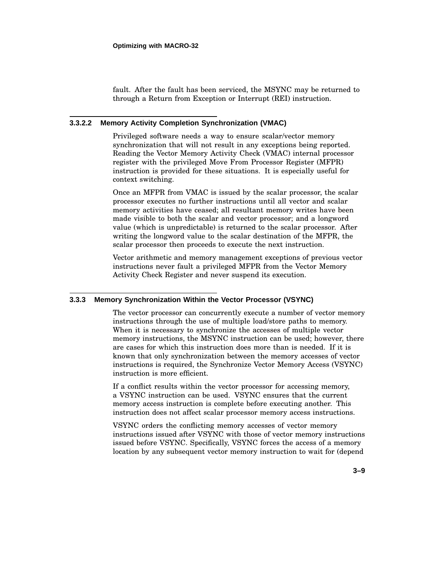fault. After the fault has been serviced, the MSYNC may be returned to through a Return from Exception or Interrupt (REI) instruction.

# **3.3.2.2 Memory Activity Completion Synchronization (VMAC)**

Privileged software needs a way to ensure scalar/vector memory synchronization that will not result in any exceptions being reported. Reading the Vector Memory Activity Check (VMAC) internal processor register with the privileged Move From Processor Register (MFPR) instruction is provided for these situations. It is especially useful for context switching.

Once an MFPR from VMAC is issued by the scalar processor, the scalar processor executes no further instructions until all vector and scalar memory activities have ceased; all resultant memory writes have been made visible to both the scalar and vector processor; and a longword value (which is unpredictable) is returned to the scalar processor. After writing the longword value to the scalar destination of the MFPR, the scalar processor then proceeds to execute the next instruction.

Vector arithmetic and memory management exceptions of previous vector instructions never fault a privileged MFPR from the Vector Memory Activity Check Register and never suspend its execution.

### **3.3.3 Memory Synchronization Within the Vector Processor (VSYNC)**

The vector processor can concurrently execute a number of vector memory instructions through the use of multiple load/store paths to memory. When it is necessary to synchronize the accesses of multiple vector memory instructions, the MSYNC instruction can be used; however, there are cases for which this instruction does more than is needed. If it is known that only synchronization between the memory accesses of vector instructions is required, the Synchronize Vector Memory Access (VSYNC) instruction is more efficient.

If a conflict results within the vector processor for accessing memory, a VSYNC instruction can be used. VSYNC ensures that the current memory access instruction is complete before executing another. This instruction does not affect scalar processor memory access instructions.

VSYNC orders the conflicting memory accesses of vector memory instructions issued after VSYNC with those of vector memory instructions issued before VSYNC. Specifically, VSYNC forces the access of a memory location by any subsequent vector memory instruction to wait for (depend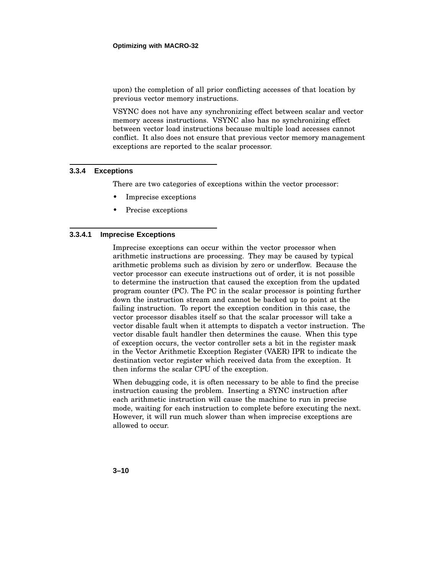upon) the completion of all prior conflicting accesses of that location by previous vector memory instructions.

VSYNC does not have any synchronizing effect between scalar and vector memory access instructions. VSYNC also has no synchronizing effect between vector load instructions because multiple load accesses cannot conflict. It also does not ensure that previous vector memory management exceptions are reported to the scalar processor.

# **3.3.4 Exceptions**

There are two categories of exceptions within the vector processor:

- Imprecise exceptions
- Precise exceptions

# **3.3.4.1 Imprecise Exceptions**

Imprecise exceptions can occur within the vector processor when arithmetic instructions are processing. They may be caused by typical arithmetic problems such as division by zero or underflow. Because the vector processor can execute instructions out of order, it is not possible to determine the instruction that caused the exception from the updated program counter (PC). The PC in the scalar processor is pointing further down the instruction stream and cannot be backed up to point at the failing instruction. To report the exception condition in this case, the vector processor disables itself so that the scalar processor will take a vector disable fault when it attempts to dispatch a vector instruction. The vector disable fault handler then determines the cause. When this type of exception occurs, the vector controller sets a bit in the register mask in the Vector Arithmetic Exception Register (VAER) IPR to indicate the destination vector register which received data from the exception. It then informs the scalar CPU of the exception.

When debugging code, it is often necessary to be able to find the precise instruction causing the problem. Inserting a SYNC instruction after each arithmetic instruction will cause the machine to run in precise mode, waiting for each instruction to complete before executing the next. However, it will run much slower than when imprecise exceptions are allowed to occur.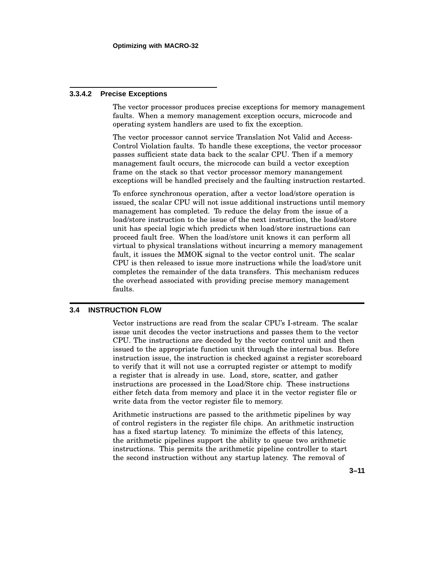### **3.3.4.2 Precise Exceptions**

The vector processor produces precise exceptions for memory management faults. When a memory management exception occurs, microcode and operating system handlers are used to fix the exception.

The vector processor cannot service Translation Not Valid and Access-Control Violation faults. To handle these exceptions, the vector processor passes sufficient state data back to the scalar CPU. Then if a memory management fault occurs, the microcode can build a vector exception frame on the stack so that vector processor memory manangement exceptions will be handled precisely and the faulting instruction restarted.

To enforce synchronous operation, after a vector load/store operation is issued, the scalar CPU will not issue additional instructions until memory management has completed. To reduce the delay from the issue of a load/store instruction to the issue of the next instruction, the load/store unit has special logic which predicts when load/store instructions can proceed fault free. When the load/store unit knows it can perform all virtual to physical translations without incurring a memory management fault, it issues the MMOK signal to the vector control unit. The scalar CPU is then released to issue more instructions while the load/store unit completes the remainder of the data transfers. This mechanism reduces the overhead associated with providing precise memory management faults.

## **3.4 INSTRUCTION FLOW**

Vector instructions are read from the scalar CPU's I-stream. The scalar issue unit decodes the vector instructions and passes them to the vector CPU. The instructions are decoded by the vector control unit and then issued to the appropriate function unit through the internal bus. Before instruction issue, the instruction is checked against a register scoreboard to verify that it will not use a corrupted register or attempt to modify a register that is already in use. Load, store, scatter, and gather instructions are processed in the Load/Store chip. These instructions either fetch data from memory and place it in the vector register file or write data from the vector register file to memory.

Arithmetic instructions are passed to the arithmetic pipelines by way of control registers in the register file chips. An arithmetic instruction has a fixed startup latency. To minimize the effects of this latency, the arithmetic pipelines support the ability to queue two arithmetic instructions. This permits the arithmetic pipeline controller to start the second instruction without any startup latency. The removal of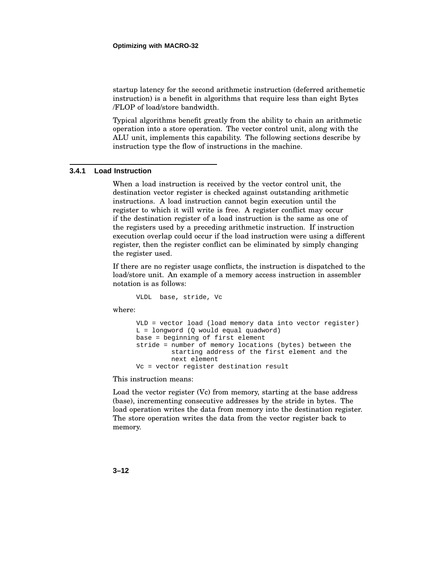startup latency for the second arithmetic instruction (deferred arithemetic instruction) is a benefit in algorithms that require less than eight Bytes /FLOP of load/store bandwidth.

Typical algorithms benefit greatly from the ability to chain an arithmetic operation into a store operation. The vector control unit, along with the ALU unit, implements this capability. The following sections describe by instruction type the flow of instructions in the machine.

# **3.4.1 Load Instruction**

When a load instruction is received by the vector control unit, the destination vector register is checked against outstanding arithmetic instructions. A load instruction cannot begin execution until the register to which it will write is free. A register conflict may occur if the destination register of a load instruction is the same as one of the registers used by a preceding arithmetic instruction. If instruction execution overlap could occur if the load instruction were using a different register, then the register conflict can be eliminated by simply changing the register used.

If there are no register usage conflicts, the instruction is dispatched to the load/store unit. An example of a memory access instruction in assembler notation is as follows:

VLDL base, stride, Vc

where:

```
VLD = vector load (load memory data into vector register)
L = longword (Q would equal quadword)
base = beginning of first element
stride = number of memory locations (bytes) between the
         starting address of the first element and the
         next element
Vc = vector register destination result
```
This instruction means:

Load the vector register (Vc) from memory, starting at the base address (base), incrementing consecutive addresses by the stride in bytes. The load operation writes the data from memory into the destination register. The store operation writes the data from the vector register back to memory.

**3–12**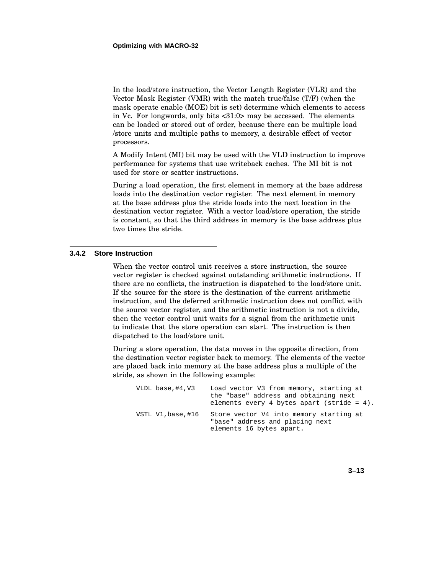In the load/store instruction, the Vector Length Register (VLR) and the Vector Mask Register (VMR) with the match true/false (T/F) (when the mask operate enable (MOE) bit is set) determine which elements to access in Vc. For longwords, only bits <31:0> may be accessed. The elements can be loaded or stored out of order, because there can be multiple load /store units and multiple paths to memory, a desirable effect of vector processors.

A Modify Intent (MI) bit may be used with the VLD instruction to improve performance for systems that use writeback caches. The MI bit is not used for store or scatter instructions.

During a load operation, the first element in memory at the base address loads into the destination vector register. The next element in memory at the base address plus the stride loads into the next location in the destination vector register. With a vector load/store operation, the stride is constant, so that the third address in memory is the base address plus two times the stride.

### **3.4.2 Store Instruction**

When the vector control unit receives a store instruction, the source vector register is checked against outstanding arithmetic instructions. If there are no conflicts, the instruction is dispatched to the load/store unit. If the source for the store is the destination of the current arithmetic instruction, and the deferred arithmetic instruction does not conflict with the source vector register, and the arithmetic instruction is not a divide, then the vector control unit waits for a signal from the arithmetic unit to indicate that the store operation can start. The instruction is then dispatched to the load/store unit.

During a store operation, the data moves in the opposite direction, from the destination vector register back to memory. The elements of the vector are placed back into memory at the base address plus a multiple of the stride, as shown in the following example:

| VLDL base,#4,V3    | Load vector V3 from memory, starting at<br>the "base" address and obtaining next<br>elements every 4 bytes apart (stride = $4$ ). |
|--------------------|-----------------------------------------------------------------------------------------------------------------------------------|
| VSTL V1, base, #16 | Store vector V4 into memory starting at<br>"base" address and placing next<br>elements 16 bytes apart.                            |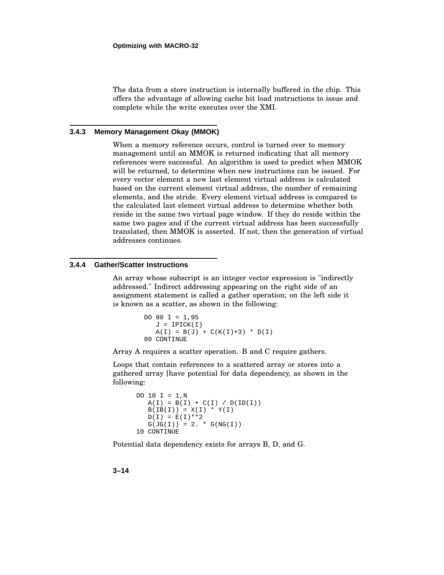The data from a store instruction is internally buffered in the chip. This offers the advantage of allowing cache hit load instructions to issue and complete while the write executes over the XMI.

### **3.4.3 Memory Management Okay (MMOK)**

When a memory reference occurs, control is turned over to memory management until an MMOK is returned indicating that all memory references were successful. An algorithm is used to predict when MMOK will be returned, to determine when new instructions can be issued. For every vector element a new last element virtual address is calculated based on the current element virtual address, the number of remaining elements, and the stride. Every element virtual address is compared to the calculated last element virtual address to determine whether both reside in the same two virtual page window. If they do reside within the same two pages and if the current virtual address has been successfully translated, then MMOK is asserted. If not, then the generation of virtual addresses continues.

## **3.4.4 Gather/Scatter Instructions**

An array whose subscript is an integer vector expression is "indirectly addressed." Indirect addressing appearing on the right side of an assignment statement is called a gather operation; on the left side it is known as a scatter, as shown in the following:

```
DO 80 I = 1,95
  J = IPICK(I)A(I) = B(J) + C(K(I) + 3) * D(I)80 CONTINUE
```
Array A requires a scatter operation. B and C require gathers.

Loops that contain references to a scattered array or stores into a gathered array [have potential for data dependency, as shown in the following:

```
DO 10 I = 1,NA(I) = B(I) + C(I) / D(ID(I))B(IB(I)) = X(I) * Y(I)D(I) = E(I) * * 2G(JG(I)) = 2. * G(NG(I))10 CONTINUE
```
Potential data dependency exists for arrays B, D, and G.

**3–14**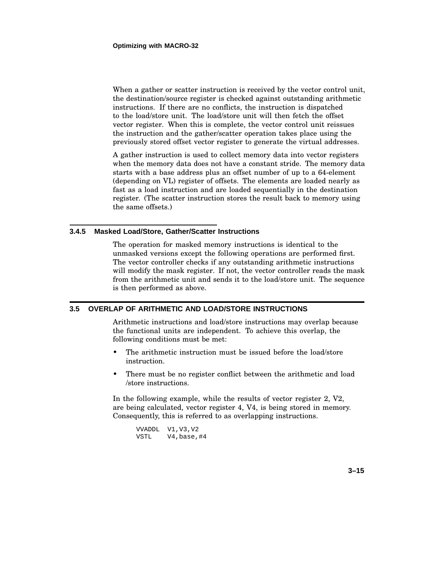When a gather or scatter instruction is received by the vector control unit, the destination/source register is checked against outstanding arithmetic instructions. If there are no conflicts, the instruction is dispatched to the load/store unit. The load/store unit will then fetch the offset vector register. When this is complete, the vector control unit reissues the instruction and the gather/scatter operation takes place using the previously stored offset vector register to generate the virtual addresses.

A gather instruction is used to collect memory data into vector registers when the memory data does not have a constant stride. The memory data starts with a base address plus an offset number of up to a 64-element (depending on VL) register of offsets. The elements are loaded nearly as fast as a load instruction and are loaded sequentially in the destination register. (The scatter instruction stores the result back to memory using the same offsets.)

### **3.4.5 Masked Load/Store, Gather/Scatter Instructions**

The operation for masked memory instructions is identical to the unmasked versions except the following operations are performed first. The vector controller checks if any outstanding arithmetic instructions will modify the mask register. If not, the vector controller reads the mask from the arithmetic unit and sends it to the load/store unit. The sequence is then performed as above.

### **3.5 OVERLAP OF ARITHMETIC AND LOAD/STORE INSTRUCTIONS**

Arithmetic instructions and load/store instructions may overlap because the functional units are independent. To achieve this overlap, the following conditions must be met:

- The arithmetic instruction must be issued before the load/store instruction.
- There must be no register conflict between the arithmetic and load /store instructions.

In the following example, while the results of vector register 2, V2, are being calculated, vector register 4, V4, is being stored in memory. Consequently, this is referred to as overlapping instructions.

| VVADDL | V1, V3, V2      |
|--------|-----------------|
| VSTL   | $V4$ , base, #4 |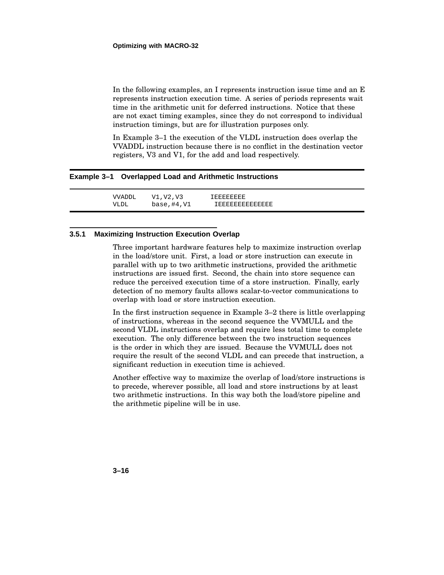In the following examples, an I represents instruction issue time and an E represents instruction execution time. A series of periods represents wait time in the arithmetic unit for deferred instructions. Notice that these are not exact timing examples, since they do not correspond to individual instruction timings, but are for illustration purposes only.

In Example 3–1 the execution of the VLDL instruction does overlap the VVADDL instruction because there is no conflict in the destination vector registers, V3 and V1, for the add and load respectively.

### **Example 3–1 Overlapped Load and Arithmetic Instructions**

VVADDL V1,V2,V3 IEEEEEEEE VLDL base, #4, V1 IEEEEEEEEEEEEEE

### **3.5.1 Maximizing Instruction Execution Overlap**

Three important hardware features help to maximize instruction overlap in the load/store unit. First, a load or store instruction can execute in parallel with up to two arithmetic instructions, provided the arithmetic instructions are issued first. Second, the chain into store sequence can reduce the perceived execution time of a store instruction. Finally, early detection of no memory faults allows scalar-to-vector communications to overlap with load or store instruction execution.

In the first instruction sequence in Example 3–2 there is little overlapping of instructions, whereas in the second sequence the VVMULL and the second VLDL instructions overlap and require less total time to complete execution. The only difference between the two instruction sequences is the order in which they are issued. Because the VVMULL does not require the result of the second VLDL and can precede that instruction, a significant reduction in execution time is achieved.

Another effective way to maximize the overlap of load/store instructions is to precede, wherever possible, all load and store instructions by at least two arithmetic instructions. In this way both the load/store pipeline and the arithmetic pipeline will be in use.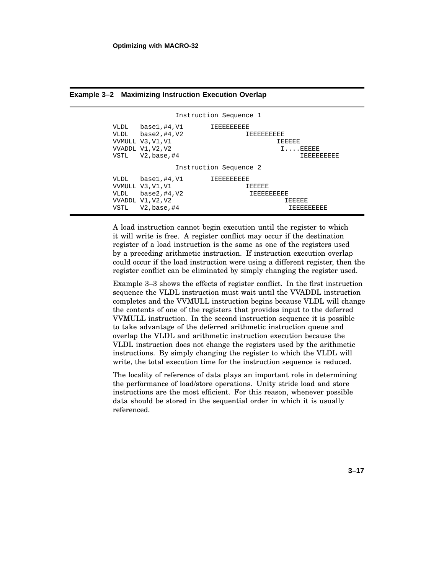|                        |                                                                                    | Instruction Sequence 1                    |                                           |
|------------------------|------------------------------------------------------------------------------------|-------------------------------------------|-------------------------------------------|
| VLDL<br>VLDL<br>VSTL   | base1,#4,V1<br>base2,#4,V2<br>VVMULL V3.V1.V1<br>VVADDL V1, V2, V2<br>V2,base,#4   | 工程官官官官官官官<br>IEEEEEEEEE                   | TEEEEE<br>$I \ldots$ . EEEEE<br>工房房房房房房房房 |
| Instruction Sequence 2 |                                                                                    |                                           |                                           |
| VLDL<br>VLDL<br>VSTL   | base1,#4,V1<br>VVMULL V3, V1, V1<br>base2, #4, V2<br>VVADDL V1.V2.V2<br>V2.base.#4 | TEEEEEEEEE<br><b>IEEEEE</b><br>TEEREEEEEE | TEEEEE<br>TEEEEEEEE                       |

### **Example 3–2 Maximizing Instruction Execution Overlap**

A load instruction cannot begin execution until the register to which it will write is free. A register conflict may occur if the destination register of a load instruction is the same as one of the registers used by a preceding arithmetic instruction. If instruction execution overlap could occur if the load instruction were using a different register, then the register conflict can be eliminated by simply changing the register used.

Example 3–3 shows the effects of register conflict. In the first instruction sequence the VLDL instruction must wait until the VVADDL instruction completes and the VVMULL instruction begins because VLDL will change the contents of one of the registers that provides input to the deferred VVMULL instruction. In the second instruction sequence it is possible to take advantage of the deferred arithmetic instruction queue and overlap the VLDL and arithmetic instruction execution because the VLDL instruction does not change the registers used by the arithmetic instructions. By simply changing the register to which the VLDL will write, the total execution time for the instruction sequence is reduced.

The locality of reference of data plays an important role in determining the performance of load/store operations. Unity stride load and store instructions are the most efficient. For this reason, whenever possible data should be stored in the sequential order in which it is usually referenced.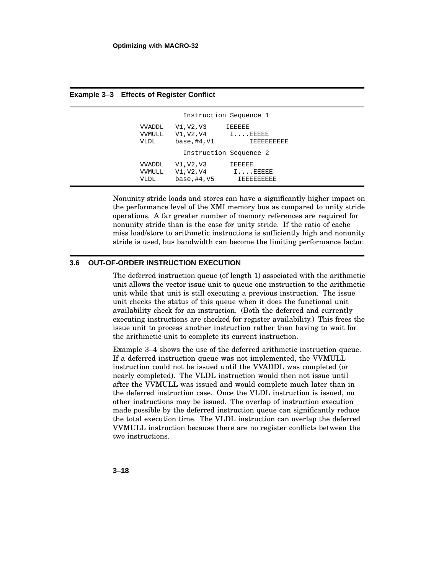| Instruction Sequence 1 |                                 |                                                      |                                                          |  |
|------------------------|---------------------------------|------------------------------------------------------|----------------------------------------------------------|--|
|                        | <b>VVADDL</b><br>VVMULL<br>VLDL | V1, V2, V3<br>$V1, V2, V4$ $I$ EEEEE<br>base, #4, V1 | <b>IEEEEE</b><br><b>IEEEEEEEEE</b>                       |  |
| Instruction Sequence 2 |                                 |                                                      |                                                          |  |
|                        | <b>VVADDL</b><br>VVMULL<br>VLDL | V1, V2, V3<br>V1, V2, V4<br>base, #4, V5             | <b>IEEEEE</b><br>$I \ldots$ . EEEEE<br><b>IEEEEEEEEE</b> |  |

**Example 3–3 Effects of Register Conflict**

Nonunity stride loads and stores can have a significantly higher impact on the performance level of the XMI memory bus as compared to unity stride operations. A far greater number of memory references are required for nonunity stride than is the case for unity stride. If the ratio of cache miss load/store to arithmetic instructions is sufficiently high and nonunity stride is used, bus bandwidth can become the limiting performance factor.

# **3.6 OUT-OF-ORDER INSTRUCTION EXECUTION**

The deferred instruction queue (of length 1) associated with the arithmetic unit allows the vector issue unit to queue one instruction to the arithmetic unit while that unit is still executing a previous instruction. The issue unit checks the status of this queue when it does the functional unit availability check for an instruction. (Both the deferred and currently executing instructions are checked for register availability.) This frees the issue unit to process another instruction rather than having to wait for the arithmetic unit to complete its current instruction.

Example 3–4 shows the use of the deferred arithmetic instruction queue. If a deferred instruction queue was not implemented, the VVMULL instruction could not be issued until the VVADDL was completed (or nearly completed). The VLDL instruction would then not issue until after the VVMULL was issued and would complete much later than in the deferred instruction case. Once the VLDL instruction is issued, no other instructions may be issued. The overlap of instruction execution made possible by the deferred instruction queue can significantly reduce the total execution time. The VLDL instruction can overlap the deferred VVMULL instruction because there are no register conflicts between the two instructions.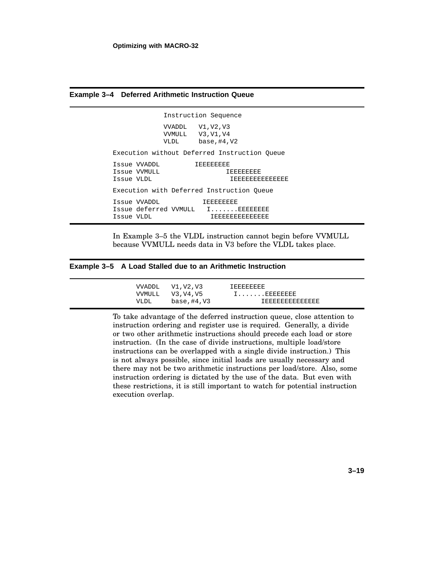**Example 3–4 Deferred Arithmetic Instruction Queue**

Instruction Sequence VVADDL V1,V2,V3 VVMULL V3,V1,V4 VLDL base,#4,V2 Execution without Deferred Instruction Queue Issue VVADDL IEEEEEEEE Issue VVMULL **IEEEEEEEEEEEEEEEEEEEEEEEEEEEEEEEEEE** Issue VLDL IEEEEEEEEEEEEEE Execution with Deferred Instruction Queue Issue VVADDL **IEEEEEEE** Issue deferred VVMULL I.......EEEEEEEE Issue VLDL **IEEEEEEEEEEEEEE** 

In Example 3–5 the VLDL instruction cannot begin before VVMULL because VVMULL needs data in V3 before the VLDL takes place.

#### **Example 3–5 A Load Stalled due to an Arithmetic Instruction**

VVADDL V1, V2, V3 IEEEEEEEE<br>VVMULL V3, V4, V5 I....... VVMULL V3,V4,V5 I.......EEEEEEEE VLDL base, #4, V3 IEEEEEEEEEEEEEE

To take advantage of the deferred instruction queue, close attention to instruction ordering and register use is required. Generally, a divide or two other arithmetic instructions should precede each load or store instruction. (In the case of divide instructions, multiple load/store instructions can be overlapped with a single divide instruction.) This is not always possible, since initial loads are usually necessary and there may not be two arithmetic instructions per load/store. Also, some instruction ordering is dictated by the use of the data. But even with these restrictions, it is still important to watch for potential instruction execution overlap.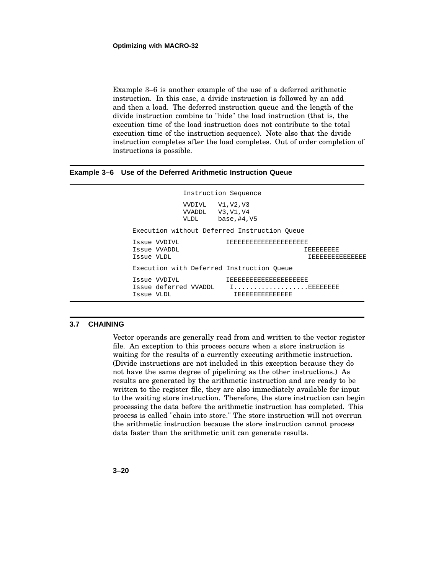Example 3–6 is another example of the use of a deferred arithmetic instruction. In this case, a divide instruction is followed by an add and then a load. The deferred instruction queue and the length of the divide instruction combine to "hide" the load instruction (that is, the execution time of the load instruction does not contribute to the total execution time of the instruction sequence). Note also that the divide instruction completes after the load completes. Out of order completion of instructions is possible.

#### **Example 3–6 Use of the Deferred Arithmetic Instruction Queue**

|                                                     |                                                | Instruction Sequence                         |                                    |
|-----------------------------------------------------|------------------------------------------------|----------------------------------------------|------------------------------------|
|                                                     | VVDIVL V1, V2, V3<br>VVADDL V3, V1, V4<br>VLDL | $base.+4. V5$                                |                                    |
|                                                     |                                                | Execution without Deferred Instruction Oueue |                                    |
| Issue WDIVL<br>Issue WADDL<br>Issue VLDL            |                                                | <b>IEEEEEEEEEEEEEEEEEEE</b>                  | <b>IEEEEEEEE</b><br>TEEREEEEEEEEEE |
|                                                     |                                                | Execution with Deferred Instruction Queue    |                                    |
| Issue VVDIVL<br>Issue deferred VVADDL<br>Issue VLDL |                                                | IEEEEEEEEEEEEEEEEEEE<br>IEEEEEEEEEEEEEE      |                                    |

#### **3.7 CHAINING**

Vector operands are generally read from and written to the vector register file. An exception to this process occurs when a store instruction is waiting for the results of a currently executing arithmetic instruction. (Divide instructions are not included in this exception because they do not have the same degree of pipelining as the other instructions.) As results are generated by the arithmetic instruction and are ready to be written to the register file, they are also immediately available for input to the waiting store instruction. Therefore, the store instruction can begin processing the data before the arithmetic instruction has completed. This process is called "chain into store." The store instruction will not overrun the arithmetic instruction because the store instruction cannot process data faster than the arithmetic unit can generate results.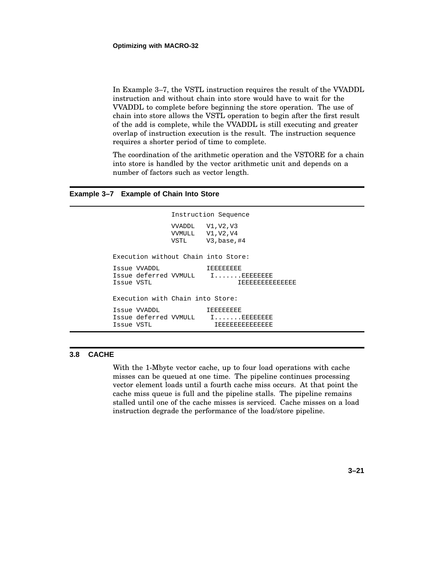In Example 3–7, the VSTL instruction requires the result of the VVADDL instruction and without chain into store would have to wait for the VVADDL to complete before beginning the store operation. The use of chain into store allows the VSTL operation to begin after the first result of the add is complete, while the VVADDL is still executing and greater overlap of instruction execution is the result. The instruction sequence requires a shorter period of time to complete.

The coordination of the arithmetic operation and the VSTORE for a chain into store is handled by the vector arithmetic unit and depends on a number of factors such as vector length.

#### **Example 3–7 Example of Chain Into Store**

```
Instruction Sequence
                VVADDL V1,V2,V3
                VVMULL V1,V2,V4
                VSTL V3,base,#4
Execution without Chain into Store:
Issue VVADDL IEEEEEEEEE<br>Issue deferred VVMULL I.......EEEEEEEE
Issue deferred VVMULL
Issue VSTL IEEEEEEEEEEEEEE
Execution with Chain into Store:
Issue VVADDL IEEEEEEEE
Issue deferred VVMULL I.......EEEEEEEEE<br>Issue VSTL IEEEEEEEEEEEEE
                           Issue VSTL IEEEEEEEEEEEEEE
```
#### **3.8 CACHE**

With the 1-Mbyte vector cache, up to four load operations with cache misses can be queued at one time. The pipeline continues processing vector element loads until a fourth cache miss occurs. At that point the cache miss queue is full and the pipeline stalls. The pipeline remains stalled until one of the cache misses is serviced. Cache misses on a load instruction degrade the performance of the load/store pipeline.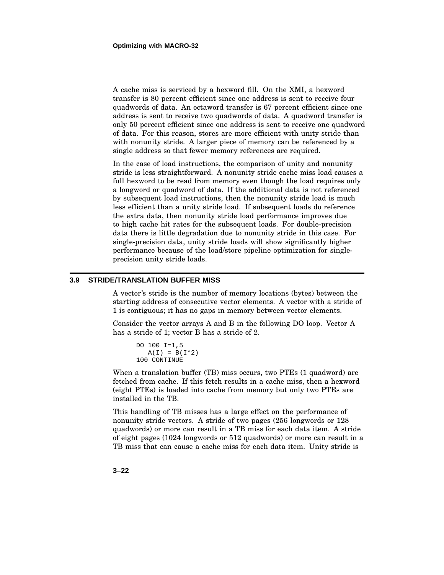A cache miss is serviced by a hexword fill. On the XMI, a hexword transfer is 80 percent efficient since one address is sent to receive four quadwords of data. An octaword transfer is 67 percent efficient since one address is sent to receive two quadwords of data. A quadword transfer is only 50 percent efficient since one address is sent to receive one quadword of data. For this reason, stores are more efficient with unity stride than with nonunity stride. A larger piece of memory can be referenced by a single address so that fewer memory references are required.

In the case of load instructions, the comparison of unity and nonunity stride is less straightforward. A nonunity stride cache miss load causes a full hexword to be read from memory even though the load requires only a longword or quadword of data. If the additional data is not referenced by subsequent load instructions, then the nonunity stride load is much less efficient than a unity stride load. If subsequent loads do reference the extra data, then nonunity stride load performance improves due to high cache hit rates for the subsequent loads. For double-precision data there is little degradation due to nonunity stride in this case. For single-precision data, unity stride loads will show significantly higher performance because of the load/store pipeline optimization for singleprecision unity stride loads.

#### **3.9 STRIDE/TRANSLATION BUFFER MISS**

A vector's stride is the number of memory locations (bytes) between the starting address of consecutive vector elements. A vector with a stride of 1 is contiguous; it has no gaps in memory between vector elements.

Consider the vector arrays A and B in the following DO loop. Vector A has a stride of 1; vector B has a stride of 2.

```
DO 100 I=1,5
  A(I) = B(I*2)100 CONTINUE
```
When a translation buffer (TB) miss occurs, two PTEs (1 quadword) are fetched from cache. If this fetch results in a cache miss, then a hexword (eight PTEs) is loaded into cache from memory but only two PTEs are installed in the TB.

This handling of TB misses has a large effect on the performance of nonunity stride vectors. A stride of two pages (256 longwords or 128 quadwords) or more can result in a TB miss for each data item. A stride of eight pages (1024 longwords or 512 quadwords) or more can result in a TB miss that can cause a cache miss for each data item. Unity stride is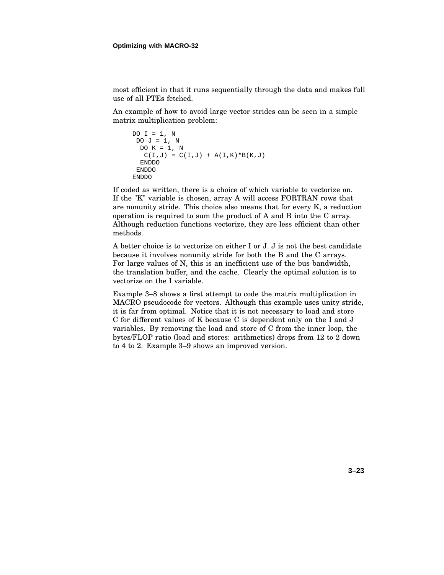most efficient in that it runs sequentially through the data and makes full use of all PTEs fetched.

An example of how to avoid large vector strides can be seen in a simple matrix multiplication problem:

```
DO I = 1, N
DO J = 1, N
 DO K = 1, N
  C(I,J) = C(I,J) + A(I,K)*B(K,J)ENDDO
ENDDO
ENDDO
```
If coded as written, there is a choice of which variable to vectorize on. If the "K" variable is chosen, array A will access FORTRAN rows that are nonunity stride. This choice also means that for every K, a reduction operation is required to sum the product of A and B into the C array. Although reduction functions vectorize, they are less efficient than other methods.

A better choice is to vectorize on either I or J. J is not the best candidate because it involves nonunity stride for both the B and the C arrays. For large values of N, this is an inefficient use of the bus bandwidth, the translation buffer, and the cache. Clearly the optimal solution is to vectorize on the I variable.

Example 3–8 shows a first attempt to code the matrix multiplication in MACRO pseudocode for vectors. Although this example uses unity stride, it is far from optimal. Notice that it is not necessary to load and store C for different values of K because C is dependent only on the I and J variables. By removing the load and store of C from the inner loop, the bytes/FLOP ratio (load and stores: arithmetics) drops from 12 to 2 down to 4 to 2. Example 3–9 shows an improved version.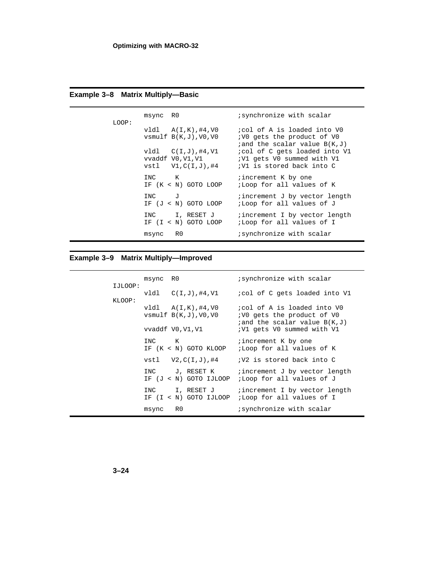| LOOP: | msync R0 |                                                                                                                                   | <i>i</i> synchronize with scalar                                                                                                                                                                  |
|-------|----------|-----------------------------------------------------------------------------------------------------------------------------------|---------------------------------------------------------------------------------------------------------------------------------------------------------------------------------------------------|
|       |          | v1d1 A(I,K), #4, V0<br>$vsmulf B(K,J)$ , $V0$ , $V0$<br>$v1d1 \quad C(I,J), #4, V1$<br>vvaddf V0,V1,V1<br>$vst1$ $V1, C(I,J)$ ,#4 | icol of A is loaded into VO<br><i>VO</i> gets the product of VO<br>$i$ and the scalar value $B(K,J)$<br>icol of C gets loaded into V1<br>; V1 gets V0 summed with V1<br>;V1 is stored back into C |
|       | INC K    | IF $(K < N)$ GOTO LOOP                                                                                                            | increment K by one<br>;Loop for all values of K                                                                                                                                                   |
|       | INC J    | IF $(J < N)$ GOTO LOOP                                                                                                            | increment J by vector length<br>;Loop for all values of J                                                                                                                                         |
|       |          | INC I, RESET J<br>IF $(I < N)$ GOTO LOOP                                                                                          | <i>i</i> increment I by vector length<br>;Loop for all values of I                                                                                                                                |
|       | msync    | R0                                                                                                                                | synchronize with scalar                                                                                                                                                                           |

# **Example 3–8 Matrix Multiply—Basic**

## **Example 3–9 Matrix Multiply—Improved**

|                   | msync RO |                                                                         | synchronize with scalar                                                                                                             |
|-------------------|----------|-------------------------------------------------------------------------|-------------------------------------------------------------------------------------------------------------------------------------|
| IJLOOP:<br>KLOOP: |          | $v1d1$ $C(I,J)$ , #4, V1                                                | icol of C gets loaded into Vl                                                                                                       |
|                   |          | v1d1 A(I,K), #4, V0<br>$vsmulf B(K,J)$ ,V $0$ ,V $0$<br>vvaddf V0,V1,V1 | icol of A is loaded into VO<br><i>VO</i> gets the product of VO<br>$i$ and the scalar value $B(K,J)$<br>; V1 gets V0 summed with V1 |
|                   | INC K    | IF (K < N) GOTO KLOOP                                                   | increment K by one<br>;Loop for all values of K                                                                                     |
|                   |          | $vst1$ $V2.C(I,J)$ ,#4                                                  | ;V2 is stored back into C                                                                                                           |
|                   |          | INC J, RESET K                                                          | increment J by vector length<br>IF $(J < N)$ GOTO IJLOOP ;Loop for all values of J                                                  |
|                   |          | INC I, RESET J                                                          | increment I by vector length<br>IF $(I < N)$ GOTO IJLOOP ;Loop for all values of I                                                  |
|                   | msync    | R0                                                                      | synchronize with scalar                                                                                                             |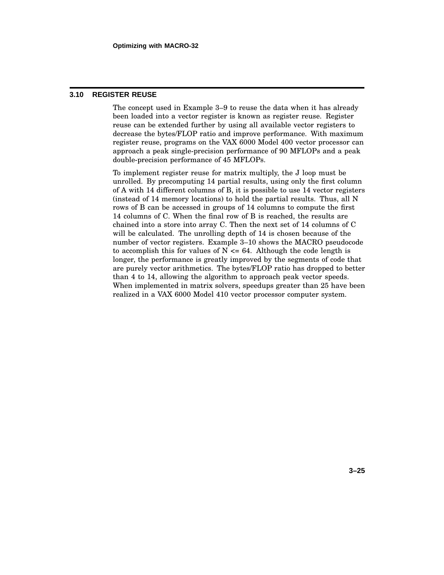#### **3.10 REGISTER REUSE**

The concept used in Example 3–9 to reuse the data when it has already been loaded into a vector register is known as register reuse. Register reuse can be extended further by using all available vector registers to decrease the bytes/FLOP ratio and improve performance. With maximum register reuse, programs on the VAX 6000 Model 400 vector processor can approach a peak single-precision performance of 90 MFLOPs and a peak double-precision performance of 45 MFLOPs.

To implement register reuse for matrix multiply, the J loop must be unrolled. By precomputing 14 partial results, using only the first column of A with 14 different columns of B, it is possible to use 14 vector registers (instead of 14 memory locations) to hold the partial results. Thus, all N rows of B can be accessed in groups of 14 columns to compute the first 14 columns of C. When the final row of B is reached, the results are chained into a store into array C. Then the next set of 14 columns of C will be calculated. The unrolling depth of 14 is chosen because of the number of vector registers. Example 3–10 shows the MACRO pseudocode to accomplish this for values of  $N \leq 64$ . Although the code length is longer, the performance is greatly improved by the segments of code that are purely vector arithmetics. The bytes/FLOP ratio has dropped to better than 4 to 14, allowing the algorithm to approach peak vector speeds. When implemented in matrix solvers, speedups greater than 25 have been realized in a VAX 6000 Model 410 vector processor computer system.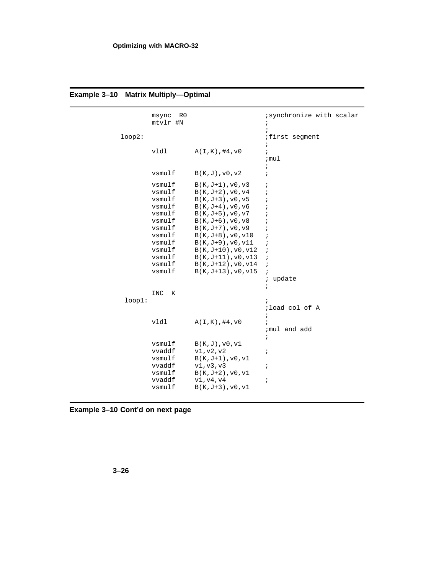| loop2: | R <sub>0</sub><br>msync<br>mtvlr #N                                                                                            |                                                                                                                                                                                                                                                                                                                                            | ; synchronize with scalar<br>÷<br>$\ddot{i}$<br><i>i</i> first segment                                                                                                                                    |
|--------|--------------------------------------------------------------------------------------------------------------------------------|--------------------------------------------------------------------------------------------------------------------------------------------------------------------------------------------------------------------------------------------------------------------------------------------------------------------------------------------|-----------------------------------------------------------------------------------------------------------------------------------------------------------------------------------------------------------|
|        | vldl                                                                                                                           | A(I,K), #4, v0                                                                                                                                                                                                                                                                                                                             | $\ddot{ }$<br>$\ddot{i}$<br>;mul<br>i.                                                                                                                                                                    |
|        | vsmulf                                                                                                                         | B(K,J),v0,v2                                                                                                                                                                                                                                                                                                                               | $\ddot{i}$                                                                                                                                                                                                |
|        | vsmulf<br>vsmulf<br>vsmulf<br>vsmulf<br>vsmulf<br>vsmulf<br>vsmulf<br>vsmulf<br>vsmulf<br>vsmulf<br>vsmulf<br>vsmulf<br>vsmulf | $B(K,J+1)$ , v $0, v3$<br>$B(K,J+2)$ , $v0, v4$<br>$B(K,J+3)$ , v $0, v5$<br>$B(K,J+4)$ , v0, v6<br>$B(K,J+5)$ , v $0, v7$<br>$B(K,J+6)$ , v $0$ , v $8$<br>$B(K,J+7)$ , v $0, v9$<br>$B(K,J+8)$ , v0, v10<br>$B(K,J+9)$ , v $0, v11$<br>$B(K,J+10), v0, v12$<br>$B(K,J+11), v0, v13$<br>$B(K,J+12)$ , v0, v14<br>$B(K,J+13)$ , v $0, v15$ | $\ddot{i}$<br>$\cdot$<br>$\cdot$<br>$\cdot$<br>$\ddot{ }$<br>$\ddot{ }$<br>$\cdot$<br>$\ddot{ }$<br>$\ddot{i}$<br>$\ddot{ }$<br>$\ddot{i}$<br>$\ddot{i}$<br>$\ddot{i}$<br>update<br>$\ddot{i}$<br>$\cdot$ |
| loop1: | K<br>INC                                                                                                                       |                                                                                                                                                                                                                                                                                                                                            | $\ddot{i}$<br>;load col of A<br>$\ddot{i}$                                                                                                                                                                |
|        | vldl                                                                                                                           | A(I,K), #4, v0                                                                                                                                                                                                                                                                                                                             | $\ddot{i}$<br>; mul and add<br>$\ddot{i}$                                                                                                                                                                 |
|        | vsmulf<br>vvaddf<br>vsmulf<br>vvaddf<br>vsmulf<br>vvaddf<br>vsmulf                                                             | B(K,J),v0,v1<br>v1, v2, v2<br>$B(K,J+1)$ , v $0, v1$<br>v1, v3, v3<br>$B(K,J+2)$ , $v0, v1$<br>v1, v4, v4<br>$B(K,J+3)$ , v $0, v1$                                                                                                                                                                                                        | $\ddot{ }$<br>$\ddot{ }$<br>i                                                                                                                                                                             |

# **Example 3–10 Matrix Multiply—Optimal**

**Example 3–10 Cont'd on next page**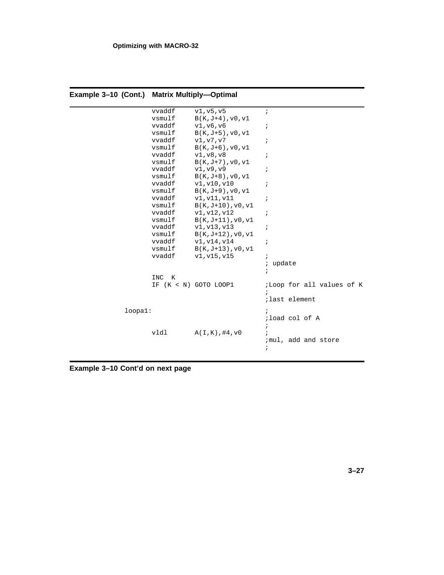| mpie 3–10 (Cont.) – wiatrix wultiply—Optimal |          |                         |                           |
|----------------------------------------------|----------|-------------------------|---------------------------|
|                                              | vvaddf   | v1, v5, v5              | $\ddot{i}$                |
|                                              | vsmulf   | $B(K,J+4)$ , v $0, v1$  |                           |
|                                              | vvaddf   | v1, v6, v6              | i                         |
|                                              | vsmulf   | $B(K,J+5)$ , v $0, v1$  |                           |
|                                              | vvaddf   | v1, v7, v7              | $\ddot{ }$                |
|                                              | vsmulf   | $B(K,J+6)$ , v $0, v1$  |                           |
|                                              | vvaddf   | v1, v8, v8              | $\ddot{i}$                |
|                                              | vsmulf   | $B(K,J+7)$ , v $0, v1$  |                           |
|                                              | vvaddf   | v1, v9, v9              | ï                         |
|                                              | vsmulf   | $B(K,J+8)$ , v0, v1     |                           |
|                                              | vvaddf   | v1, v10, v10            | ï                         |
|                                              | vsmulf   | $B(K,J+9)$ , v $0, v1$  |                           |
|                                              | vvaddf   | v1, v11, v11            | ï                         |
|                                              | vsmulf   | $B(K,J+10),v0,v1$       |                           |
|                                              | vvaddf   | v1, v12, v12            | $\cdot$                   |
|                                              | vsmulf   | $B(K,J+11),v0,v1$       |                           |
|                                              | vvaddf   | v1, v13, v13            | $\ddot{i}$                |
|                                              | vsmulf   | $B(K,J+12)$ , $v0, v1$  |                           |
|                                              | vvaddf   | v1, v14, v14            | ï                         |
|                                              | vsmulf   | $B(K,J+13)$ , v $0, v1$ |                           |
|                                              | vvaddf   | v1, v15, v15            | $\cdot$                   |
|                                              |          |                         | update<br>;               |
|                                              | INC<br>K |                         | i                         |
|                                              |          | IF (K < N) GOTO LOOP1   | ;Loop for all values of K |
|                                              |          |                         |                           |
|                                              |          |                         | last element;             |
|                                              |          |                         |                           |
| loopa1:                                      |          |                         | $\ddot{\phantom{0}}$      |
|                                              |          |                         | ;load col of A            |
|                                              |          |                         | ÷                         |
|                                              | vldl     | A(I,K), #4, v0          |                           |
|                                              |          |                         | ;mul, add and store       |
|                                              |          |                         | ï                         |
|                                              |          |                         |                           |

**Example 3–10 (Cont.) Matrix Multiply—Optimal**

**Example 3–10 Cont'd on next page**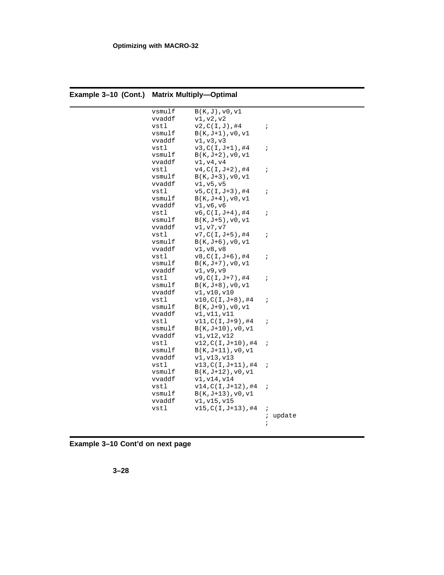| nple 3–10 (Cont.)   Matrix Multiply—Optimal |        |                         |                      |  |
|---------------------------------------------|--------|-------------------------|----------------------|--|
|                                             | vsmulf | $B(K,J)$ , $v0$ , $v1$  |                      |  |
|                                             | vvaddf | v1, v2, v2              |                      |  |
|                                             | vstl   | $v2, C(I,J)$ ,#4        | $\ddot{\phantom{0}}$ |  |
|                                             | vsmulf | $B(K,J+1)$ , v $0, v1$  |                      |  |
|                                             | vvaddf | v1, v3, v3              |                      |  |
|                                             | vstl   | $v3, C(I,J+1)$ ,#4      | $\ddot{ }$           |  |
|                                             | vsmulf | $B(K,J+2),v0,v1$        |                      |  |
|                                             | vvaddf | v1, v4, v4              |                      |  |
|                                             | vstl   | $v4, C(I, J+2)$ ,#4     | $\ddot{ }$           |  |
|                                             | vsmulf | $B(K,J+3)$ , $v0, v1$   |                      |  |
|                                             | vvaddf | v1, v5, v5              |                      |  |
|                                             | vstl   | $v5, C(I, J+3)$ ,#4     | $\ddot{ }$           |  |
|                                             | vsmulf | $B(K,J+4)$ , v $0, v1$  |                      |  |
|                                             | vvaddf | v1, v6, v6              |                      |  |
|                                             | vstl   | $v6, C(I, J+4)$ ,#4     | $\ddot{i}$           |  |
|                                             | vsmulf | $B(K,J+5)$ , v $0, v1$  |                      |  |
|                                             | vvaddf | v1, v7, v7              |                      |  |
|                                             | vstl   | $v7, C(I,J+5)$ ,#4      | $\ddot{i}$           |  |
|                                             | vsmulf | $B(K,J+6)$ , v $0, v1$  |                      |  |
|                                             | vvaddf | v1, v8, v8              |                      |  |
|                                             | vstl   | $v8, C(I, J+6)$ ,#4     | $\ddot{i}$           |  |
|                                             | vsmulf | $B(K,J+7)$ , v $0, v1$  |                      |  |
|                                             | vvaddf | v1, v9, v9              |                      |  |
|                                             | vstl   | $v9, C(I, J+7)$ ,#4     | $\ddot{ }$           |  |
|                                             | vsmulf | $B(K,J+8)$ , v $0, v1$  |                      |  |
|                                             | vvaddf | v1, v10, v10            |                      |  |
|                                             | vstl   | $v10, C(I,J+8)$ ,#4     | $\ddot{ }$           |  |
|                                             | vsmulf | $B(K,J+9)$ , v $0, v1$  |                      |  |
|                                             | vvaddf | v1, v11, v11            |                      |  |
|                                             | vstl   | $v11, C(I,J+9)$ ,#4     | $\cdot$              |  |
|                                             | vsmulf | $B(K,J+10)$ , v $0, v1$ |                      |  |
|                                             | vvaddf | v1, v12, v12            |                      |  |
|                                             | vstl   | $v12, C(I,J+10)$ ,#4    | $\ddot{ }$           |  |
|                                             | vsmulf | $B(K,J+11),v0,v1$       |                      |  |
|                                             | vvaddf | v1, v13, v13            |                      |  |
|                                             | vstl   | $v13, C(I,J+11)$ ,#4    | $\ddot{ }$           |  |
|                                             | vsmulf | $B(K,J+12)$ , $v0, v1$  |                      |  |
|                                             | vvaddf | v1, v14, v14            |                      |  |
|                                             | vstl   | $v14, C(I,J+12)$ ,#4    | $\ddot{\phantom{0}}$ |  |
|                                             | vsmulf | $B(K,J+13)$ , v $0, v1$ |                      |  |
|                                             | vvaddf | v1, v15, v15            |                      |  |
|                                             | vstl   | $v15, C(I,J+13)$ ,#4    | $\cdot$              |  |
|                                             |        |                         | update<br>ï          |  |
|                                             |        |                         | $\ddot{i}$           |  |
|                                             |        |                         |                      |  |

**Example 3–10 (Cont.) Matrix Multiply—Optimal**

**Example 3–10 Cont'd on next page**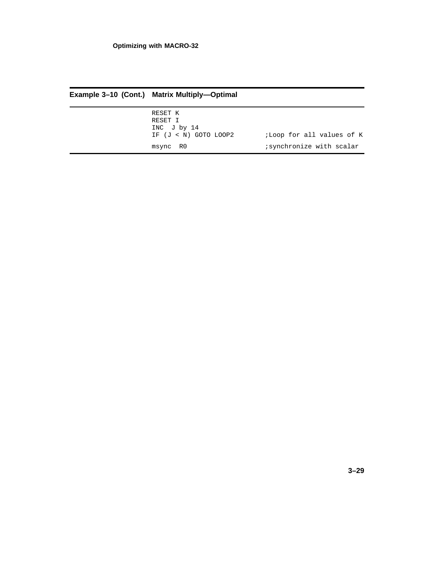| Example 3-10 (Cont.) Matrix Multiply-Optimal                   |                           |  |  |
|----------------------------------------------------------------|---------------------------|--|--|
| RESET K<br>RESET I<br>INC $J$ by 14<br>IF $(J < N)$ GOTO LOOP2 | ;Loop for all values of K |  |  |
| msync RO                                                       | synchronize with scalar   |  |  |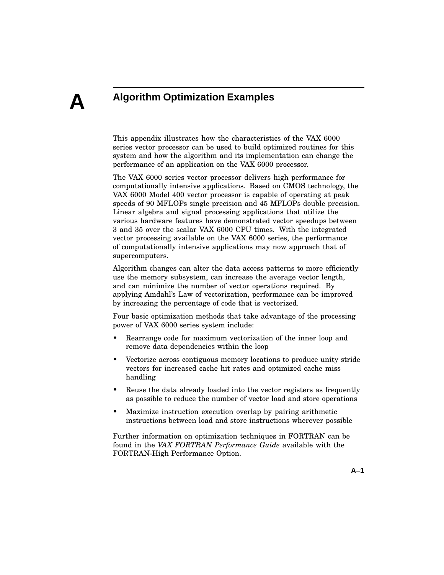# **A**

# **Algorithm Optimization Examples**

This appendix illustrates how the characteristics of the VAX 6000 series vector processor can be used to build optimized routines for this system and how the algorithm and its implementation can change the performance of an application on the VAX 6000 processor.

The VAX 6000 series vector processor delivers high performance for computationally intensive applications. Based on CMOS technology, the VAX 6000 Model 400 vector processor is capable of operating at peak speeds of 90 MFLOPs single precision and 45 MFLOPs double precision. Linear algebra and signal processing applications that utilize the various hardware features have demonstrated vector speedups between 3 and 35 over the scalar VAX 6000 CPU times. With the integrated vector processing available on the VAX 6000 series, the performance of computationally intensive applications may now approach that of supercomputers.

Algorithm changes can alter the data access patterns to more efficiently use the memory subsystem, can increase the average vector length, and can minimize the number of vector operations required. By applying Amdahl's Law of vectorization, performance can be improved by increasing the percentage of code that is vectorized.

Four basic optimization methods that take advantage of the processing power of VAX 6000 series system include:

- Rearrange code for maximum vectorization of the inner loop and remove data dependencies within the loop
- Vectorize across contiguous memory locations to produce unity stride vectors for increased cache hit rates and optimized cache miss handling
- Reuse the data already loaded into the vector registers as frequently as possible to reduce the number of vector load and store operations
- Maximize instruction execution overlap by pairing arithmetic instructions between load and store instructions wherever possible

Further information on optimization techniques in FORTRAN can be found in the *VAX FORTRAN Performance Guide* available with the FORTRAN-High Performance Option.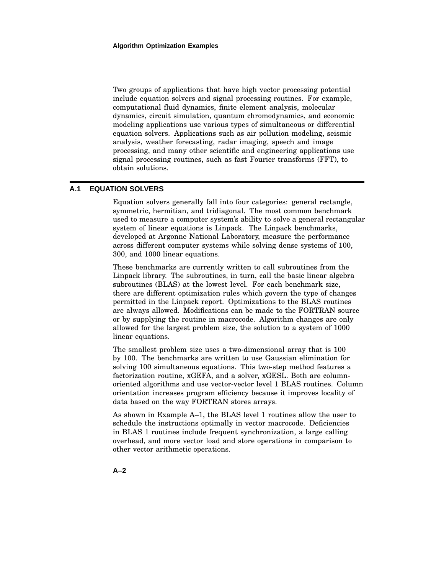Two groups of applications that have high vector processing potential include equation solvers and signal processing routines. For example, computational fluid dynamics, finite element analysis, molecular dynamics, circuit simulation, quantum chromodynamics, and economic modeling applications use various types of simultaneous or differential equation solvers. Applications such as air pollution modeling, seismic analysis, weather forecasting, radar imaging, speech and image processing, and many other scientific and engineering applications use signal processing routines, such as fast Fourier transforms (FFT), to obtain solutions.

#### **A.1 EQUATION SOLVERS**

Equation solvers generally fall into four categories: general rectangle, symmetric, hermitian, and tridiagonal. The most common benchmark used to measure a computer system's ability to solve a general rectangular system of linear equations is Linpack. The Linpack benchmarks, developed at Argonne National Laboratory, measure the performance across different computer systems while solving dense systems of 100, 300, and 1000 linear equations.

These benchmarks are currently written to call subroutines from the Linpack library. The subroutines, in turn, call the basic linear algebra subroutines (BLAS) at the lowest level. For each benchmark size, there are different optimization rules which govern the type of changes permitted in the Linpack report. Optimizations to the BLAS routines are always allowed. Modifications can be made to the FORTRAN source or by supplying the routine in macrocode. Algorithm changes are only allowed for the largest problem size, the solution to a system of 1000 linear equations.

The smallest problem size uses a two-dimensional array that is 100 by 100. The benchmarks are written to use Gaussian elimination for solving 100 simultaneous equations. This two-step method features a factorization routine, xGEFA, and a solver, xGESL. Both are columnoriented algorithms and use vector-vector level 1 BLAS routines. Column orientation increases program efficiency because it improves locality of data based on the way FORTRAN stores arrays.

As shown in Example A–1, the BLAS level 1 routines allow the user to schedule the instructions optimally in vector macrocode. Deficiencies in BLAS 1 routines include frequent synchronization, a large calling overhead, and more vector load and store operations in comparison to other vector arithmetic operations.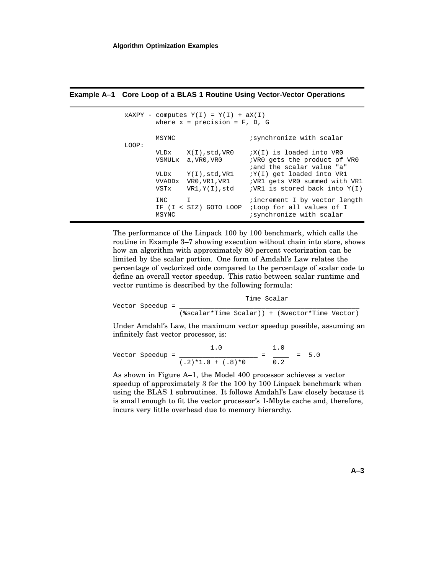|       |                              | $XAXPY - computes Y(I) = Y(I) + aX(I)$<br>where $x = precision = F$ , D, G                          |                                                                                                                                                                                                    |  |
|-------|------------------------------|-----------------------------------------------------------------------------------------------------|----------------------------------------------------------------------------------------------------------------------------------------------------------------------------------------------------|--|
| LOOP: | MSYNC                        |                                                                                                     | synchronize with scalar                                                                                                                                                                            |  |
|       | VLDx<br>VSTx                 | X(I),std,VR0<br>VSMULx a.VRO.VRO<br>$VLDx$ $Y(I), std, VR1$<br>VVADDx VR0, VR1, VR1<br>VR1,Y(I),std | $iX(I)$ is loaded into VRO<br>; VRO gets the product of VRO<br>and the scalar value "a"<br>$iY(I)$ get loaded into VR1<br>VR1 gets VR0 summed with VR1<br>$:V \times 1$ is stored back into $Y(I)$ |  |
|       | INC<br>$\mathbf{I}$<br>MSYNC | IF (I < SIZ) GOTO LOOP                                                                              | <i>i</i> increment I by vector length<br>;Loop for all values of I<br>synchronize with scalar                                                                                                      |  |

**Example A–1 Core Loop of a BLAS 1 Routine Using Vector-Vector Operations**

The performance of the Linpack 100 by 100 benchmark, which calls the routine in Example 3–7 showing execution without chain into store, shows how an algorithm with approximately 80 percent vectorization can be limited by the scalar portion. One form of Amdahl's Law relates the percentage of vectorized code compared to the percentage of scalar code to define an overall vector speedup. This ratio between scalar runtime and vector runtime is described by the following formula:

|  | Vector Speedup = | Time Scalar |  |  |                                                |  |
|--|------------------|-------------|--|--|------------------------------------------------|--|
|  |                  |             |  |  | (%scalar*Time Scalar)) + (%vector*Time Vector) |  |

Under Amdahl's Law, the maximum vector speedup possible, assuming an infinitely fast vector processor, is:

Vector Speedup = 
$$
\frac{1.0}{(.2)*1.0 + (.8)*0} = \frac{1.0}{0.2} = 5.0
$$

As shown in Figure A–1, the Model 400 processor achieves a vector speedup of approximately 3 for the 100 by 100 Linpack benchmark when using the BLAS 1 subroutines. It follows Amdahl's Law closely because it is small enough to fit the vector processor's 1-Mbyte cache and, therefore, incurs very little overhead due to memory hierarchy.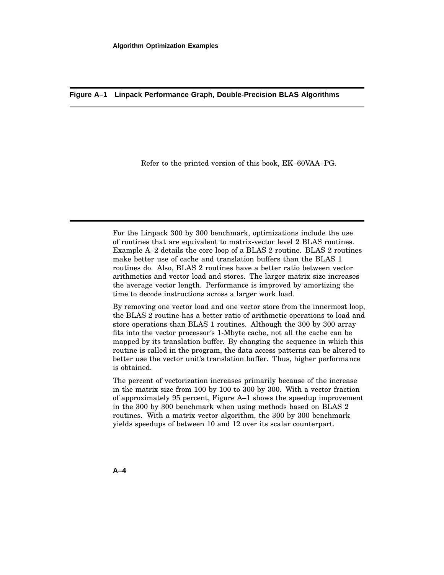**Figure A–1 Linpack Performance Graph, Double-Precision BLAS Algorithms**

Refer to the printed version of this book, EK–60VAA–PG.

For the Linpack 300 by 300 benchmark, optimizations include the use of routines that are equivalent to matrix-vector level 2 BLAS routines. Example A–2 details the core loop of a BLAS 2 routine. BLAS 2 routines make better use of cache and translation buffers than the BLAS 1 routines do. Also, BLAS 2 routines have a better ratio between vector arithmetics and vector load and stores. The larger matrix size increases the average vector length. Performance is improved by amortizing the time to decode instructions across a larger work load.

By removing one vector load and one vector store from the innermost loop, the BLAS 2 routine has a better ratio of arithmetic operations to load and store operations than BLAS 1 routines. Although the 300 by 300 array fits into the vector processor's 1-Mbyte cache, not all the cache can be mapped by its translation buffer. By changing the sequence in which this routine is called in the program, the data access patterns can be altered to better use the vector unit's translation buffer. Thus, higher performance is obtained.

The percent of vectorization increases primarily because of the increase in the matrix size from 100 by 100 to 300 by 300. With a vector fraction of approximately 95 percent, Figure A–1 shows the speedup improvement in the 300 by 300 benchmark when using methods based on BLAS 2 routines. With a matrix vector algorithm, the 300 by 300 benchmark yields speedups of between 10 and 12 over its scalar counterpart.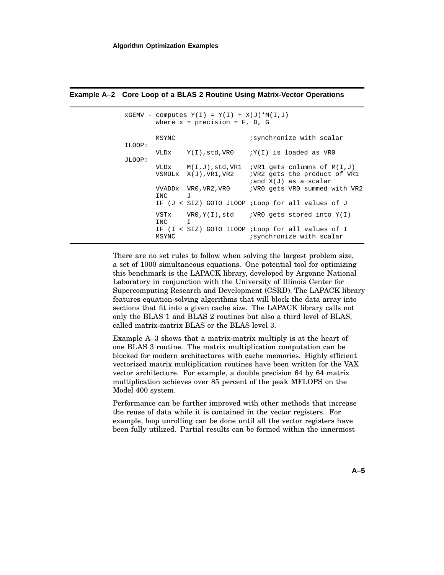|        |                       | $XGEMV$ - computes $Y(I) = Y(I) + X(J) * M(I,J)$<br>where $x = precision = F, D, G$ |                                                                                                 |
|--------|-----------------------|-------------------------------------------------------------------------------------|-------------------------------------------------------------------------------------------------|
| ILOOP: | MSYNC                 |                                                                                     | synchronize with scalar                                                                         |
| JLOOP: |                       |                                                                                     | VLDx $Y(I)$ , std, VR0 $iY(I)$ is loaded as VR0                                                 |
|        |                       | VLDx $M(I,J)$ , std, VR1<br>VSMULx X(J), VR1, VR2                                   | $: VR1$ gets columns of $M(I,J)$<br>; VR2 gets the product of VR1<br>$i$ and $X(J)$ as a scalar |
|        | $\overline{J}$<br>INC | VVADDx VR0, VR2, VR0                                                                | ; VRO gets VRO summed with VR2                                                                  |
|        |                       |                                                                                     | IF (J < SIZ) GOTO JLOOP ;Loop for all values of J                                               |
|        | INC I                 |                                                                                     | $VSTx$ VRO, $Y(I)$ , std <i>WRO</i> qets stored into $Y(I)$                                     |
|        | MSYNC                 |                                                                                     | IF (I < SIZ) GOTO ILOOP ;Loop for all values of I<br>; synchronize with scalar                  |

#### **Example A–2 Core Loop of a BLAS 2 Routine Using Matrix-Vector Operations**

There are no set rules to follow when solving the largest problem size, a set of 1000 simultaneous equations. One potential tool for optimizing this benchmark is the LAPACK library, developed by Argonne National Laboratory in conjunction with the University of Illinois Center for Supercomputing Research and Development (CSRD). The LAPACK library features equation-solving algorithms that will block the data array into sections that fit into a given cache size. The LAPACK library calls not only the BLAS 1 and BLAS 2 routines but also a third level of BLAS, called matrix-matrix BLAS or the BLAS level 3.

Example A–3 shows that a matrix-matrix multiply is at the heart of one BLAS 3 routine. The matrix multiplication computation can be blocked for modern architectures with cache memories. Highly efficient vectorized matrix multiplication routines have been written for the VAX vector architecture. For example, a double precision 64 by 64 matrix multiplication achieves over 85 percent of the peak MFLOPS on the Model 400 system.

Performance can be further improved with other methods that increase the reuse of data while it is contained in the vector registers. For example, loop unrolling can be done until all the vector registers have been fully utilized. Partial results can be formed within the innermost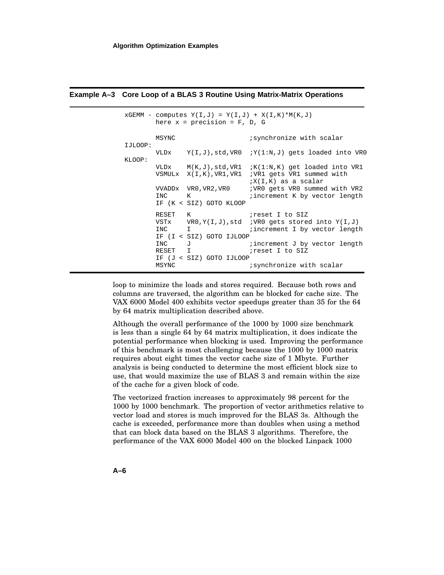|         |                                      | here $x = precision = F, D, G$                       | $XGEMM - computes Y(I,J) = Y(I,J) + X(I,K)*M(K,J)$                                                                                                                   |
|---------|--------------------------------------|------------------------------------------------------|----------------------------------------------------------------------------------------------------------------------------------------------------------------------|
| IJLOOP: | MSYNC                                |                                                      | synchronize with scalar                                                                                                                                              |
| KLOOP:  |                                      |                                                      | VLDx $Y(I,J)$ , std, VR0 $iY(1:N,J)$ gets loaded into VR0                                                                                                            |
|         |                                      |                                                      | VLDx $M(K,J)$ , std, VR1 ; $K(1:N,K)$ qet loaded into VR1<br>VSMULx X(I,K), VR1, VR1 ; VR1 gets VR1 summed with<br>$iX(I,K)$ as a scalar                             |
|         | INC K                                | VVADDx VR0, VR2, VR0<br>IF (K < SIZ) GOTO KLOOP      | ; VRO gets VRO summed with VR2<br>increment K by vector length                                                                                                       |
|         | RESET K<br>INC I<br>INC J<br>RESET I | IF (I < SIZ) GOTO IJLOOP<br>IF (J < SIZ) GOTO IJLOOP | reset I to SIZ;<br>VSTx $VR0,Y(I,J)$ , std <i>i</i> VR0 gets stored into $Y(I,J)$<br>increment I by vector length<br>increment J by vector length<br>ireset I to SIZ |
|         | MSYNC                                |                                                      | synchronize with scalar                                                                                                                                              |

#### **Example A–3 Core Loop of a BLAS 3 Routine Using Matrix-Matrix Operations**

loop to minimize the loads and stores required. Because both rows and columns are traversed, the algorithm can be blocked for cache size. The VAX 6000 Model 400 exhibits vector speedups greater than 35 for the 64 by 64 matrix multiplication described above.

Although the overall performance of the 1000 by 1000 size benchmark is less than a single 64 by 64 matrix multiplication, it does indicate the potential performance when blocking is used. Improving the performance of this benchmark is most challenging because the 1000 by 1000 matrix requires about eight times the vector cache size of 1 Mbyte. Further analysis is being conducted to determine the most efficient block size to use, that would maximize the use of BLAS 3 and remain within the size of the cache for a given block of code.

The vectorized fraction increases to approximately 98 percent for the 1000 by 1000 benchmark. The proportion of vector arithmetics relative to vector load and stores is much improved for the BLAS 3s. Although the cache is exceeded, performance more than doubles when using a method that can block data based on the BLAS 3 algorithms. Therefore, the performance of the VAX 6000 Model 400 on the blocked Linpack 1000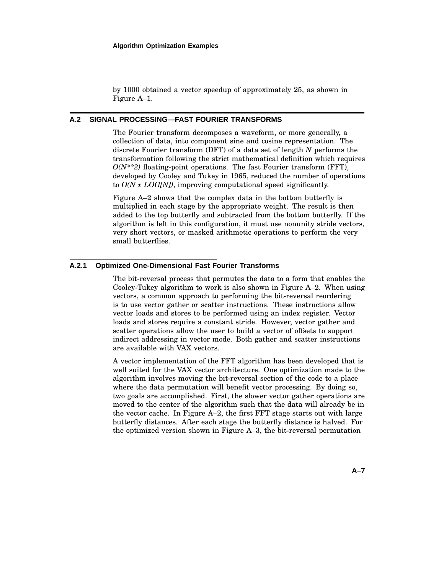by 1000 obtained a vector speedup of approximately 25, as shown in Figure A–1.

#### **A.2 SIGNAL PROCESSING—FAST FOURIER TRANSFORMS**

The Fourier transform decomposes a waveform, or more generally, a collection of data, into component sine and cosine representation. The discrete Fourier transform (DFT) of a data set of length *N* performs the transformation following the strict mathematical definition which requires *O(N\*\*2)* floating-point operations. The fast Fourier transform (FFT), developed by Cooley and Tukey in 1965, reduced the number of operations to *O(N x LOG[N])*, improving computational speed significantly.

Figure A–2 shows that the complex data in the bottom butterfly is multiplied in each stage by the appropriate weight. The result is then added to the top butterfly and subtracted from the bottom butterfly. If the algorithm is left in this configuration, it must use nonunity stride vectors, very short vectors, or masked arithmetic operations to perform the very small butterflies.

#### **A.2.1 Optimized One-Dimensional Fast Fourier Transforms**

The bit-reversal process that permutes the data to a form that enables the Cooley-Tukey algorithm to work is also shown in Figure A–2. When using vectors, a common approach to performing the bit-reversal reordering is to use vector gather or scatter instructions. These instructions allow vector loads and stores to be performed using an index register. Vector loads and stores require a constant stride. However, vector gather and scatter operations allow the user to build a vector of offsets to support indirect addressing in vector mode. Both gather and scatter instructions are available with VAX vectors.

A vector implementation of the FFT algorithm has been developed that is well suited for the VAX vector architecture. One optimization made to the algorithm involves moving the bit-reversal section of the code to a place where the data permutation will benefit vector processing. By doing so, two goals are accomplished. First, the slower vector gather operations are moved to the center of the algorithm such that the data will already be in the vector cache. In Figure A–2, the first FFT stage starts out with large butterfly distances. After each stage the butterfly distance is halved. For the optimized version shown in Figure A–3, the bit-reversal permutation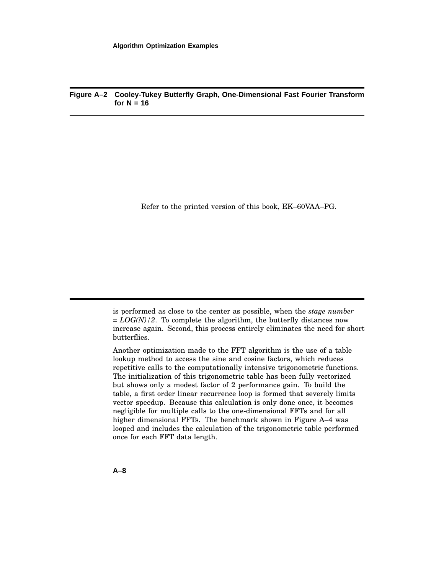#### **Figure A–2 Cooley-Tukey Butterfly Graph, One-Dimensional Fast Fourier Transform**  $for N = 16$

Refer to the printed version of this book, EK–60VAA–PG.

is performed as close to the center as possible, when the *stage number = LOG(N)/2*. To complete the algorithm, the butterfly distances now increase again. Second, this process entirely eliminates the need for short butterflies.

Another optimization made to the FFT algorithm is the use of a table lookup method to access the sine and cosine factors, which reduces repetitive calls to the computationally intensive trigonometric functions. The initialization of this trigonometric table has been fully vectorized but shows only a modest factor of 2 performance gain. To build the table, a first order linear recurrence loop is formed that severely limits vector speedup. Because this calculation is only done once, it becomes negligible for multiple calls to the one-dimensional FFTs and for all higher dimensional FFTs. The benchmark shown in Figure A–4 was looped and includes the calculation of the trigonometric table performed once for each FFT data length.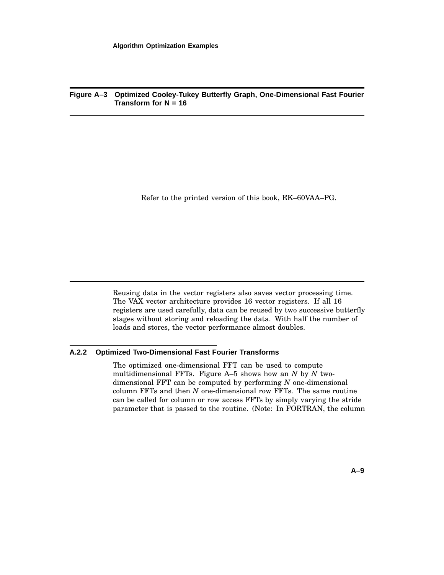#### **Figure A–3 Optimized Cooley-Tukey Butterfly Graph, One-Dimensional Fast Fourier Transform for N = 16**

Refer to the printed version of this book, EK–60VAA–PG.

Reusing data in the vector registers also saves vector processing time. The VAX vector architecture provides 16 vector registers. If all 16 registers are used carefully, data can be reused by two successive butterfly stages without storing and reloading the data. With half the number of loads and stores, the vector performance almost doubles.

#### **A.2.2 Optimized Two-Dimensional Fast Fourier Transforms**

The optimized one-dimensional FFT can be used to compute multidimensional FFTs. Figure A–5 shows how an *N* by *N* twodimensional FFT can be computed by performing *N* one-dimensional column FFTs and then *N* one-dimensional row FFTs. The same routine can be called for column or row access FFTs by simply varying the stride parameter that is passed to the routine. (Note: In FORTRAN, the column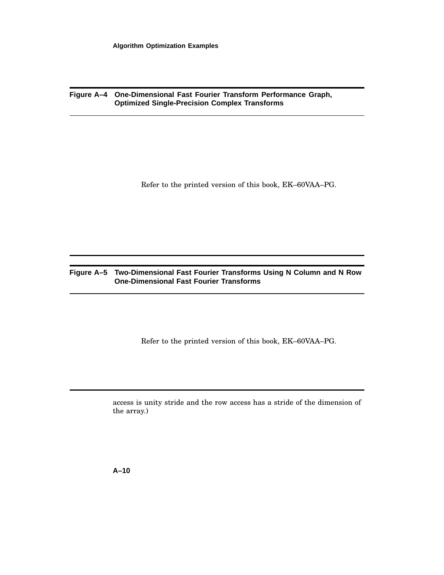**Figure A–4 One-Dimensional Fast Fourier Transform Performance Graph, Optimized Single-Precision Complex Transforms**

Refer to the printed version of this book, EK–60VAA–PG.

## **Figure A–5 Two-Dimensional Fast Fourier Transforms Using N Column and N Row One-Dimensional Fast Fourier Transforms**

Refer to the printed version of this book, EK–60VAA–PG.

access is unity stride and the row access has a stride of the dimension of the array.)

**A–10**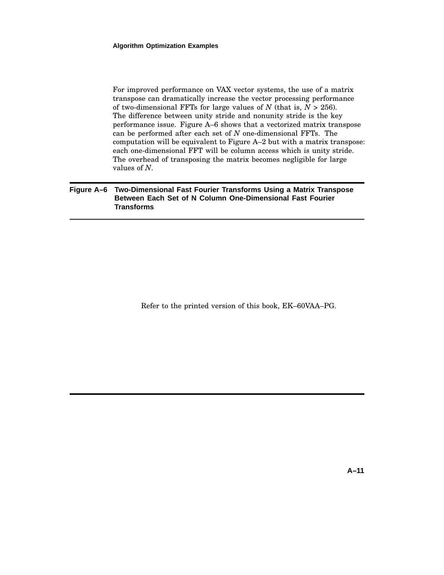For improved performance on VAX vector systems, the use of a matrix transpose can dramatically increase the vector processing performance of two-dimensional FFTs for large values of  $N$  (that is,  $N > 256$ ). The difference between unity stride and nonunity stride is the key performance issue. Figure A–6 shows that a vectorized matrix transpose can be performed after each set of *N* one-dimensional FFTs. The computation will be equivalent to Figure A–2 but with a matrix transpose: each one-dimensional FFT will be column access which is unity stride. The overhead of transposing the matrix becomes negligible for large values of *N*.

#### **Figure A–6 Two-Dimensional Fast Fourier Transforms Using a Matrix Transpose Between Each Set of N Column One-Dimensional Fast Fourier Transforms**

Refer to the printed version of this book, EK–60VAA–PG.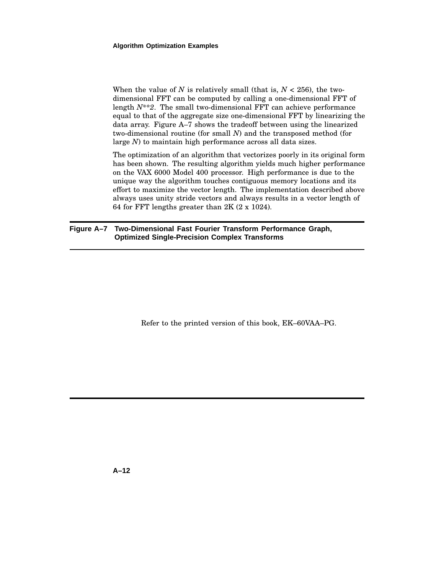When the value of *N* is relatively small (that is,  $N < 256$ ), the twodimensional FFT can be computed by calling a one-dimensional FFT of length *N\*\*2*. The small two-dimensional FFT can achieve performance equal to that of the aggregate size one-dimensional FFT by linearizing the data array. Figure A–7 shows the tradeoff between using the linearized two-dimensional routine (for small *N*) and the transposed method (for large *N*) to maintain high performance across all data sizes.

The optimization of an algorithm that vectorizes poorly in its original form has been shown. The resulting algorithm yields much higher performance on the VAX 6000 Model 400 processor. High performance is due to the unique way the algorithm touches contiguous memory locations and its effort to maximize the vector length. The implementation described above always uses unity stride vectors and always results in a vector length of 64 for FFT lengths greater than 2K (2 x 1024).

#### **Figure A–7 Two-Dimensional Fast Fourier Transform Performance Graph, Optimized Single-Precision Complex Transforms**

Refer to the printed version of this book, EK–60VAA–PG.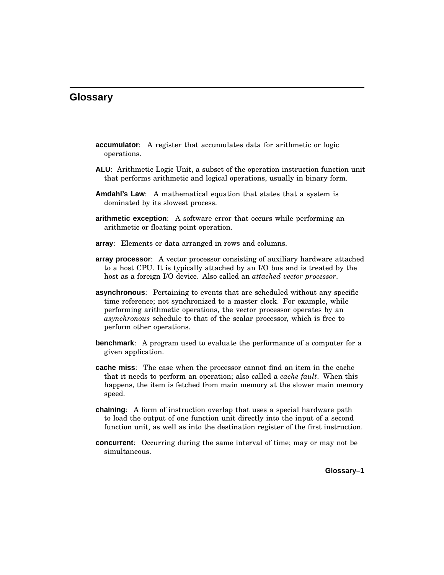## **Glossary**

- **accumulator**: A register that accumulates data for arithmetic or logic operations.
- **ALU**: Arithmetic Logic Unit, a subset of the operation instruction function unit that performs arithmetic and logical operations, usually in binary form.
- **Amdahl's Law**: A mathematical equation that states that a system is dominated by its slowest process.
- **arithmetic exception**: A software error that occurs while performing an arithmetic or floating point operation.
- **array**: Elements or data arranged in rows and columns.
- **array processor**: A vector processor consisting of auxiliary hardware attached to a host CPU. It is typically attached by an I/O bus and is treated by the host as a foreign I/O device. Also called an *attached vector processor*.
- **asynchronous**: Pertaining to events that are scheduled without any specific time reference; not synchronized to a master clock. For example, while performing arithmetic operations, the vector processor operates by an *asynchronous* schedule to that of the scalar processor, which is free to perform other operations.
- **benchmark**: A program used to evaluate the performance of a computer for a given application.
- **cache miss**: The case when the processor cannot find an item in the cache that it needs to perform an operation; also called a *cache fault*. When this happens, the item is fetched from main memory at the slower main memory speed.
- **chaining**: A form of instruction overlap that uses a special hardware path to load the output of one function unit directly into the input of a second function unit, as well as into the destination register of the first instruction.
- **concurrent**: Occurring during the same interval of time; may or may not be simultaneous.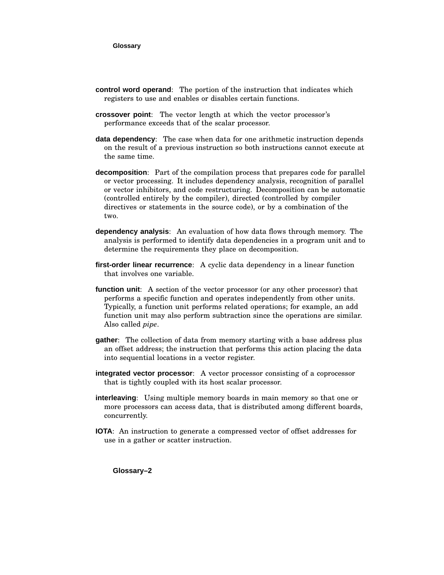- **control word operand**: The portion of the instruction that indicates which registers to use and enables or disables certain functions.
- **crossover point**: The vector length at which the vector processor's performance exceeds that of the scalar processor.
- **data dependency**: The case when data for one arithmetic instruction depends on the result of a previous instruction so both instructions cannot execute at the same time.
- **decomposition**: Part of the compilation process that prepares code for parallel or vector processing. It includes dependency analysis, recognition of parallel or vector inhibitors, and code restructuring. Decomposition can be automatic (controlled entirely by the compiler), directed (controlled by compiler directives or statements in the source code), or by a combination of the two.
- **dependency analysis**: An evaluation of how data flows through memory. The analysis is performed to identify data dependencies in a program unit and to determine the requirements they place on decomposition.
- **first-order linear recurrence**: A cyclic data dependency in a linear function that involves one variable.
- **function unit**: A section of the vector processor (or any other processor) that performs a specific function and operates independently from other units. Typically, a function unit performs related operations; for example, an add function unit may also perform subtraction since the operations are similar. Also called *pipe*.
- **gather**: The collection of data from memory starting with a base address plus an offset address; the instruction that performs this action placing the data into sequential locations in a vector register.
- **integrated vector processor**: A vector processor consisting of a coprocessor that is tightly coupled with its host scalar processor.
- **interleaving**: Using multiple memory boards in main memory so that one or more processors can access data, that is distributed among different boards, concurrently.
- **IOTA**: An instruction to generate a compressed vector of offset addresses for use in a gather or scatter instruction.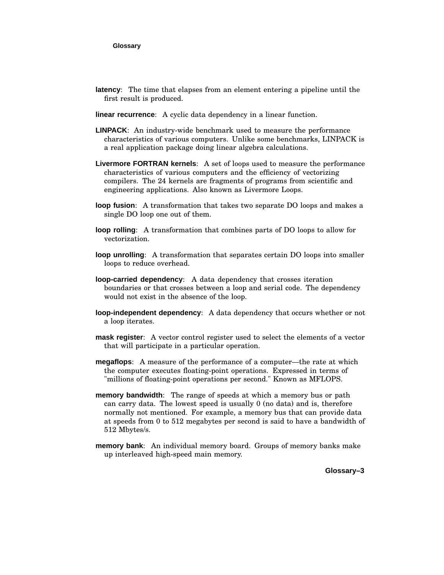#### **Glossary**

- **latency**: The time that elapses from an element entering a pipeline until the first result is produced.
- **linear recurrence**: A cyclic data dependency in a linear function.
- **LINPACK**: An industry-wide benchmark used to measure the performance characteristics of various computers. Unlike some benchmarks, LINPACK is a real application package doing linear algebra calculations.
- **Livermore FORTRAN kernels**: A set of loops used to measure the performance characteristics of various computers and the efficiency of vectorizing compilers. The 24 kernels are fragments of programs from scientific and engineering applications. Also known as Livermore Loops.
- **loop fusion**: A transformation that takes two separate DO loops and makes a single DO loop one out of them.
- **loop rolling**: A transformation that combines parts of DO loops to allow for vectorization.
- **loop unrolling**: A transformation that separates certain DO loops into smaller loops to reduce overhead.
- **loop-carried dependency**: A data dependency that crosses iteration boundaries or that crosses between a loop and serial code. The dependency would not exist in the absence of the loop.
- **loop-independent dependency**: A data dependency that occurs whether or not a loop iterates.
- **mask register**: A vector control register used to select the elements of a vector that will participate in a particular operation.
- **megaflops**: A measure of the performance of a computer—the rate at which the computer executes floating-point operations. Expressed in terms of "millions of floating-point operations per second." Known as MFLOPS.
- **memory bandwidth**: The range of speeds at which a memory bus or path can carry data. The lowest speed is usually 0 (no data) and is, therefore normally not mentioned. For example, a memory bus that can provide data at speeds from 0 to 512 megabytes per second is said to have a bandwidth of 512 Mbytes/s.
- **memory bank**: An individual memory board. Groups of memory banks make up interleaved high-speed main memory.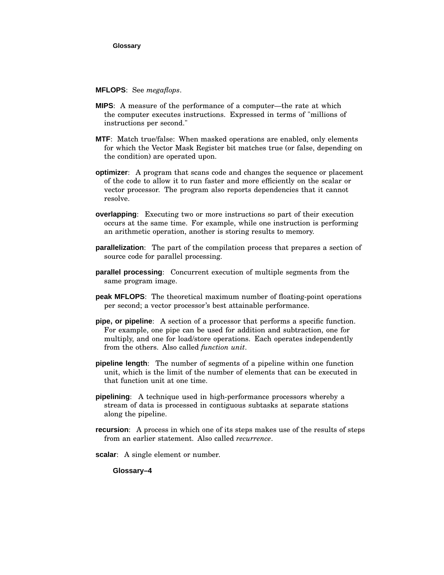#### **MFLOPS**: See *megaflops*.

- **MIPS**: A measure of the performance of a computer—the rate at which the computer executes instructions. Expressed in terms of "millions of instructions per second."
- **MTF**: Match true/false: When masked operations are enabled, only elements for which the Vector Mask Register bit matches true (or false, depending on the condition) are operated upon.
- **optimizer**: A program that scans code and changes the sequence or placement of the code to allow it to run faster and more efficiently on the scalar or vector processor. The program also reports dependencies that it cannot resolve.
- **overlapping**: Executing two or more instructions so part of their execution occurs at the same time. For example, while one instruction is performing an arithmetic operation, another is storing results to memory.
- **parallelization**: The part of the compilation process that prepares a section of source code for parallel processing.
- **parallel processing**: Concurrent execution of multiple segments from the same program image.
- **peak MFLOPS**: The theoretical maximum number of floating-point operations per second; a vector processor's best attainable performance.
- **pipe, or pipeline**: A section of a processor that performs a specific function. For example, one pipe can be used for addition and subtraction, one for multiply, and one for load/store operations. Each operates independently from the others. Also called *function unit*.
- **pipeline length**: The number of segments of a pipeline within one function unit, which is the limit of the number of elements that can be executed in that function unit at one time.
- **pipelining**: A technique used in high-performance processors whereby a stream of data is processed in contiguous subtasks at separate stations along the pipeline.
- **recursion**: A process in which one of its steps makes use of the results of steps from an earlier statement. Also called *recurrence*.
- **scalar**: A single element or number.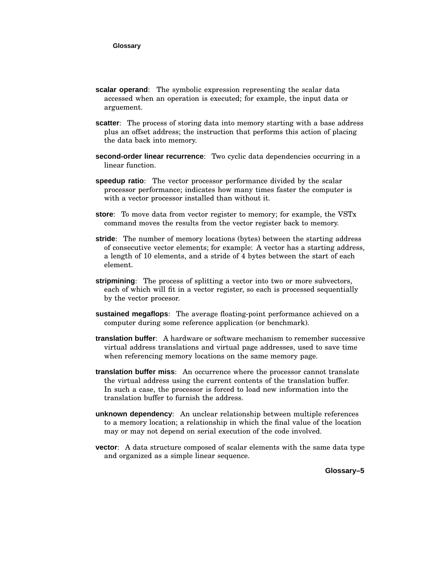- **scalar operand**: The symbolic expression representing the scalar data accessed when an operation is executed; for example, the input data or arguement.
- **scatter**: The process of storing data into memory starting with a base address plus an offset address; the instruction that performs this action of placing the data back into memory.
- **second-order linear recurrence**: Two cyclic data dependencies occurring in a linear function.
- **speedup ratio**: The vector processor performance divided by the scalar processor performance; indicates how many times faster the computer is with a vector processor installed than without it.
- **store**: To move data from vector register to memory; for example, the VSTx command moves the results from the vector register back to memory.
- **stride**: The number of memory locations (bytes) between the starting address of consecutive vector elements; for example: A vector has a starting address, a length of 10 elements, and a stride of 4 bytes between the start of each element.
- **stripmining**: The process of splitting a vector into two or more subvectors, each of which will fit in a vector register, so each is processed sequentially by the vector procesor.
- **sustained megaflops**: The average floating-point performance achieved on a computer during some reference application (or benchmark).
- **translation buffer**: A hardware or software mechanism to remember successive virtual address translations and virtual page addresses, used to save time when referencing memory locations on the same memory page.
- **translation buffer miss**: An occurrence where the processor cannot translate the virtual address using the current contents of the translation buffer. In such a case, the processor is forced to load new information into the translation buffer to furnish the address.
- **unknown dependency**: An unclear relationship between multiple references to a memory location; a relationship in which the final value of the location may or may not depend on serial execution of the code involved.
- **vector**: A data structure composed of scalar elements with the same data type and organized as a simple linear sequence.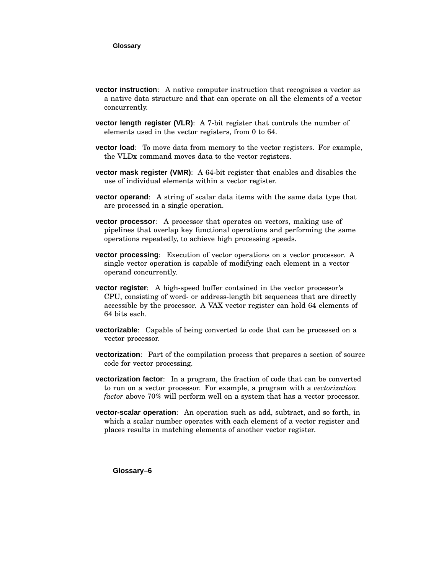- **vector instruction**: A native computer instruction that recognizes a vector as a native data structure and that can operate on all the elements of a vector concurrently.
- **vector length register (VLR)**: A 7-bit register that controls the number of elements used in the vector registers, from 0 to 64.
- **vector load**: To move data from memory to the vector registers. For example, the VLDx command moves data to the vector registers.
- **vector mask register (VMR)**: A 64-bit register that enables and disables the use of individual elements within a vector register.
- **vector operand**: A string of scalar data items with the same data type that are processed in a single operation.
- **vector processor**: A processor that operates on vectors, making use of pipelines that overlap key functional operations and performing the same operations repeatedly, to achieve high processing speeds.
- **vector processing**: Execution of vector operations on a vector processor. A single vector operation is capable of modifying each element in a vector operand concurrently.
- **vector register**: A high-speed buffer contained in the vector processor's CPU, consisting of word- or address-length bit sequences that are directly accessible by the processor. A VAX vector register can hold 64 elements of 64 bits each.
- **vectorizable**: Capable of being converted to code that can be processed on a vector processor.
- **vectorization**: Part of the compilation process that prepares a section of source code for vector processing.
- **vectorization factor**: In a program, the fraction of code that can be converted to run on a vector processor. For example, a program with a *vectorization factor* above 70% will perform well on a system that has a vector processor.
- **vector-scalar operation**: An operation such as add, subtract, and so forth, in which a scalar number operates with each element of a vector register and places results in matching elements of another vector register.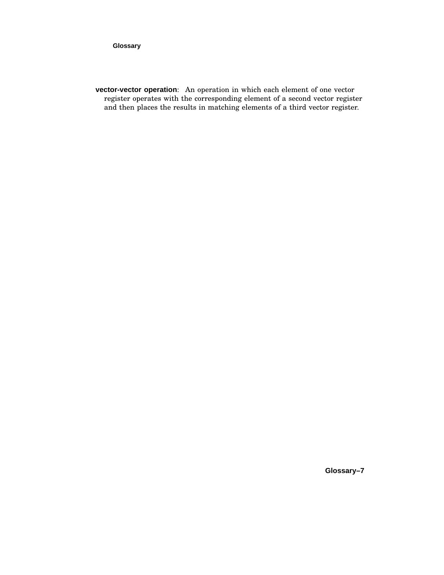#### **Glossary**

**vector-vector operation**: An operation in which each element of one vector register operates with the corresponding element of a second vector register and then places the results in matching elements of a third vector register.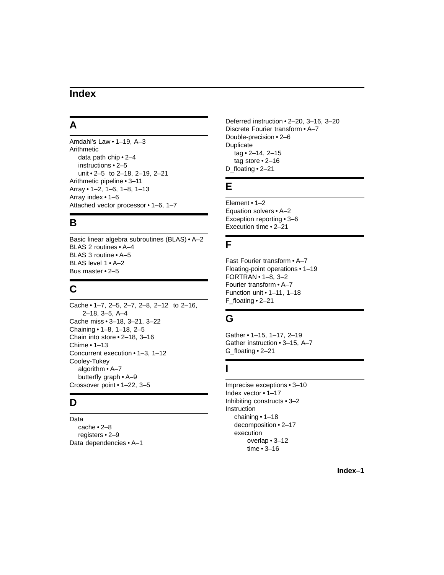## **Index**

# **A**

Amdahl's Law • 1–19, A–3 Arithmetic data path chip • 2–4 instructions • 2–5 unit • 2–5 to 2–18, 2–19, 2–21 Arithmetic pipeline • 3–11 Array • 1–2, 1–6, 1–8, 1–13 Array index • 1–6 Attached vector processor • 1–6, 1–7

# **B**

Basic linear algebra subroutines (BLAS) • A–2 BLAS 2 routines • A–4 BLAS 3 routine • A–5 BLAS level 1 • A–2 Bus master • 2–5

# **C**

Cache • 1–7, 2–5, 2–7, 2–8, 2–12 to 2–16, 2–18, 3–5, A–4 Cache miss • 3–18, 3–21, 3–22 Chaining • 1–8, 1–18, 2–5 Chain into store • 2–18, 3–16 Chime • 1–13 Concurrent execution • 1–3, 1–12 Cooley-Tukey algorithm • A–7 butterfly graph • A–9 Crossover point • 1–22, 3–5

## **D**

Data cache • 2–8 registers • 2–9 Data dependencies • A–1

Deferred instruction • 2–20, 3–16, 3–20 Discrete Fourier transform • A–7 Double-precision • 2–6 Duplicate tag • 2–14, 2–15 tag store • 2–16 D\_floating • 2–21

# **E**

Element • 1–2 Equation solvers • A–2 Exception reporting • 3–6 Execution time • 2–21

## **F**

Fast Fourier transform • A–7 Floating-point operations • 1–19 FORTRAN • 1–8, 3–2 Fourier transform • A–7 Function unit • 1–11, 1–18 F\_floating • 2–21

# **G**

Gather • 1–15, 1–17, 2–19 Gather instruction • 3–15, A–7 G\_floating • 2–21

## **I**

Imprecise exceptions • 3–10 Index vector • 1–17 Inhibiting constructs • 3–2 Instruction chaining • 1–18 decomposition • 2–17 execution overlap • 3–12 time • 3–16

**Index–1**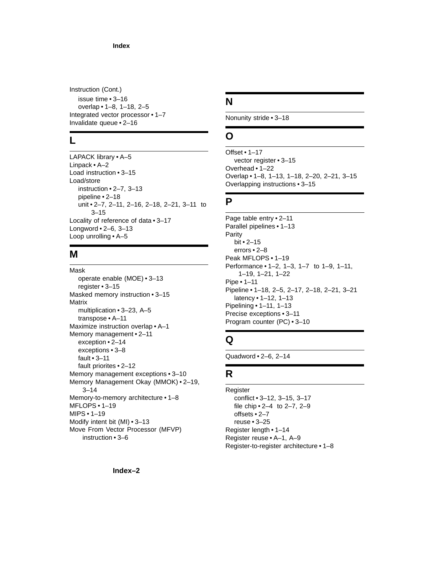#### **Index**

Instruction (Cont.) issue time • 3–16 overlap • 1–8, 1–18, 2–5 Integrated vector processor • 1–7 Invalidate queue • 2–16

#### **L**

LAPACK library • A–5 Linpack • A–2 Load instruction • 3–15 Load/store instruction • 2–7, 3–13 pipeline • 2–18 unit • 2–7, 2–11, 2–16, 2–18, 2–21, 3–11 to 3–15 Locality of reference of data • 3–17 Longword • 2–6, 3–13 Loop unrolling • A–5

## **M**

Mask operate enable (MOE) • 3–13 register • 3–15 Masked memory instruction • 3–15 Matrix multiplication • 3–23, A–5 transpose • A–11 Maximize instruction overlap • A–1 Memory management • 2–11 exception • 2–14 exceptions • 3–8 fault • 3–11 fault priorites • 2–12 Memory management exceptions • 3–10 Memory Management Okay (MMOK) • 2–19, 3–14 Memory-to-memory architecture • 1–8 MFLOPS • 1–19 MIPS • 1–19 Modify intent bit (MI) • 3–13 Move From Vector Processor (MFVP) instruction • 3–6

## **N**

Nonunity stride • 3–18

## **O**

Offset • 1–17 vector register • 3–15 Overhead • 1–22 Overlap • 1–8, 1–13, 1–18, 2–20, 2–21, 3–15 Overlapping instructions • 3–15

## **P**

Page table entry • 2–11 Parallel pipelines • 1–13 Parity bit • 2–15 errors • 2–8 Peak MFLOPS • 1–19 Performance • 1–2, 1–3, 1–7 to 1–9, 1–11, 1–19, 1–21, 1–22 Pipe • 1–11 Pipeline • 1–18, 2–5, 2–17, 2–18, 2–21, 3–21 latency • 1–12, 1–13 Pipelining • 1–11, 1–13 Precise exceptions • 3–11 Program counter (PC) • 3–10

## **Q**

Quadword • 2–6, 2–14

## **R**

Register conflict • 3–12, 3–15, 3–17 file chip • 2–4 to 2–7, 2–9 offsets • 2–7 reuse • 3–25 Register length • 1–14 Register reuse • A–1, A–9 Register-to-register architecture • 1–8

**Index–2**